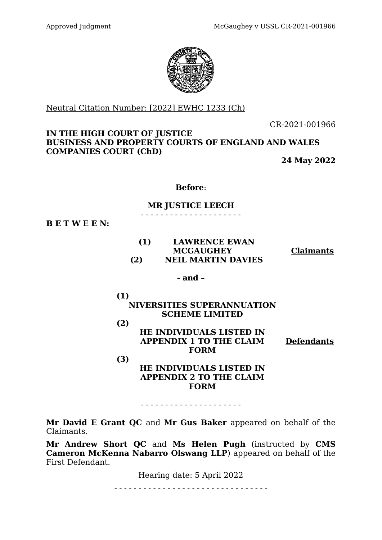

Neutral Citation Number: [2022] EWHC 1233 (Ch)

CR-2021-001966

## **IN THE HIGH COURT OF JUSTICE BUSINESS AND PROPERTY COURTS OF ENGLAND AND WALES COMPANIES COURT (ChD)**

**24 May 2022**

#### **Before**:

**MR JUSTICE LEECH** - - - - - - - - - - - - - - - - - - - - -

**B E T W E E N:**

| (1) | <b>LAWRENCE EWAN</b>      |                  |
|-----|---------------------------|------------------|
|     | <b>MCGAUGHEY</b>          | <b>Claimants</b> |
| (2) | <b>NEIL MARTIN DAVIES</b> |                  |

#### **- and –**

#### **(1) U NIVERSITIES SUPERANNUATION SCHEME LIMITED**

**(2) T HE INDIVIDUALS LISTED IN APPENDIX 1 TO THE CLAIM FORM Defendants**

#### **(3) T HE INDIVIDUALS LISTED IN APPENDIX 2 TO THE CLAIM FORM**

- - - - - - - - - - - - - - - - - - - - -

**Mr David E Grant QC** and **Mr Gus Baker** appeared on behalf of the Claimants.

**Mr Andrew Short QC** and **Ms Helen Pugh** (instructed by **CMS Cameron McKenna Nabarro Olswang LLP**) appeared on behalf of the First Defendant.

Hearing date: 5 April 2022

- - - - - - - - - - - - - - - - - - - - - - - - - - - - - - - -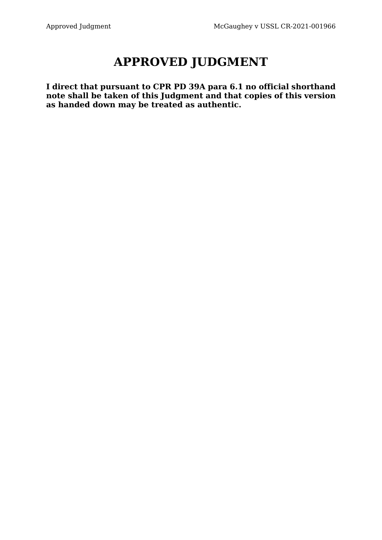# **APPROVED JUDGMENT**

**I direct that pursuant to CPR PD 39A para 6.1 no official shorthand note shall be taken of this Judgment and that copies of this version as handed down may be treated as authentic.**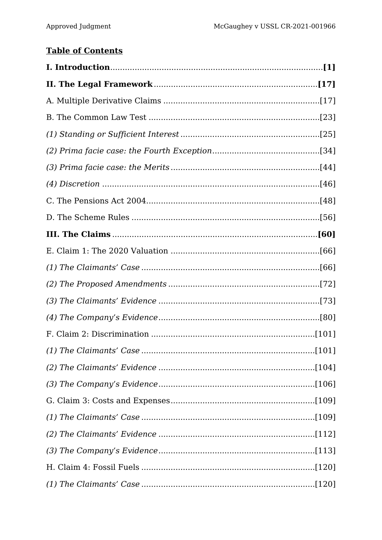# **Table of Contents**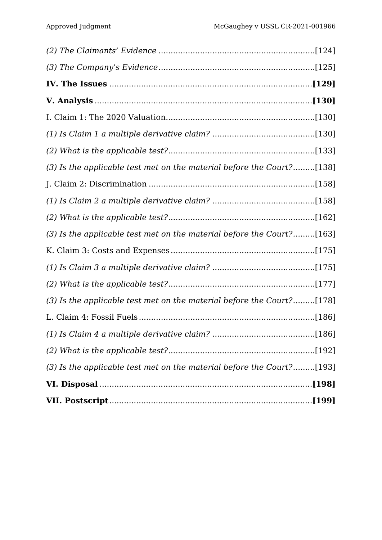| (3) Is the applicable test met on the material before the Court?[193] |  |
|-----------------------------------------------------------------------|--|
|                                                                       |  |
|                                                                       |  |
|                                                                       |  |
| (3) Is the applicable test met on the material before the Court?[178] |  |
|                                                                       |  |
|                                                                       |  |
|                                                                       |  |
| (3) Is the applicable test met on the material before the Court?[163] |  |
|                                                                       |  |
|                                                                       |  |
|                                                                       |  |
| (3) Is the applicable test met on the material before the Court?[138] |  |
|                                                                       |  |
|                                                                       |  |
|                                                                       |  |
|                                                                       |  |
|                                                                       |  |
|                                                                       |  |
|                                                                       |  |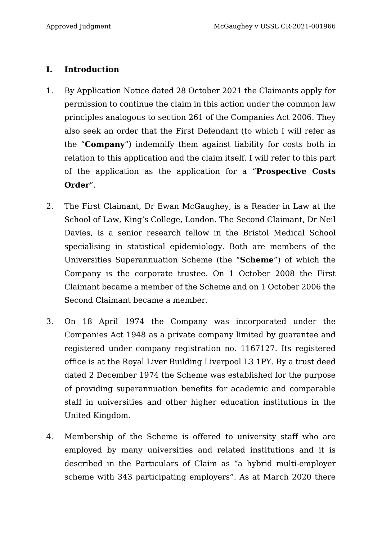# **I. Introduction**

- 1. By Application Notice dated 28 October 2021 the Claimants apply for permission to continue the claim in this action under the common law principles analogous to section 261 of the Companies Act 2006. They also seek an order that the First Defendant (to which I will refer as the "**Company**") indemnify them against liability for costs both in relation to this application and the claim itself. I will refer to this part of the application as the application for a "**Prospective Costs Order**".
- 2. The First Claimant, Dr Ewan McGaughey, is a Reader in Law at the School of Law, King's College, London. The Second Claimant, Dr Neil Davies, is a senior research fellow in the Bristol Medical School specialising in statistical epidemiology. Both are members of the Universities Superannuation Scheme (the "**Scheme**") of which the Company is the corporate trustee. On 1 October 2008 the First Claimant became a member of the Scheme and on 1 October 2006 the Second Claimant became a member.
- 3. On 18 April 1974 the Company was incorporated under the Companies Act 1948 as a private company limited by guarantee and registered under company registration no. 1167127. Its registered office is at the Royal Liver Building Liverpool L3 1PY. By a trust deed dated 2 December 1974 the Scheme was established for the purpose of providing superannuation benefits for academic and comparable staff in universities and other higher education institutions in the United Kingdom.
- 4. Membership of the Scheme is offered to university staff who are employed by many universities and related institutions and it is described in the Particulars of Claim as "a hybrid multi-employer scheme with 343 participating employers". As at March 2020 there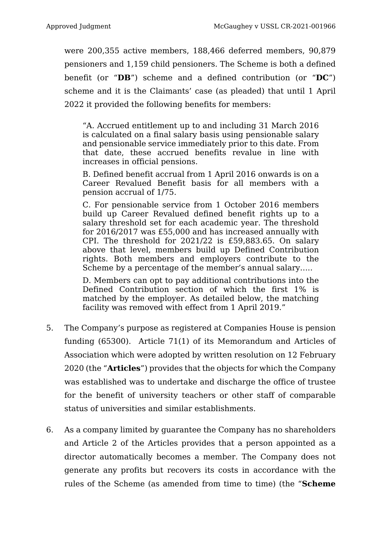were 200,355 active members, 188,466 deferred members, 90,879 pensioners and 1,159 child pensioners. The Scheme is both a defined benefit (or "**DB**") scheme and a defined contribution (or "**DC**") scheme and it is the Claimants' case (as pleaded) that until 1 April 2022 it provided the following benefits for members:

"A. Accrued entitlement up to and including 31 March 2016 is calculated on a final salary basis using pensionable salary and pensionable service immediately prior to this date. From that date, these accrued benefits revalue in line with increases in official pensions.

B. Defined benefit accrual from 1 April 2016 onwards is on a Career Revalued Benefit basis for all members with a pension accrual of 1/75.

C. For pensionable service from 1 October 2016 members build up Career Revalued defined benefit rights up to a salary threshold set for each academic year. The threshold for 2016/2017 was £55,000 and has increased annually with CPI. The threshold for 2021/22 is £59,883.65. On salary above that level, members build up Defined Contribution rights. Both members and employers contribute to the Scheme by a percentage of the member's annual salary.....

D. Members can opt to pay additional contributions into the Defined Contribution section of which the first 1% is matched by the employer. As detailed below, the matching facility was removed with effect from 1 April 2019."

- 5. The Company's purpose as registered at Companies House is pension funding (65300). Article 71(1) of its Memorandum and Articles of Association which were adopted by written resolution on 12 February 2020 (the "**Articles**") provides that the objects for which the Company was established was to undertake and discharge the office of trustee for the benefit of university teachers or other staff of comparable status of universities and similar establishments.
- 6. As a company limited by guarantee the Company has no shareholders and Article 2 of the Articles provides that a person appointed as a director automatically becomes a member. The Company does not generate any profits but recovers its costs in accordance with the rules of the Scheme (as amended from time to time) (the "**Scheme**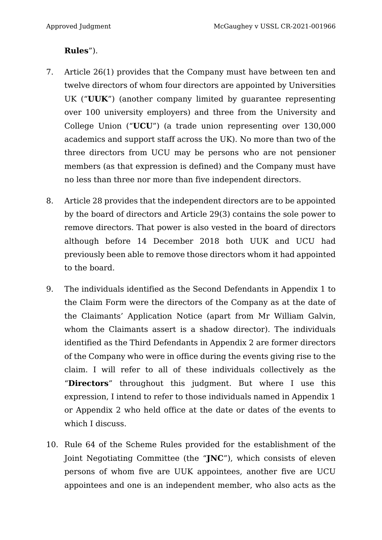# **Rules**").

- 7. Article 26(1) provides that the Company must have between ten and twelve directors of whom four directors are appointed by Universities UK ("**UUK**") (another company limited by guarantee representing over 100 university employers) and three from the University and College Union ("**UCU**") (a trade union representing over 130,000 academics and support staff across the UK). No more than two of the three directors from UCU may be persons who are not pensioner members (as that expression is defined) and the Company must have no less than three nor more than five independent directors.
- 8. Article 28 provides that the independent directors are to be appointed by the board of directors and Article 29(3) contains the sole power to remove directors. That power is also vested in the board of directors although before 14 December 2018 both UUK and UCU had previously been able to remove those directors whom it had appointed to the board.
- 9. The individuals identified as the Second Defendants in Appendix 1 to the Claim Form were the directors of the Company as at the date of the Claimants' Application Notice (apart from Mr William Galvin, whom the Claimants assert is a shadow director). The individuals identified as the Third Defendants in Appendix 2 are former directors of the Company who were in office during the events giving rise to the claim. I will refer to all of these individuals collectively as the "**Directors**" throughout this judgment. But where I use this expression, I intend to refer to those individuals named in Appendix 1 or Appendix 2 who held office at the date or dates of the events to which I discuss.
- 10. Rule 64 of the Scheme Rules provided for the establishment of the Joint Negotiating Committee (the "**JNC**"), which consists of eleven persons of whom five are UUK appointees, another five are UCU appointees and one is an independent member, who also acts as the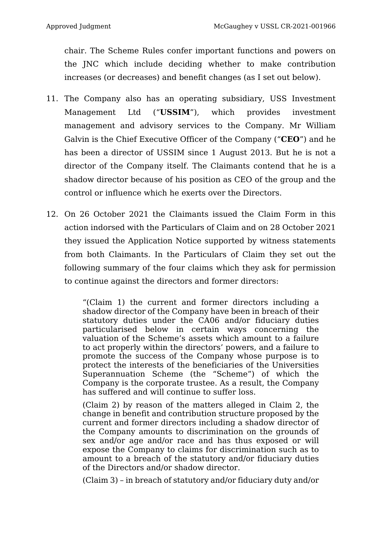chair. The Scheme Rules confer important functions and powers on the JNC which include deciding whether to make contribution increases (or decreases) and benefit changes (as I set out below).

- 11. The Company also has an operating subsidiary, USS Investment Management Ltd ("**USSIM**"), which provides investment management and advisory services to the Company. Mr William Galvin is the Chief Executive Officer of the Company ("**CEO**") and he has been a director of USSIM since 1 August 2013. But he is not a director of the Company itself. The Claimants contend that he is a shadow director because of his position as CEO of the group and the control or influence which he exerts over the Directors.
- 12. On 26 October 2021 the Claimants issued the Claim Form in this action indorsed with the Particulars of Claim and on 28 October 2021 they issued the Application Notice supported by witness statements from both Claimants. In the Particulars of Claim they set out the following summary of the four claims which they ask for permission to continue against the directors and former directors:

"(Claim 1) the current and former directors including a shadow director of the Company have been in breach of their statutory duties under the CA06 and/or fiduciary duties particularised below in certain ways concerning the valuation of the Scheme's assets which amount to a failure to act properly within the directors' powers, and a failure to promote the success of the Company whose purpose is to protect the interests of the beneficiaries of the Universities Superannuation Scheme (the "Scheme") of which the Company is the corporate trustee. As a result, the Company has suffered and will continue to suffer loss.

(Claim 2) by reason of the matters alleged in Claim 2, the change in benefit and contribution structure proposed by the current and former directors including a shadow director of the Company amounts to discrimination on the grounds of sex and/or age and/or race and has thus exposed or will expose the Company to claims for discrimination such as to amount to a breach of the statutory and/or fiduciary duties of the Directors and/or shadow director.

(Claim 3) – in breach of statutory and/or fiduciary duty and/or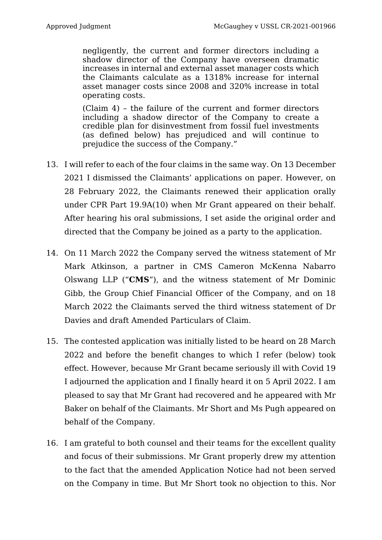negligently, the current and former directors including a shadow director of the Company have overseen dramatic increases in internal and external asset manager costs which the Claimants calculate as a 1318% increase for internal asset manager costs since 2008 and 320% increase in total operating costs.

(Claim 4) – the failure of the current and former directors including a shadow director of the Company to create a credible plan for disinvestment from fossil fuel investments (as defined below) has prejudiced and will continue to prejudice the success of the Company."

- 13. I will refer to each of the four claims in the same way. On 13 December 2021 I dismissed the Claimants' applications on paper. However, on 28 February 2022, the Claimants renewed their application orally under CPR Part 19.9A(10) when Mr Grant appeared on their behalf. After hearing his oral submissions, I set aside the original order and directed that the Company be joined as a party to the application.
- 14. On 11 March 2022 the Company served the witness statement of Mr Mark Atkinson, a partner in CMS Cameron McKenna Nabarro Olswang LLP ("**CMS**"), and the witness statement of Mr Dominic Gibb, the Group Chief Financial Officer of the Company, and on 18 March 2022 the Claimants served the third witness statement of Dr Davies and draft Amended Particulars of Claim.
- 15. The contested application was initially listed to be heard on 28 March 2022 and before the benefit changes to which I refer (below) took effect. However, because Mr Grant became seriously ill with Covid 19 I adjourned the application and I finally heard it on 5 April 2022. I am pleased to say that Mr Grant had recovered and he appeared with Mr Baker on behalf of the Claimants. Mr Short and Ms Pugh appeared on behalf of the Company.
- 16. I am grateful to both counsel and their teams for the excellent quality and focus of their submissions. Mr Grant properly drew my attention to the fact that the amended Application Notice had not been served on the Company in time. But Mr Short took no objection to this. Nor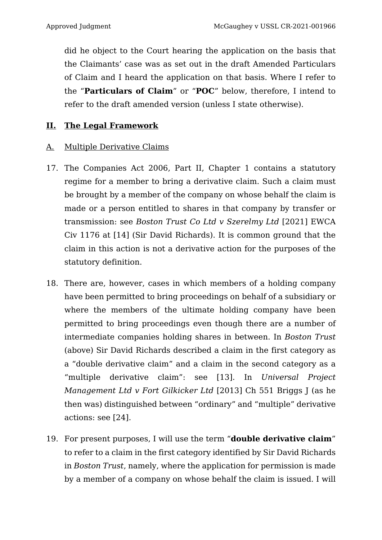did he object to the Court hearing the application on the basis that the Claimants' case was as set out in the draft Amended Particulars of Claim and I heard the application on that basis. Where I refer to the "**Particulars of Claim**" or "**POC**" below, therefore, I intend to refer to the draft amended version (unless I state otherwise).

# **II. The Legal Framework**

# A. Multiple Derivative Claims

- 17. The Companies Act 2006, Part II, Chapter 1 contains a statutory regime for a member to bring a derivative claim. Such a claim must be brought by a member of the company on whose behalf the claim is made or a person entitled to shares in that company by transfer or transmission: see *Boston Trust Co Ltd v Szerelmy Ltd* [2021] EWCA Civ 1176 at [14] (Sir David Richards). It is common ground that the claim in this action is not a derivative action for the purposes of the statutory definition.
- 18. There are, however, cases in which members of a holding company have been permitted to bring proceedings on behalf of a subsidiary or where the members of the ultimate holding company have been permitted to bring proceedings even though there are a number of intermediate companies holding shares in between. In *Boston Trust*  (above) Sir David Richards described a claim in the first category as a "double derivative claim" and a claim in the second category as a "multiple derivative claim": see [13]. In *Universal Project Management Ltd v Fort Gilkicker Ltd* [2013] Ch 551 Briggs J (as he then was) distinguished between "ordinary" and "multiple" derivative actions: see [24].
- 19. For present purposes, I will use the term "**double derivative claim**" to refer to a claim in the first category identified by Sir David Richards in *Boston Trust*, namely, where the application for permission is made by a member of a company on whose behalf the claim is issued. I will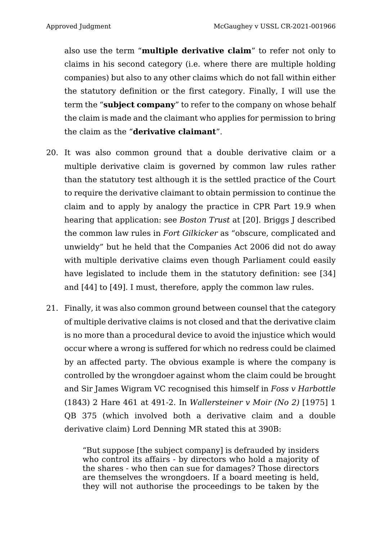also use the term "**multiple derivative claim**" to refer not only to claims in his second category (i.e. where there are multiple holding companies) but also to any other claims which do not fall within either the statutory definition or the first category. Finally, I will use the term the "**subject company**" to refer to the company on whose behalf the claim is made and the claimant who applies for permission to bring the claim as the "**derivative claimant**".

- 20. It was also common ground that a double derivative claim or a multiple derivative claim is governed by common law rules rather than the statutory test although it is the settled practice of the Court to require the derivative claimant to obtain permission to continue the claim and to apply by analogy the practice in CPR Part 19.9 when hearing that application: see *Boston Trust* at [20]. Briggs J described the common law rules in *Fort Gilkicker* as "obscure, complicated and unwieldy" but he held that the Companies Act 2006 did not do away with multiple derivative claims even though Parliament could easily have legislated to include them in the statutory definition: see [34] and [44] to [49]. I must, therefore, apply the common law rules.
- 21. Finally, it was also common ground between counsel that the category of multiple derivative claims is not closed and that the derivative claim is no more than a procedural device to avoid the injustice which would occur where a wrong is suffered for which no redress could be claimed by an affected party. The obvious example is where the company is controlled by the wrongdoer against whom the claim could be brought and Sir James Wigram VC recognised this himself in *Foss v Harbottle* (1843) 2 Hare 461 at 491-2. In *Wallersteiner v Moir (No 2)* [1975] 1 QB 375 (which involved both a derivative claim and a double derivative claim) Lord Denning MR stated this at 390B:

"But suppose [the subject company] is defrauded by insiders who control its affairs - by directors who hold a majority of the shares - who then can sue for damages? Those directors are themselves the wrongdoers. If a board meeting is held, they will not authorise the proceedings to be taken by the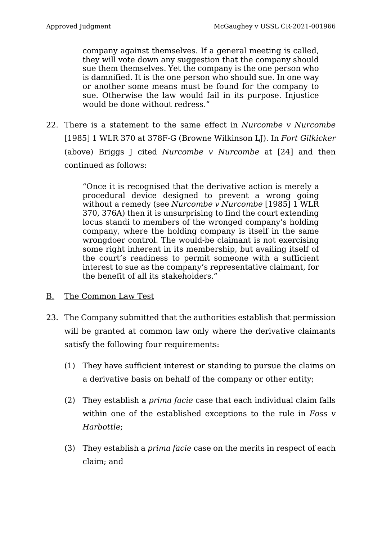company against themselves. If a general meeting is called, they will vote down any suggestion that the company should sue them themselves. Yet the company is the one person who is damnified. It is the one person who should sue. In one way or another some means must be found for the company to sue. Otherwise the law would fail in its purpose. Injustice would be done without redress."

22. There is a statement to the same effect in *Nurcombe v Nurcombe* [1985] 1 WLR 370 at 378F-G (Browne Wilkinson LJ). In *Fort Gilkicker*  (above) Briggs J cited *Nurcombe v Nurcombe* at [24] and then continued as follows:

> "Once it is recognised that the derivative action is merely a procedural device designed to prevent a wrong going without a remedy (see *Nurcombe v Nurcombe* [1985] 1 WLR 370, 376A) then it is unsurprising to find the court extending locus standi to members of the wronged company's holding company, where the holding company is itself in the same wrongdoer control. The would-be claimant is not exercising some right inherent in its membership, but availing itself of the court's readiness to permit someone with a sufficient interest to sue as the company's representative claimant, for the benefit of all its stakeholders."

- B. The Common Law Test
- 23. The Company submitted that the authorities establish that permission will be granted at common law only where the derivative claimants satisfy the following four requirements:
	- (1) They have sufficient interest or standing to pursue the claims on a derivative basis on behalf of the company or other entity;
	- (2) They establish a *prima facie* case that each individual claim falls within one of the established exceptions to the rule in *Foss v Harbottle*;
	- (3) They establish a *prima facie* case on the merits in respect of each claim; and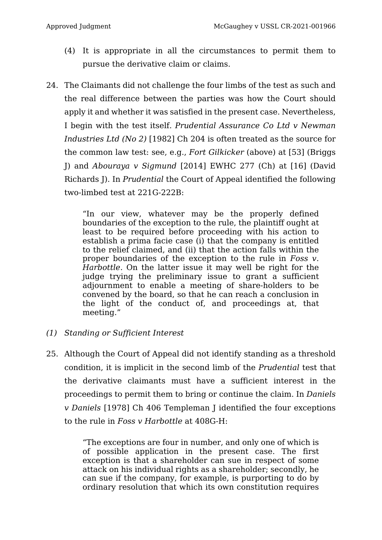- (4) It is appropriate in all the circumstances to permit them to pursue the derivative claim or claims.
- 24. The Claimants did not challenge the four limbs of the test as such and the real difference between the parties was how the Court should apply it and whether it was satisfied in the present case. Nevertheless, I begin with the test itself. *Prudential Assurance Co Ltd v Newman Industries Ltd (No 2)* [1982] Ch 204 is often treated as the source for the common law test: see, e.g., *Fort Gilkicker* (above) at [53] (Briggs J) and *Abouraya v Sigmund* [2014] EWHC 277 (Ch) at [16] (David Richards J). In *Prudential* the Court of Appeal identified the following two-limbed test at 221G-222B:

"In our view, whatever may be the properly defined boundaries of the exception to the rule, the plaintiff ought at least to be required before proceeding with his action to establish a prima facie case (i) that the company is entitled to the relief claimed, and (ii) that the action falls within the proper boundaries of the exception to the rule in *Foss v. Harbottle*. On the latter issue it may well be right for the judge trying the preliminary issue to grant a sufficient adjournment to enable a meeting of share-holders to be convened by the board, so that he can reach a conclusion in the light of the conduct of, and proceedings at, that meeting."

- *(1) Standing or Sufficient Interest*
- 25. Although the Court of Appeal did not identify standing as a threshold condition, it is implicit in the second limb of the *Prudential* test that the derivative claimants must have a sufficient interest in the proceedings to permit them to bring or continue the claim. In *Daniels v Daniels* [1978] Ch 406 Templeman J identified the four exceptions to the rule in *Foss v Harbottle* at 408G-H:

"The exceptions are four in number, and only one of which is of possible application in the present case. The first exception is that a shareholder can sue in respect of some attack on his individual rights as a shareholder; secondly, he can sue if the company, for example, is purporting to do by ordinary resolution that which its own constitution requires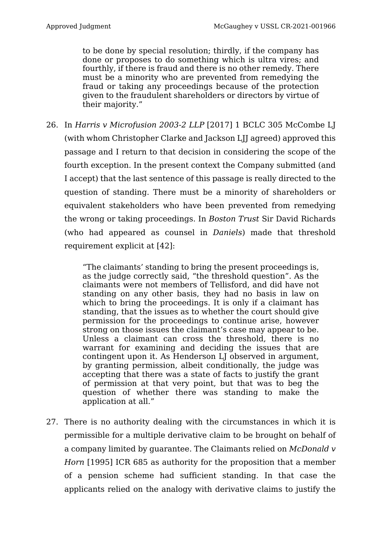to be done by special resolution; thirdly, if the company has done or proposes to do something which is ultra vires; and fourthly, if there is fraud and there is no other remedy. There must be a minority who are prevented from remedying the fraud or taking any proceedings because of the protection given to the fraudulent shareholders or directors by virtue of their majority."

26. In *Harris v Microfusion 2003-2 LLP* [2017] 1 BCLC 305 McCombe LJ (with whom Christopher Clarke and Jackson LJJ agreed) approved this passage and I return to that decision in considering the scope of the fourth exception. In the present context the Company submitted (and I accept) that the last sentence of this passage is really directed to the question of standing. There must be a minority of shareholders or equivalent stakeholders who have been prevented from remedying the wrong or taking proceedings. In *Boston Trust* Sir David Richards (who had appeared as counsel in *Daniels*) made that threshold requirement explicit at [42]:

> "The claimants' standing to bring the present proceedings is, as the judge correctly said, "the threshold question". As the claimants were not members of Tellisford, and did have not standing on any other basis, they had no basis in law on which to bring the proceedings. It is only if a claimant has standing, that the issues as to whether the court should give permission for the proceedings to continue arise, however strong on those issues the claimant's case may appear to be. Unless a claimant can cross the threshold, there is no warrant for examining and deciding the issues that are contingent upon it. As Henderson LJ observed in argument, by granting permission, albeit conditionally, the judge was accepting that there was a state of facts to justify the grant of permission at that very point, but that was to beg the question of whether there was standing to make the application at all."

27. There is no authority dealing with the circumstances in which it is permissible for a multiple derivative claim to be brought on behalf of a company limited by guarantee. The Claimants relied on *McDonald v Horn* [1995] ICR 685 as authority for the proposition that a member of a pension scheme had sufficient standing. In that case the applicants relied on the analogy with derivative claims to justify the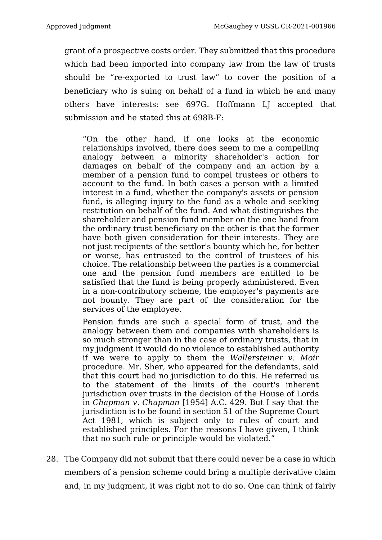grant of a prospective costs order. They submitted that this procedure which had been imported into company law from the law of trusts should be "re-exported to trust law" to cover the position of a beneficiary who is suing on behalf of a fund in which he and many others have interests: see 697G. Hoffmann LJ accepted that submission and he stated this at 698B-F:

"On the other hand, if one looks at the economic relationships involved, there does seem to me a compelling analogy between a minority shareholder's action for damages on behalf of the company and an action by a member of a pension fund to compel trustees or others to account to the fund. In both cases a person with a limited interest in a fund, whether the company's assets or pension fund, is alleging injury to the fund as a whole and seeking restitution on behalf of the fund. And what distinguishes the shareholder and pension fund member on the one hand from the ordinary trust beneficiary on the other is that the former have both given consideration for their interests. They are not just recipients of the settlor's bounty which he, for better or worse, has entrusted to the control of trustees of his choice. The relationship between the parties is a commercial one and the pension fund members are entitled to be satisfied that the fund is being properly administered. Even in a non-contributory scheme, the employer's payments are not bounty. They are part of the consideration for the services of the employee.

Pension funds are such a special form of trust, and the analogy between them and companies with shareholders is so much stronger than in the case of ordinary trusts, that in my judgment it would do no violence to established authority if we were to apply to them the *Wallersteiner v. Moir* procedure. Mr. Sher, who appeared for the defendants, said that this court had no jurisdiction to do this. He referred us to the statement of the limits of the court's inherent jurisdiction over trusts in the decision of the House of Lords in *Chapman v. Chapman* [1954] A.C. 429. But I say that the jurisdiction is to be found in section 51 of the Supreme Court Act 1981, which is subject only to rules of court and established principles. For the reasons I have given, I think that no such rule or principle would be violated."

28. The Company did not submit that there could never be a case in which members of a pension scheme could bring a multiple derivative claim and, in my judgment, it was right not to do so. One can think of fairly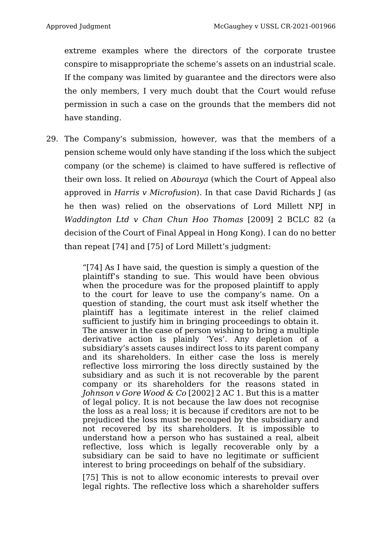extreme examples where the directors of the corporate trustee conspire to misappropriate the scheme's assets on an industrial scale. If the company was limited by guarantee and the directors were also the only members, I very much doubt that the Court would refuse permission in such a case on the grounds that the members did not have standing.

29. The Company's submission, however, was that the members of a pension scheme would only have standing if the loss which the subject company (or the scheme) is claimed to have suffered is reflective of their own loss. It relied on *Abouraya* (which the Court of Appeal also approved in *Harris v Microfusion*). In that case David Richards J (as he then was) relied on the observations of Lord Millett NPJ in *Waddington Ltd v Chan Chun Hoo Thomas* [2009] 2 BCLC 82 (a decision of the Court of Final Appeal in Hong Kong). I can do no better than repeat [74] and [75] of Lord Millett's judgment:

> "[74] As I have said, the question is simply a question of the plaintiff's standing to sue. This would have been obvious when the procedure was for the proposed plaintiff to apply to the court for leave to use the company's name. On a question of standing, the court must ask itself whether the plaintiff has a legitimate interest in the relief claimed sufficient to justify him in bringing proceedings to obtain it. The answer in the case of person wishing to bring a multiple derivative action is plainly 'Yes'. Any depletion of a subsidiary's assets causes indirect loss to its parent company and its shareholders. In either case the loss is merely reflective loss mirroring the loss directly sustained by the subsidiary and as such it is not recoverable by the parent company or its shareholders for the reasons stated in *Johnson v Gore Wood & Co* [2002] 2 AC 1. But this is a matter of legal policy. It is not because the law does not recognise the loss as a real loss; it is because if creditors are not to be prejudiced the loss must be recouped by the subsidiary and not recovered by its shareholders. It is impossible to understand how a person who has sustained a real, albeit reflective, loss which is legally recoverable only by a subsidiary can be said to have no legitimate or sufficient interest to bring proceedings on behalf of the subsidiary.

> [75] This is not to allow economic interests to prevail over legal rights. The reflective loss which a shareholder suffers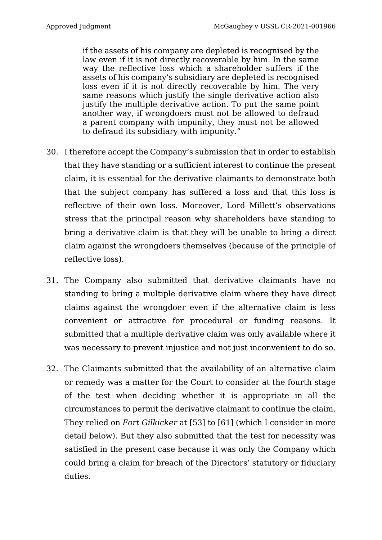if the assets of his company are depleted is recognised by the law even if it is not directly recoverable by him. In the same way the reflective loss which a shareholder suffers if the assets of his company's subsidiary are depleted is recognised loss even if it is not directly recoverable by him. The very same reasons which justify the single derivative action also justify the multiple derivative action. To put the same point another way, if wrongdoers must not be allowed to defraud a parent company with impunity, they must not be allowed to defraud its subsidiary with impunity."

- 30. I therefore accept the Company's submission that in order to establish that they have standing or a sufficient interest to continue the present claim, it is essential for the derivative claimants to demonstrate both that the subject company has suffered a loss and that this loss is reflective of their own loss. Moreover, Lord Millett's observations stress that the principal reason why shareholders have standing to bring a derivative claim is that they will be unable to bring a direct claim against the wrongdoers themselves (because of the principle of reflective loss).
- 31. The Company also submitted that derivative claimants have no standing to bring a multiple derivative claim where they have direct claims against the wrongdoer even if the alternative claim is less convenient or attractive for procedural or funding reasons. It submitted that a multiple derivative claim was only available where it was necessary to prevent injustice and not just inconvenient to do so.
- 32. The Claimants submitted that the availability of an alternative claim or remedy was a matter for the Court to consider at the fourth stage of the test when deciding whether it is appropriate in all the circumstances to permit the derivative claimant to continue the claim. They relied on *Fort Gilkicker* at [53] to [61] (which I consider in more detail below). But they also submitted that the test for necessity was satisfied in the present case because it was only the Company which could bring a claim for breach of the Directors' statutory or fiduciary duties.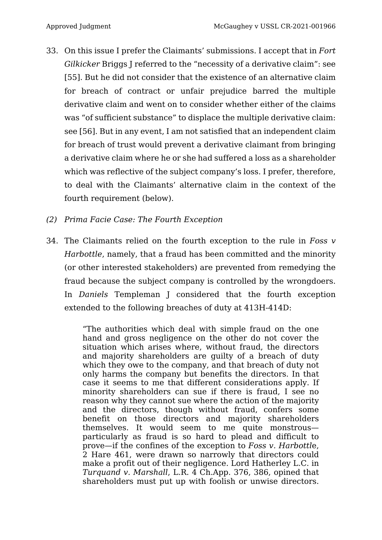- 33. On this issue I prefer the Claimants' submissions. I accept that in *Fort Gilkicker* Briggs J referred to the "necessity of a derivative claim": see [55]. But he did not consider that the existence of an alternative claim for breach of contract or unfair prejudice barred the multiple derivative claim and went on to consider whether either of the claims was "of sufficient substance" to displace the multiple derivative claim: see [56]. But in any event, I am not satisfied that an independent claim for breach of trust would prevent a derivative claimant from bringing a derivative claim where he or she had suffered a loss as a shareholder which was reflective of the subject company's loss. I prefer, therefore, to deal with the Claimants' alternative claim in the context of the fourth requirement (below).
- *(2) Prima Facie Case: The Fourth Exception*
- 34. The Claimants relied on the fourth exception to the rule in *Foss v Harbottle*, namely, that a fraud has been committed and the minority (or other interested stakeholders) are prevented from remedying the fraud because the subject company is controlled by the wrongdoers. In *Daniels* Templeman J considered that the fourth exception extended to the following breaches of duty at 413H-414D:

"The authorities which deal with simple fraud on the one hand and gross negligence on the other do not cover the situation which arises where, without fraud, the directors and majority shareholders are guilty of a breach of duty which they owe to the company, and that breach of duty not only harms the company but benefits the directors. In that case it seems to me that different considerations apply. If minority shareholders can sue if there is fraud, I see no reason why they cannot sue where the action of the majority and the directors, though without fraud, confers some benefit on those directors and majority shareholders themselves. It would seem to me quite monstrous particularly as fraud is so hard to plead and difficult to prove—if the confines of the exception to *Foss v. Harbottl*e, 2 Hare 461, were drawn so narrowly that directors could make a profit out of their negligence. Lord Hatherley L.C. in *Turquand v. Marshall*, L.R. 4 Ch.App. 376, 386, opined that shareholders must put up with foolish or unwise directors.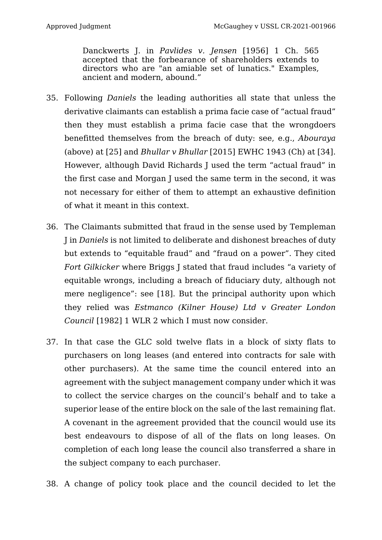Danckwerts J. in *Pavlides v. Jensen* [1956] 1 Ch. 565 accepted that the forbearance of shareholders extends to directors who are "an amiable set of lunatics." Examples, ancient and modern, abound."

- 35. Following *Daniels* the leading authorities all state that unless the derivative claimants can establish a prima facie case of "actual fraud" then they must establish a prima facie case that the wrongdoers benefitted themselves from the breach of duty: see, e.g., *Abouraya*  (above) at [25] and *Bhullar v Bhullar* [2015] EWHC 1943 (Ch) at [34]. However, although David Richards J used the term "actual fraud" in the first case and Morgan J used the same term in the second, it was not necessary for either of them to attempt an exhaustive definition of what it meant in this context.
- 36. The Claimants submitted that fraud in the sense used by Templeman J in *Daniels* is not limited to deliberate and dishonest breaches of duty but extends to "equitable fraud" and "fraud on a power". They cited *Fort Gilkicker* where Briggs J stated that fraud includes "a variety of equitable wrongs, including a breach of fiduciary duty, although not mere negligence": see [18]. But the principal authority upon which they relied was *Estmanco (Kilner House) Ltd v Greater London Council* [1982] 1 WLR 2 which I must now consider.
- 37. In that case the GLC sold twelve flats in a block of sixty flats to purchasers on long leases (and entered into contracts for sale with other purchasers). At the same time the council entered into an agreement with the subject management company under which it was to collect the service charges on the council's behalf and to take a superior lease of the entire block on the sale of the last remaining flat. A covenant in the agreement provided that the council would use its best endeavours to dispose of all of the flats on long leases. On completion of each long lease the council also transferred a share in the subject company to each purchaser.
- 38. A change of policy took place and the council decided to let the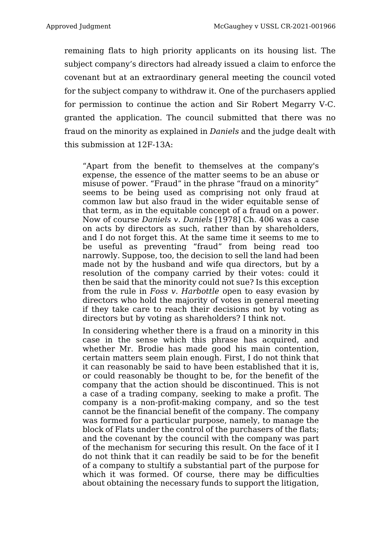remaining flats to high priority applicants on its housing list. The subject company's directors had already issued a claim to enforce the covenant but at an extraordinary general meeting the council voted for the subject company to withdraw it. One of the purchasers applied for permission to continue the action and Sir Robert Megarry V-C. granted the application. The council submitted that there was no fraud on the minority as explained in *Daniels* and the judge dealt with this submission at 12F-13A:

"Apart from the benefit to themselves at the company's expense, the essence of the matter seems to be an abuse or misuse of power. "Fraud" in the phrase "fraud on a minority" seems to be being used as comprising not only fraud at common law but also fraud in the wider equitable sense of that term, as in the equitable concept of a fraud on a power. Now of course *Daniels v. Daniels* [1978] Ch. 406 was a case on acts by directors as such, rather than by shareholders, and I do not forget this. At the same time it seems to me to be useful as preventing "fraud" from being read too narrowly. Suppose, too, the decision to sell the land had been made not by the husband and wife qua directors, but by a resolution of the company carried by their votes: could it then be said that the minority could not sue? Is this exception from the rule in *Foss v. Harbottle* open to easy evasion by directors who hold the majority of votes in general meeting if they take care to reach their decisions not by voting as directors but by voting as shareholders? I think not.

In considering whether there is a fraud on a minority in this case in the sense which this phrase has acquired, and whether Mr. Brodie has made good his main contention, certain matters seem plain enough. First, I do not think that it can reasonably be said to have been established that it is, or could reasonably be thought to be, for the benefit of the company that the action should be discontinued. This is not a case of a trading company, seeking to make a profit. The company is a non-profit-making company, and so the test cannot be the financial benefit of the company. The company was formed for a particular purpose, namely, to manage the block of Flats under the control of the purchasers of the flats; and the covenant by the council with the company was part of the mechanism for securing this result. On the face of it I do not think that it can readily be said to be for the benefit of a company to stultify a substantial part of the purpose for which it was formed. Of course, there may be difficulties about obtaining the necessary funds to support the litigation,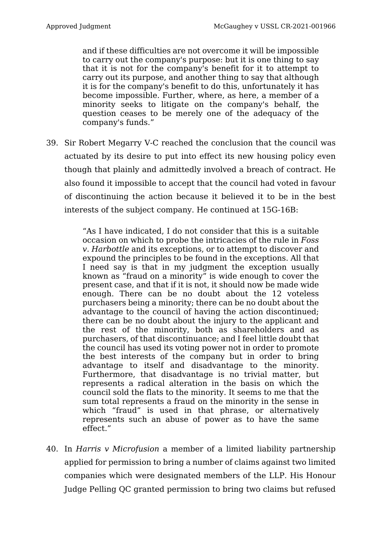and if these difficulties are not overcome it will be impossible to carry out the company's purpose: but it is one thing to say that it is not for the company's benefit for it to attempt to carry out its purpose, and another thing to say that although it is for the company's benefit to do this, unfortunately it has become impossible. Further, where, as here, a member of a minority seeks to litigate on the company's behalf, the question ceases to be merely one of the adequacy of the company's funds."

39. Sir Robert Megarry V-C reached the conclusion that the council was actuated by its desire to put into effect its new housing policy even though that plainly and admittedly involved a breach of contract. He also found it impossible to accept that the council had voted in favour of discontinuing the action because it believed it to be in the best interests of the subject company. He continued at 15G-16B:

> "As I have indicated, I do not consider that this is a suitable occasion on which to probe the intricacies of the rule in *Foss v. Harbottle* and its exceptions, or to attempt to discover and expound the principles to be found in the exceptions. All that I need say is that in my judgment the exception usually known as "fraud on a minority" is wide enough to cover the present case, and that if it is not, it should now be made wide enough. There can be no doubt about the 12 voteless purchasers being a minority; there can be no doubt about the advantage to the council of having the action discontinued; there can be no doubt about the injury to the applicant and the rest of the minority, both as shareholders and as purchasers, of that discontinuance; and I feel little doubt that the council has used its voting power not in order to promote the best interests of the company but in order to bring advantage to itself and disadvantage to the minority. Furthermore, that disadvantage is no trivial matter, but represents a radical alteration in the basis on which the council sold the flats to the minority. It seems to me that the sum total represents a fraud on the minority in the sense in which "fraud" is used in that phrase, or alternatively represents such an abuse of power as to have the same effect."

40. In *Harris v Microfusion* a member of a limited liability partnership applied for permission to bring a number of claims against two limited companies which were designated members of the LLP. His Honour Judge Pelling QC granted permission to bring two claims but refused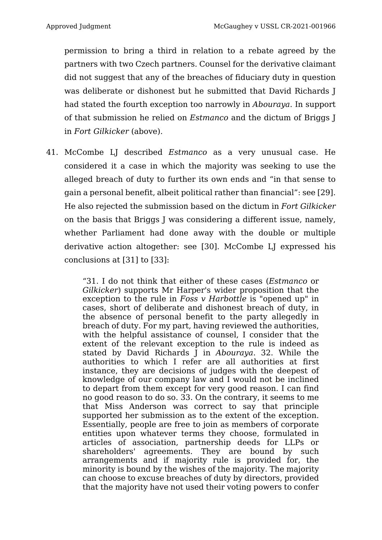permission to bring a third in relation to a rebate agreed by the partners with two Czech partners. Counsel for the derivative claimant did not suggest that any of the breaches of fiduciary duty in question was deliberate or dishonest but he submitted that David Richards J had stated the fourth exception too narrowly in *Abouraya*. In support of that submission he relied on *Estmanco* and the dictum of Briggs J in *Fort Gilkicker* (above).

41. McCombe LJ described *Estmanco* as a very unusual case. He considered it a case in which the majority was seeking to use the alleged breach of duty to further its own ends and "in that sense to gain a personal benefit, albeit political rather than financial": see [29]. He also rejected the submission based on the dictum in *Fort Gilkicker*  on the basis that Briggs J was considering a different issue, namely, whether Parliament had done away with the double or multiple derivative action altogether: see [30]. McCombe LJ expressed his conclusions at [31] to [33]:

> "31. I do not think that either of these cases (*Estmanco* or *Gilkicker*) supports Mr Harper's wider proposition that the exception to the rule in *Foss v Harbottle* is "opened up" in cases, short of deliberate and dishonest breach of duty, in the absence of personal benefit to the party allegedly in breach of duty. For my part, having reviewed the authorities, with the helpful assistance of counsel, I consider that the extent of the relevant exception to the rule is indeed as stated by David Richards J in *Abouraya*. 32. While the authorities to which I refer are all authorities at first instance, they are decisions of judges with the deepest of knowledge of our company law and I would not be inclined to depart from them except for very good reason. I can find no good reason to do so. 33. On the contrary, it seems to me that Miss Anderson was correct to say that principle supported her submission as to the extent of the exception. Essentially, people are free to join as members of corporate entities upon whatever terms they choose, formulated in articles of association, partnership deeds for LLPs or shareholders' agreements. They are bound by such arrangements and if majority rule is provided for, the minority is bound by the wishes of the majority. The majority can choose to excuse breaches of duty by directors, provided that the majority have not used their voting powers to confer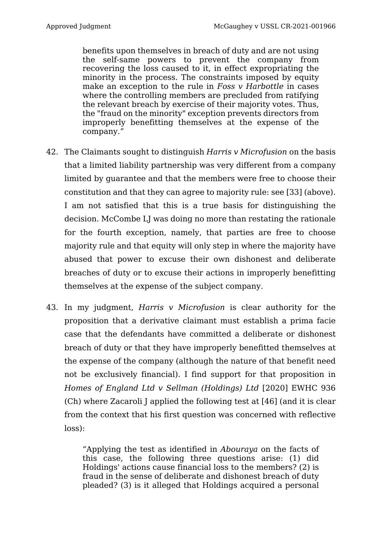benefits upon themselves in breach of duty and are not using the self-same powers to prevent the company from recovering the loss caused to it, in effect expropriating the minority in the process. The constraints imposed by equity make an exception to the rule in *Foss v Harbottle* in cases where the controlling members are precluded from ratifying the relevant breach by exercise of their majority votes. Thus, the "fraud on the minority" exception prevents directors from improperly benefitting themselves at the expense of the company."

- 42. The Claimants sought to distinguish *Harris v Microfusion* on the basis that a limited liability partnership was very different from a company limited by guarantee and that the members were free to choose their constitution and that they can agree to majority rule: see [33] (above). I am not satisfied that this is a true basis for distinguishing the decision. McCombe LJ was doing no more than restating the rationale for the fourth exception, namely, that parties are free to choose majority rule and that equity will only step in where the majority have abused that power to excuse their own dishonest and deliberate breaches of duty or to excuse their actions in improperly benefitting themselves at the expense of the subject company.
- 43. In my judgment, *Harris v Microfusion* is clear authority for the proposition that a derivative claimant must establish a prima facie case that the defendants have committed a deliberate or dishonest breach of duty or that they have improperly benefitted themselves at the expense of the company (although the nature of that benefit need not be exclusively financial). I find support for that proposition in *Homes of England Ltd v Sellman (Holdings) Ltd* [2020] EWHC 936 (Ch) where Zacaroli J applied the following test at [46] (and it is clear from the context that his first question was concerned with reflective loss):

"Applying the test as identified in *Abouraya* on the facts of this case, the following three questions arise: (1) did Holdings' actions cause financial loss to the members? (2) is fraud in the sense of deliberate and dishonest breach of duty pleaded? (3) is it alleged that Holdings acquired a personal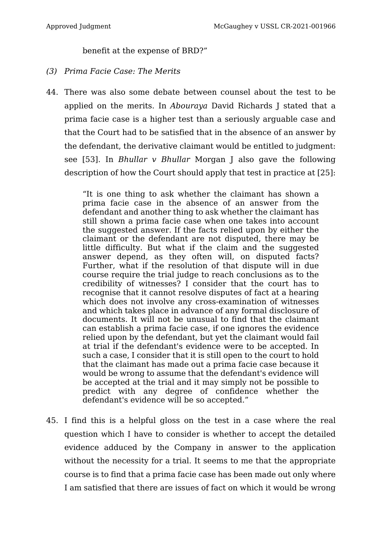benefit at the expense of BRD?"

## *(3) Prima Facie Case: The Merits*

44. There was also some debate between counsel about the test to be applied on the merits. In *Abouraya* David Richards J stated that a prima facie case is a higher test than a seriously arguable case and that the Court had to be satisfied that in the absence of an answer by the defendant, the derivative claimant would be entitled to judgment: see [53]. In *Bhullar v Bhullar* Morgan J also gave the following description of how the Court should apply that test in practice at [25]:

> "It is one thing to ask whether the claimant has shown a prima facie case in the absence of an answer from the defendant and another thing to ask whether the claimant has still shown a prima facie case when one takes into account the suggested answer. If the facts relied upon by either the claimant or the defendant are not disputed, there may be little difficulty. But what if the claim and the suggested answer depend, as they often will, on disputed facts? Further, what if the resolution of that dispute will in due course require the trial judge to reach conclusions as to the credibility of witnesses? I consider that the court has to recognise that it cannot resolve disputes of fact at a hearing which does not involve any cross-examination of witnesses and which takes place in advance of any formal disclosure of documents. It will not be unusual to find that the claimant can establish a prima facie case, if one ignores the evidence relied upon by the defendant, but yet the claimant would fail at trial if the defendant's evidence were to be accepted. In such a case, I consider that it is still open to the court to hold that the claimant has made out a prima facie case because it would be wrong to assume that the defendant's evidence will be accepted at the trial and it may simply not be possible to predict with any degree of confidence whether the defendant's evidence will be so accepted."

45. I find this is a helpful gloss on the test in a case where the real question which I have to consider is whether to accept the detailed evidence adduced by the Company in answer to the application without the necessity for a trial. It seems to me that the appropriate course is to find that a prima facie case has been made out only where I am satisfied that there are issues of fact on which it would be wrong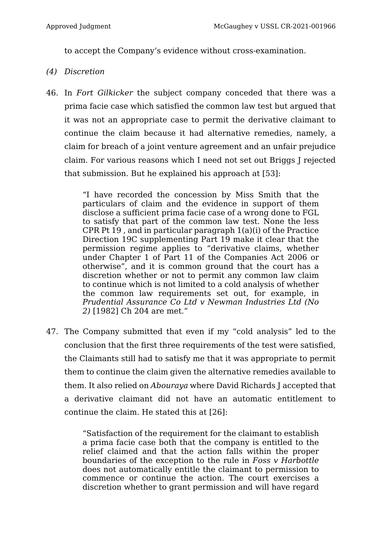to accept the Company's evidence without cross-examination.

## *(4) Discretion*

46. In *Fort Gilkicker* the subject company conceded that there was a prima facie case which satisfied the common law test but argued that it was not an appropriate case to permit the derivative claimant to continue the claim because it had alternative remedies, namely, a claim for breach of a joint venture agreement and an unfair prejudice claim. For various reasons which I need not set out Briggs J rejected that submission. But he explained his approach at [53]:

> "I have recorded the concession by Miss Smith that the particulars of claim and the evidence in support of them disclose a sufficient prima facie case of a wrong done to FGL to satisfy that part of the common law test. None the less CPR Pt 19 , and in particular paragraph 1(a)(i) of the Practice Direction 19C supplementing Part 19 make it clear that the permission regime applies to "derivative claims, whether under Chapter 1 of Part 11 of the Companies Act 2006 or otherwise", and it is common ground that the court has a discretion whether or not to permit any common law claim to continue which is not limited to a cold analysis of whether the common law requirements set out, for example, in *Prudential Assurance Co Ltd v Newman Industries Ltd (No 2)* [1982] Ch 204 are met."

47. The Company submitted that even if my "cold analysis" led to the conclusion that the first three requirements of the test were satisfied, the Claimants still had to satisfy me that it was appropriate to permit them to continue the claim given the alternative remedies available to them. It also relied on *Abouraya* where David Richards J accepted that a derivative claimant did not have an automatic entitlement to continue the claim. He stated this at [26]:

> "Satisfaction of the requirement for the claimant to establish a prima facie case both that the company is entitled to the relief claimed and that the action falls within the proper boundaries of the exception to the rule in *Foss v Harbottle* does not automatically entitle the claimant to permission to commence or continue the action. The court exercises a discretion whether to grant permission and will have regard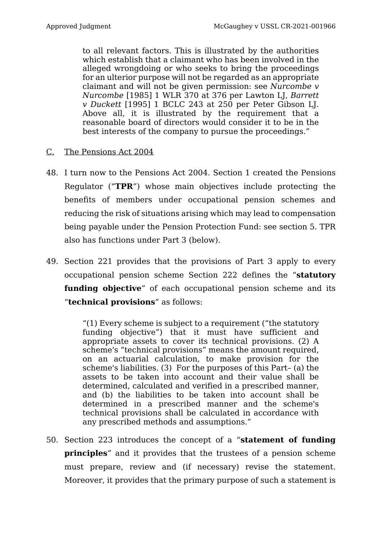to all relevant factors. This is illustrated by the authorities which establish that a claimant who has been involved in the alleged wrongdoing or who seeks to bring the proceedings for an ulterior purpose will not be regarded as an appropriate claimant and will not be given permission: see *Nurcombe v Nurcombe* [1985] 1 WLR 370 at 376 per Lawton LJ, *Barrett v Duckett* [1995] 1 BCLC 243 at 250 per Peter Gibson LJ. Above all, it is illustrated by the requirement that a reasonable board of directors would consider it to be in the best interests of the company to pursue the proceedings."

- C. The Pensions Act 2004
- 48. I turn now to the Pensions Act 2004. Section 1 created the Pensions Regulator ("**TPR**") whose main objectives include protecting the benefits of members under occupational pension schemes and reducing the risk of situations arising which may lead to compensation being payable under the Pension Protection Fund: see section 5. TPR also has functions under Part 3 (below).
- 49. Section 221 provides that the provisions of Part 3 apply to every occupational pension scheme Section 222 defines the "**statutory funding objective**" of each occupational pension scheme and its "**technical provisions**" as follows:

"(1) Every scheme is subject to a requirement ("the statutory funding objective") that it must have sufficient and appropriate assets to cover its technical provisions. (2) A scheme's "technical provisions" means the amount required, on an actuarial calculation, to make provision for the scheme's liabilities. (3) For the purposes of this Part– (a) the assets to be taken into account and their value shall be determined, calculated and verified in a prescribed manner, and (b) the liabilities to be taken into account shall be determined in a prescribed manner and the scheme's technical provisions shall be calculated in accordance with any prescribed methods and assumptions."

50. Section 223 introduces the concept of a "**statement of funding principles**" and it provides that the trustees of a pension scheme must prepare, review and (if necessary) revise the statement. Moreover, it provides that the primary purpose of such a statement is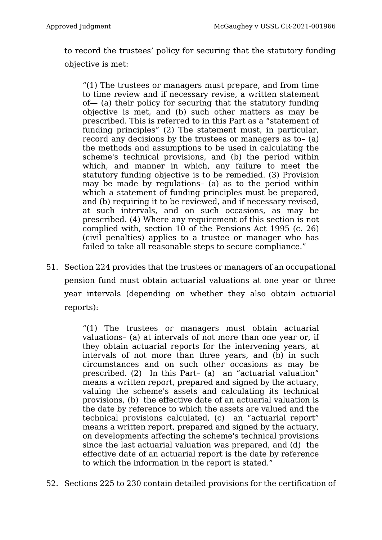to record the trustees' policy for securing that the statutory funding objective is met:

"(1) The trustees or managers must prepare, and from time to time review and if necessary revise, a written statement of— (a) their policy for securing that the statutory funding objective is met, and (b) such other matters as may be prescribed. This is referred to in this Part as a "statement of funding principles" (2) The statement must, in particular, record any decisions by the trustees or managers as to– (a) the methods and assumptions to be used in calculating the scheme's technical provisions, and (b) the period within which, and manner in which, any failure to meet the statutory funding objective is to be remedied. (3) Provision may be made by regulations– (a) as to the period within which a statement of funding principles must be prepared, and (b) requiring it to be reviewed, and if necessary revised, at such intervals, and on such occasions, as may be prescribed. (4) Where any requirement of this section is not complied with, section 10 of the Pensions Act 1995 (c. 26) (civil penalties) applies to a trustee or manager who has failed to take all reasonable steps to secure compliance."

51. Section 224 provides that the trustees or managers of an occupational pension fund must obtain actuarial valuations at one year or three year intervals (depending on whether they also obtain actuarial reports):

> "(1) The trustees or managers must obtain actuarial valuations– (a) at intervals of not more than one year or, if they obtain actuarial reports for the intervening years, at intervals of not more than three years, and (b) in such circumstances and on such other occasions as may be prescribed. (2) In this Part– (a) an "actuarial valuation" means a written report, prepared and signed by the actuary, valuing the scheme's assets and calculating its technical provisions, (b) the effective date of an actuarial valuation is the date by reference to which the assets are valued and the technical provisions calculated, (c) an "actuarial report" means a written report, prepared and signed by the actuary, on developments affecting the scheme's technical provisions since the last actuarial valuation was prepared, and (d) the effective date of an actuarial report is the date by reference to which the information in the report is stated."

52. Sections 225 to 230 contain detailed provisions for the certification of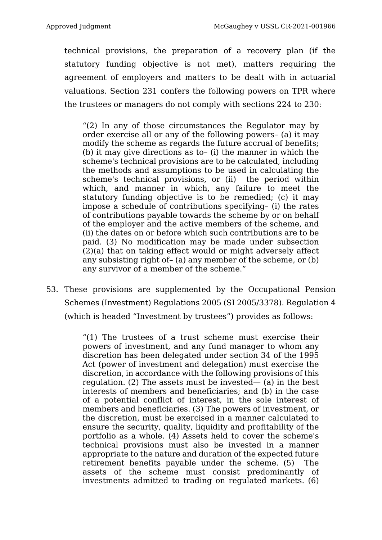technical provisions, the preparation of a recovery plan (if the statutory funding objective is not met), matters requiring the agreement of employers and matters to be dealt with in actuarial valuations. Section 231 confers the following powers on TPR where the trustees or managers do not comply with sections 224 to 230:

"(2) In any of those circumstances the Regulator may by order exercise all or any of the following powers– (a) it may modify the scheme as regards the future accrual of benefits; (b) it may give directions as to– (i) the manner in which the scheme's technical provisions are to be calculated, including the methods and assumptions to be used in calculating the scheme's technical provisions, or (ii) the period within which, and manner in which, any failure to meet the statutory funding objective is to be remedied; (c) it may impose a schedule of contributions specifying– (i) the rates of contributions payable towards the scheme by or on behalf of the employer and the active members of the scheme, and (ii) the dates on or before which such contributions are to be paid. (3) No modification may be made under subsection (2)(a) that on taking effect would or might adversely affect any subsisting right of– (a) any member of the scheme, or (b) any survivor of a member of the scheme."

53. These provisions are supplemented by the Occupational Pension Schemes (Investment) Regulations 2005 (SI 2005/3378). Regulation 4 (which is headed "Investment by trustees") provides as follows:

> "(1) The trustees of a trust scheme must exercise their powers of investment, and any fund manager to whom any discretion has been delegated under section 34 of the 1995 Act (power of investment and delegation) must exercise the discretion, in accordance with the following provisions of this regulation. (2) The assets must be invested— (a) in the best interests of members and beneficiaries; and (b) in the case of a potential conflict of interest, in the sole interest of members and beneficiaries. (3) The powers of investment, or the discretion, must be exercised in a manner calculated to ensure the security, quality, liquidity and profitability of the portfolio as a whole. (4) Assets held to cover the scheme's technical provisions must also be invested in a manner appropriate to the nature and duration of the expected future retirement benefits payable under the scheme. (5) The assets of the scheme must consist predominantly of investments admitted to trading on regulated markets. (6)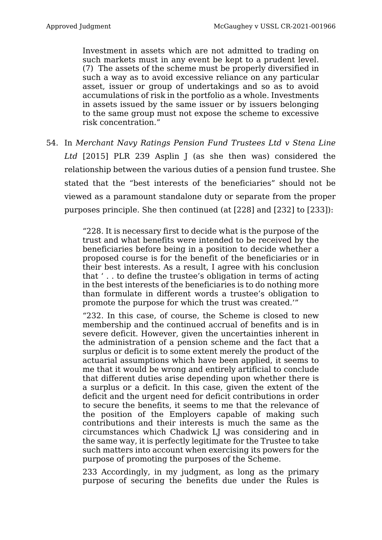Investment in assets which are not admitted to trading on such markets must in any event be kept to a prudent level. (7) The assets of the scheme must be properly diversified in such a way as to avoid excessive reliance on any particular asset, issuer or group of undertakings and so as to avoid accumulations of risk in the portfolio as a whole. Investments in assets issued by the same issuer or by issuers belonging to the same group must not expose the scheme to excessive risk concentration."

54. In *Merchant Navy Ratings Pension Fund Trustees Ltd v Stena Line Ltd* [2015] PLR 239 Asplin J (as she then was) considered the relationship between the various duties of a pension fund trustee. She stated that the "best interests of the beneficiaries" should not be viewed as a paramount standalone duty or separate from the proper purposes principle. She then continued (at [228] and [232] to [233]):

> "228. It is necessary first to decide what is the purpose of the trust and what benefits were intended to be received by the beneficiaries before being in a position to decide whether a proposed course is for the benefit of the beneficiaries or in their best interests. As a result, I agree with his conclusion that ' . . to define the trustee's obligation in terms of acting in the best interests of the beneficiaries is to do nothing more than formulate in different words a trustee's obligation to promote the purpose for which the trust was created.'"

> "232. In this case, of course, the Scheme is closed to new membership and the continued accrual of benefits and is in severe deficit. However, given the uncertainties inherent in the administration of a pension scheme and the fact that a surplus or deficit is to some extent merely the product of the actuarial assumptions which have been applied, it seems to me that it would be wrong and entirely artificial to conclude that different duties arise depending upon whether there is a surplus or a deficit. In this case, given the extent of the deficit and the urgent need for deficit contributions in order to secure the benefits, it seems to me that the relevance of the position of the Employers capable of making such contributions and their interests is much the same as the circumstances which Chadwick LJ was considering and in the same way, it is perfectly legitimate for the Trustee to take such matters into account when exercising its powers for the purpose of promoting the purposes of the Scheme.

> 233 Accordingly, in my judgment, as long as the primary purpose of securing the benefits due under the Rules is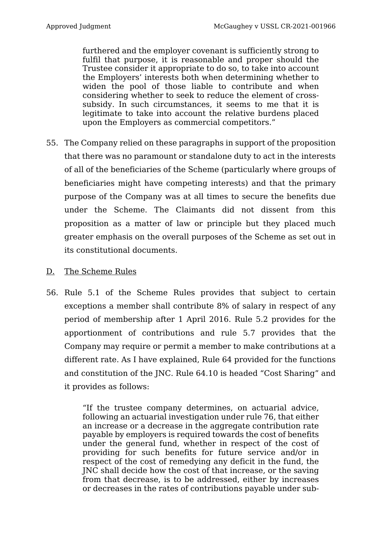furthered and the employer covenant is sufficiently strong to fulfil that purpose, it is reasonable and proper should the Trustee consider it appropriate to do so, to take into account the Employers' interests both when determining whether to widen the pool of those liable to contribute and when considering whether to seek to reduce the element of crosssubsidy. In such circumstances, it seems to me that it is legitimate to take into account the relative burdens placed upon the Employers as commercial competitors."

55. The Company relied on these paragraphs in support of the proposition that there was no paramount or standalone duty to act in the interests of all of the beneficiaries of the Scheme (particularly where groups of beneficiaries might have competing interests) and that the primary purpose of the Company was at all times to secure the benefits due under the Scheme. The Claimants did not dissent from this proposition as a matter of law or principle but they placed much greater emphasis on the overall purposes of the Scheme as set out in its constitutional documents.

# D. The Scheme Rules

56. Rule 5.1 of the Scheme Rules provides that subject to certain exceptions a member shall contribute 8% of salary in respect of any period of membership after 1 April 2016. Rule 5.2 provides for the apportionment of contributions and rule 5.7 provides that the Company may require or permit a member to make contributions at a different rate. As I have explained, Rule 64 provided for the functions and constitution of the JNC. Rule 64.10 is headed "Cost Sharing" and it provides as follows:

> "If the trustee company determines, on actuarial advice, following an actuarial investigation under rule 76, that either an increase or a decrease in the aggregate contribution rate payable by employers is required towards the cost of benefits under the general fund, whether in respect of the cost of providing for such benefits for future service and/or in respect of the cost of remedying any deficit in the fund, the JNC shall decide how the cost of that increase, or the saving from that decrease, is to be addressed, either by increases or decreases in the rates of contributions payable under sub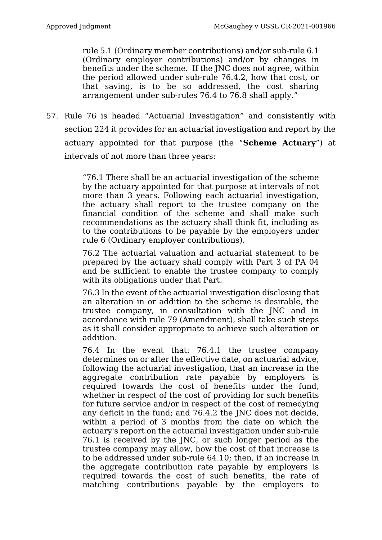rule 5.1 (Ordinary member contributions) and/or sub-rule 6.1 (Ordinary employer contributions) and/or by changes in benefits under the scheme. If the JNC does not agree, within the period allowed under sub-rule 76.4.2, how that cost, or that saving, is to be so addressed, the cost sharing arrangement under sub-rules 76.4 to 76.8 shall apply."

57. Rule 76 is headed "Actuarial Investigation" and consistently with section 224 it provides for an actuarial investigation and report by the actuary appointed for that purpose (the "**Scheme Actuary**") at intervals of not more than three years:

> "76.1 There shall be an actuarial investigation of the scheme by the actuary appointed for that purpose at intervals of not more than 3 years. Following each actuarial investigation, the actuary shall report to the trustee company on the financial condition of the scheme and shall make such recommendations as the actuary shall think fit, including as to the contributions to be payable by the employers under rule 6 (Ordinary employer contributions).

> 76.2 The actuarial valuation and actuarial statement to be prepared by the actuary shall comply with Part 3 of PA 04 and be sufficient to enable the trustee company to comply with its obligations under that Part.

> 76.3 In the event of the actuarial investigation disclosing that an alteration in or addition to the scheme is desirable, the trustee company, in consultation with the JNC and in accordance with rule 79 (Amendment), shall take such steps as it shall consider appropriate to achieve such alteration or addition.

> 76.4 In the event that: 76.4.1 the trustee company determines on or after the effective date, on actuarial advice, following the actuarial investigation, that an increase in the aggregate contribution rate payable by employers is required towards the cost of benefits under the fund, whether in respect of the cost of providing for such benefits for future service and/or in respect of the cost of remedying any deficit in the fund; and 76.4.2 the JNC does not decide, within a period of 3 months from the date on which the actuary's report on the actuarial investigation under sub-rule 76.1 is received by the JNC, or such longer period as the trustee company may allow, how the cost of that increase is to be addressed under sub-rule 64.10; then, if an increase in the aggregate contribution rate payable by employers is required towards the cost of such benefits, the rate of matching contributions payable by the employers to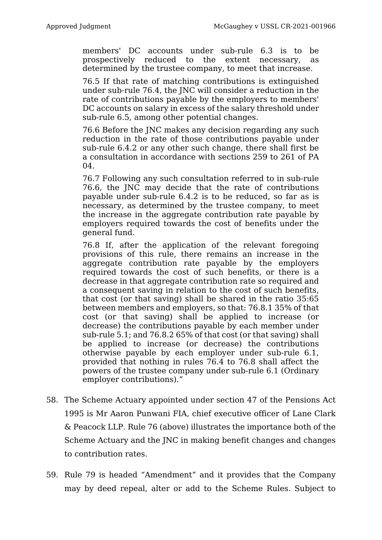members' DC accounts under sub-rule 6.3 is to be prospectively reduced to the extent necessary, as determined by the trustee company, to meet that increase.

76.5 If that rate of matching contributions is extinguished under sub-rule 76.4, the JNC will consider a reduction in the rate of contributions payable by the employers to members' DC accounts on salary in excess of the salary threshold under sub-rule 6.5, among other potential changes.

76.6 Before the JNC makes any decision regarding any such reduction in the rate of those contributions payable under sub-rule 6.4.2 or any other such change, there shall first be a consultation in accordance with sections 259 to 261 of PA 04.

76.7 Following any such consultation referred to in sub-rule 76.6, the JNC may decide that the rate of contributions payable under sub-rule 6.4.2 is to be reduced, so far as is necessary, as determined by the trustee company, to meet the increase in the aggregate contribution rate payable by employers required towards the cost of benefits under the general fund.

76.8 If, after the application of the relevant foregoing provisions of this rule, there remains an increase in the aggregate contribution rate payable by the employers required towards the cost of such benefits, or there is a decrease in that aggregate contribution rate so required and a consequent saving in relation to the cost of such benefits, that cost (or that saving) shall be shared in the ratio 35:65 between members and employers, so that: 76.8.1 35% of that cost (or that saving) shall be applied to increase (or decrease) the contributions payable by each member under sub-rule 5.1; and 76.8.2 65% of that cost (or that saving) shall be applied to increase (or decrease) the contributions otherwise payable by each employer under sub-rule 6.1, provided that nothing in rules 76.4 to 76.8 shall affect the powers of the trustee company under sub-rule 6.1 (Ordinary employer contributions)."

- 58. The Scheme Actuary appointed under section 47 of the Pensions Act 1995 is Mr Aaron Punwani FIA, chief executive officer of Lane Clark & Peacock LLP. Rule 76 (above) illustrates the importance both of the Scheme Actuary and the JNC in making benefit changes and changes to contribution rates.
- 59. Rule 79 is headed "Amendment" and it provides that the Company may by deed repeal, alter or add to the Scheme Rules. Subject to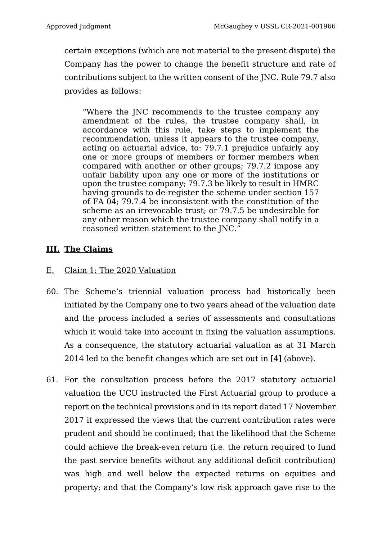certain exceptions (which are not material to the present dispute) the Company has the power to change the benefit structure and rate of contributions subject to the written consent of the JNC. Rule 79.7 also provides as follows:

"Where the JNC recommends to the trustee company any amendment of the rules, the trustee company shall, in accordance with this rule, take steps to implement the recommendation, unless it appears to the trustee company, acting on actuarial advice, to: 79.7.1 prejudice unfairly any one or more groups of members or former members when compared with another or other groups; 79.7.2 impose any unfair liability upon any one or more of the institutions or upon the trustee company; 79.7.3 be likely to result in HMRC having grounds to de-register the scheme under section 157 of FA 04; 79.7.4 be inconsistent with the constitution of the scheme as an irrevocable trust; or 79.7.5 be undesirable for any other reason which the trustee company shall notify in a reasoned written statement to the JNC."

# **III. The Claims**

# E. Claim 1: The 2020 Valuation

- 60. The Scheme's triennial valuation process had historically been initiated by the Company one to two years ahead of the valuation date and the process included a series of assessments and consultations which it would take into account in fixing the valuation assumptions. As a consequence, the statutory actuarial valuation as at 31 March 2014 led to the benefit changes which are set out in [4] (above).
- 61. For the consultation process before the 2017 statutory actuarial valuation the UCU instructed the First Actuarial group to produce a report on the technical provisions and in its report dated 17 November 2017 it expressed the views that the current contribution rates were prudent and should be continued; that the likelihood that the Scheme could achieve the break-even return (i.e. the return required to fund the past service benefits without any additional deficit contribution) was high and well below the expected returns on equities and property; and that the Company's low risk approach gave rise to the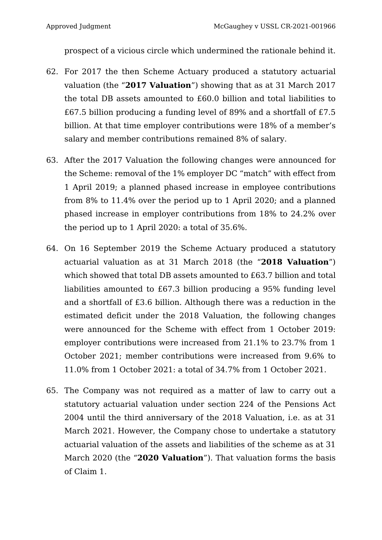prospect of a vicious circle which undermined the rationale behind it.

- 62. For 2017 the then Scheme Actuary produced a statutory actuarial valuation (the "**2017 Valuation**") showing that as at 31 March 2017 the total DB assets amounted to £60.0 billion and total liabilities to £67.5 billion producing a funding level of 89% and a shortfall of £7.5 billion. At that time employer contributions were 18% of a member's salary and member contributions remained 8% of salary.
- 63. After the 2017 Valuation the following changes were announced for the Scheme: removal of the 1% employer DC "match" with effect from 1 April 2019; a planned phased increase in employee contributions from 8% to 11.4% over the period up to 1 April 2020; and a planned phased increase in employer contributions from 18% to 24.2% over the period up to 1 April 2020: a total of 35.6%.
- 64. On 16 September 2019 the Scheme Actuary produced a statutory actuarial valuation as at 31 March 2018 (the "**2018 Valuation**") which showed that total DB assets amounted to £63.7 billion and total liabilities amounted to £67.3 billion producing a 95% funding level and a shortfall of £3.6 billion. Although there was a reduction in the estimated deficit under the 2018 Valuation, the following changes were announced for the Scheme with effect from 1 October 2019: employer contributions were increased from 21.1% to 23.7% from 1 October 2021; member contributions were increased from 9.6% to 11.0% from 1 October 2021: a total of 34.7% from 1 October 2021.
- 65. The Company was not required as a matter of law to carry out a statutory actuarial valuation under section 224 of the Pensions Act 2004 until the third anniversary of the 2018 Valuation, i.e. as at 31 March 2021. However, the Company chose to undertake a statutory actuarial valuation of the assets and liabilities of the scheme as at 31 March 2020 (the "**2020 Valuation**"). That valuation forms the basis of Claim 1.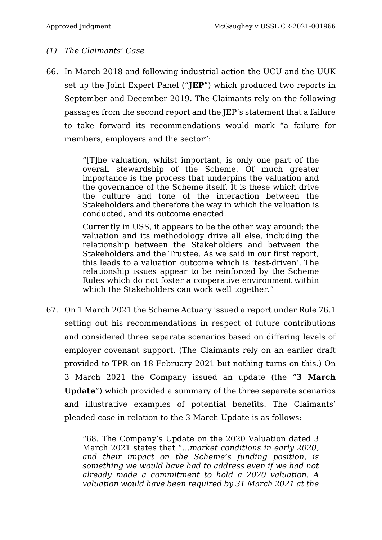# *(1) The Claimants' Case*

66. In March 2018 and following industrial action the UCU and the UUK set up the Joint Expert Panel ("**JEP**") which produced two reports in September and December 2019. The Claimants rely on the following passages from the second report and the JEP's statement that a failure to take forward its recommendations would mark "a failure for members, employers and the sector":

> "[T]he valuation, whilst important, is only one part of the overall stewardship of the Scheme. Of much greater importance is the process that underpins the valuation and the governance of the Scheme itself. It is these which drive the culture and tone of the interaction between the Stakeholders and therefore the way in which the valuation is conducted, and its outcome enacted.

> Currently in USS, it appears to be the other way around: the valuation and its methodology drive all else, including the relationship between the Stakeholders and between the Stakeholders and the Trustee. As we said in our first report, this leads to a valuation outcome which is 'test-driven'. The relationship issues appear to be reinforced by the Scheme Rules which do not foster a cooperative environment within which the Stakeholders can work well together."

67. On 1 March 2021 the Scheme Actuary issued a report under Rule 76.1 setting out his recommendations in respect of future contributions and considered three separate scenarios based on differing levels of employer covenant support. (The Claimants rely on an earlier draft provided to TPR on 18 February 2021 but nothing turns on this.) On 3 March 2021 the Company issued an update (the "**3 March Update**") which provided a summary of the three separate scenarios and illustrative examples of potential benefits. The Claimants' pleaded case in relation to the 3 March Update is as follows:

> "68. The Company's Update on the 2020 Valuation dated 3 March 2021 states that *"…market conditions in early 2020, and their impact on the Scheme's funding position, is something we would have had to address even if we had not already made a commitment to hold a 2020 valuation. A valuation would have been required by 31 March 2021 at the*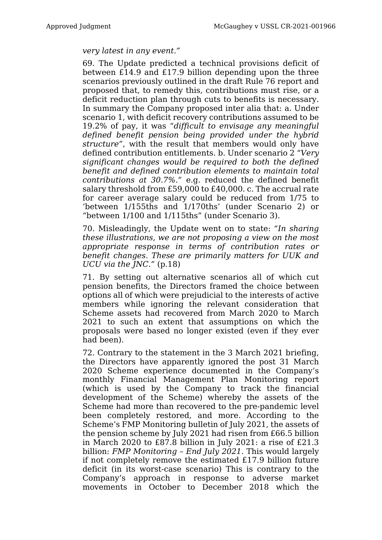*very latest in any event."*

69. The Update predicted a technical provisions deficit of between £14.9 and £17.9 billion depending upon the three scenarios previously outlined in the draft Rule 76 report and proposed that, to remedy this, contributions must rise, or a deficit reduction plan through cuts to benefits is necessary. In summary the Company proposed inter alia that: a. Under scenario 1, with deficit recovery contributions assumed to be 19.2% of pay, it was "*difficult to envisage any meaningful defined benefit pension being provided under the hybrid structure"*, with the result that members would only have defined contribution entitlements. b. Under scenario 2 "*Very significant changes would be required to both the defined benefit and defined contribution elements to maintain total contributions at 30.7%."* e.g. reduced the defined benefit salary threshold from £59,000 to £40,000. c. The accrual rate for career average salary could be reduced from 1/75 to 'between 1/155ths and 1/170ths' (under Scenario 2) or "between 1/100 and 1/115ths" (under Scenario 3).

70. Misleadingly, the Update went on to state: *"In sharing these illustrations, we are not proposing a view on the most appropriate response in terms of contribution rates or benefit changes. These are primarily matters for UUK and UCU via the JNC."* (p.18)

71. By setting out alternative scenarios all of which cut pension benefits, the Directors framed the choice between options all of which were prejudicial to the interests of active members while ignoring the relevant consideration that Scheme assets had recovered from March 2020 to March 2021 to such an extent that assumptions on which the proposals were based no longer existed (even if they ever had been).

72. Contrary to the statement in the 3 March 2021 briefing, the Directors have apparently ignored the post 31 March 2020 Scheme experience documented in the Company's monthly Financial Management Plan Monitoring report (which is used by the Company to track the financial development of the Scheme) whereby the assets of the Scheme had more than recovered to the pre-pandemic level been completely restored, and more. According to the Scheme's FMP Monitoring bulletin of July 2021, the assets of the pension scheme by July 2021 had risen from £66.5 billion in March 2020 to £87.8 billion in July 2021: a rise of £21.3 billion: *FMP Monitoring – End July 2021*. This would largely if not completely remove the estimated £17.9 billion future deficit (in its worst-case scenario) This is contrary to the Company's approach in response to adverse market movements in October to December 2018 which the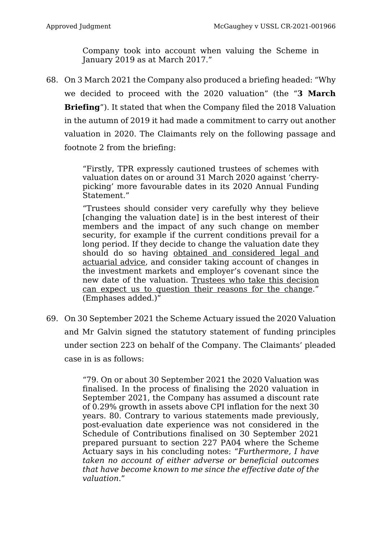Company took into account when valuing the Scheme in January 2019 as at March 2017."

68. On 3 March 2021 the Company also produced a briefing headed: "Why we decided to proceed with the 2020 valuation" (the "**3 March Briefing**"). It stated that when the Company filed the 2018 Valuation in the autumn of 2019 it had made a commitment to carry out another valuation in 2020. The Claimants rely on the following passage and footnote 2 from the briefing:

> "Firstly, TPR expressly cautioned trustees of schemes with valuation dates on or around 31 March 2020 against 'cherrypicking' more favourable dates in its 2020 Annual Funding Statement."

> "Trustees should consider very carefully why they believe [changing the valuation date] is in the best interest of their members and the impact of any such change on member security, for example if the current conditions prevail for a long period. If they decide to change the valuation date they should do so having obtained and considered legal and actuarial advice, and consider taking account of changes in the investment markets and employer's covenant since the new date of the valuation. Trustees who take this decision can expect us to question their reasons for the change." (Emphases added.)"

69. On 30 September 2021 the Scheme Actuary issued the 2020 Valuation and Mr Galvin signed the statutory statement of funding principles under section 223 on behalf of the Company. The Claimants' pleaded case in is as follows:

> "79. On or about 30 September 2021 the 2020 Valuation was finalised. In the process of finalising the 2020 valuation in September 2021, the Company has assumed a discount rate of 0.29% growth in assets above CPI inflation for the next 30 years. 80. Contrary to various statements made previously, post-evaluation date experience was not considered in the Schedule of Contributions finalised on 30 September 2021 prepared pursuant to section 227 PA04 where the Scheme Actuary says in his concluding notes: "*Furthermore, I have taken no account of either adverse or beneficial outcomes that have become known to me since the effective date of the valuation*."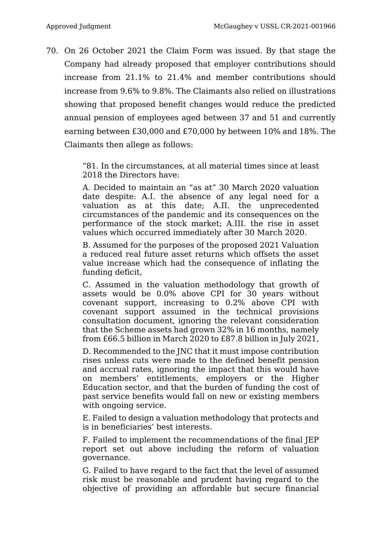70. On 26 October 2021 the Claim Form was issued. By that stage the Company had already proposed that employer contributions should increase from 21.1% to 21.4% and member contributions should increase from 9.6% to 9.8%. The Claimants also relied on illustrations showing that proposed benefit changes would reduce the predicted annual pension of employees aged between 37 and 51 and currently earning between £30,000 and £70,000 by between 10% and 18%. The Claimants then allege as follows:

> "81. In the circumstances, at all material times since at least 2018 the Directors have:

> A. Decided to maintain an "as at" 30 March 2020 valuation date despite: A.I. the absence of any legal need for a valuation as at this date; A.II. the unprecedented circumstances of the pandemic and its consequences on the performance of the stock market; A.III. the rise in asset values which occurred immediately after 30 March 2020.

> B. Assumed for the purposes of the proposed 2021 Valuation a reduced real future asset returns which offsets the asset value increase which had the consequence of inflating the funding deficit,

> C. Assumed in the valuation methodology that growth of assets would be 0.0% above CPI for 30 years without covenant support, increasing to 0.2% above CPI with covenant support assumed in the technical provisions consultation document, ignoring the relevant consideration that the Scheme assets had grown 32% in 16 months, namely from £66.5 billion in March 2020 to £87.8 billion in July 2021,

> D. Recommended to the JNC that it must impose contribution rises unless cuts were made to the defined benefit pension and accrual rates, ignoring the impact that this would have on members' entitlements, employers or the Higher Education sector, and that the burden of funding the cost of past service benefits would fall on new or existing members with ongoing service.

> E. Failed to design a valuation methodology that protects and is in beneficiaries' best interests.

> F. Failed to implement the recommendations of the final JEP report set out above including the reform of valuation governance.

> G. Failed to have regard to the fact that the level of assumed risk must be reasonable and prudent having regard to the objective of providing an affordable but secure financial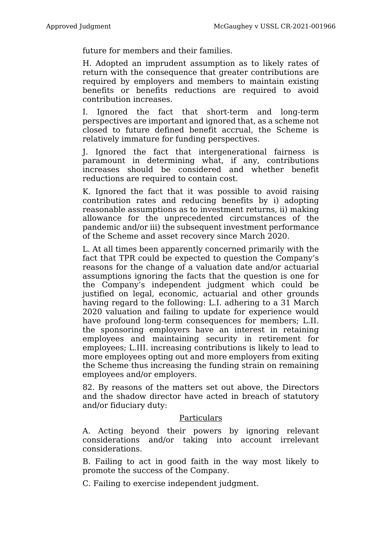future for members and their families.

H. Adopted an imprudent assumption as to likely rates of return with the consequence that greater contributions are required by employers and members to maintain existing benefits or benefits reductions are required to avoid contribution increases.

I. Ignored the fact that short-term and long-term perspectives are important and ignored that, as a scheme not closed to future defined benefit accrual, the Scheme is relatively immature for funding perspectives.

J. Ignored the fact that intergenerational fairness is paramount in determining what, if any, contributions increases should be considered and whether benefit reductions are required to contain cost.

K. Ignored the fact that it was possible to avoid raising contribution rates and reducing benefits by i) adopting reasonable assumptions as to investment returns, ii) making allowance for the unprecedented circumstances of the pandemic and/or iii) the subsequent investment performance of the Scheme and asset recovery since March 2020.

L. At all times been apparently concerned primarily with the fact that TPR could be expected to question the Company's reasons for the change of a valuation date and/or actuarial assumptions ignoring the facts that the question is one for the Company's independent judgment which could be justified on legal, economic, actuarial and other grounds having regard to the following: L.I. adhering to a 31 March 2020 valuation and failing to update for experience would have profound long-term consequences for members; L.II. the sponsoring employers have an interest in retaining employees and maintaining security in retirement for employees; L.III. increasing contributions is likely to lead to more employees opting out and more employers from exiting the Scheme thus increasing the funding strain on remaining employees and/or employers.

82. By reasons of the matters set out above, the Directors and the shadow director have acted in breach of statutory and/or fiduciary duty:

#### Particulars

A. Acting beyond their powers by ignoring relevant considerations and/or taking into account irrelevant considerations.

B. Failing to act in good faith in the way most likely to promote the success of the Company.

C. Failing to exercise independent judgment.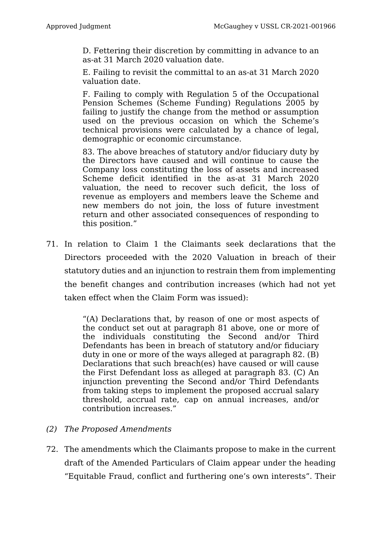D. Fettering their discretion by committing in advance to an as-at 31 March 2020 valuation date.

E. Failing to revisit the committal to an as-at 31 March 2020 valuation date.

F. Failing to comply with Regulation 5 of the Occupational Pension Schemes (Scheme Funding) Regulations 2005 by failing to justify the change from the method or assumption used on the previous occasion on which the Scheme's technical provisions were calculated by a chance of legal, demographic or economic circumstance.

83. The above breaches of statutory and/or fiduciary duty by the Directors have caused and will continue to cause the Company loss constituting the loss of assets and increased Scheme deficit identified in the as-at 31 March 2020 valuation, the need to recover such deficit, the loss of revenue as employers and members leave the Scheme and new members do not join, the loss of future investment return and other associated consequences of responding to this position."

71. In relation to Claim 1 the Claimants seek declarations that the Directors proceeded with the 2020 Valuation in breach of their statutory duties and an injunction to restrain them from implementing the benefit changes and contribution increases (which had not yet taken effect when the Claim Form was issued):

> "(A) Declarations that, by reason of one or most aspects of the conduct set out at paragraph 81 above, one or more of the individuals constituting the Second and/or Third Defendants has been in breach of statutory and/or fiduciary duty in one or more of the ways alleged at paragraph 82. (B) Declarations that such breach(es) have caused or will cause the First Defendant loss as alleged at paragraph 83. (C) An injunction preventing the Second and/or Third Defendants from taking steps to implement the proposed accrual salary threshold, accrual rate, cap on annual increases, and/or contribution increases."

## *(2) The Proposed Amendments*

72. The amendments which the Claimants propose to make in the current draft of the Amended Particulars of Claim appear under the heading "Equitable Fraud, conflict and furthering one's own interests". Their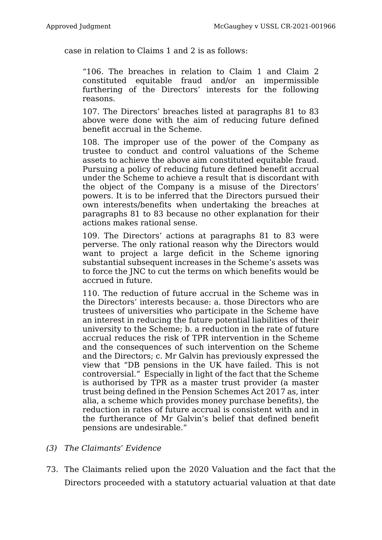case in relation to Claims 1 and 2 is as follows:

"106. The breaches in relation to Claim 1 and Claim 2 constituted equitable fraud and/or an impermissible furthering of the Directors' interests for the following reasons.

107. The Directors' breaches listed at paragraphs 81 to 83 above were done with the aim of reducing future defined benefit accrual in the Scheme.

108. The improper use of the power of the Company as trustee to conduct and control valuations of the Scheme assets to achieve the above aim constituted equitable fraud. Pursuing a policy of reducing future defined benefit accrual under the Scheme to achieve a result that is discordant with the object of the Company is a misuse of the Directors' powers. It is to be inferred that the Directors pursued their own interests/benefits when undertaking the breaches at paragraphs 81 to 83 because no other explanation for their actions makes rational sense.

109. The Directors' actions at paragraphs 81 to 83 were perverse. The only rational reason why the Directors would want to project a large deficit in the Scheme ignoring substantial subsequent increases in the Scheme's assets was to force the JNC to cut the terms on which benefits would be accrued in future.

110. The reduction of future accrual in the Scheme was in the Directors' interests because: a. those Directors who are trustees of universities who participate in the Scheme have an interest in reducing the future potential liabilities of their university to the Scheme; b. a reduction in the rate of future accrual reduces the risk of TPR intervention in the Scheme and the consequences of such intervention on the Scheme and the Directors; c. Mr Galvin has previously expressed the view that "DB pensions in the UK have failed. This is not controversial." Especially in light of the fact that the Scheme is authorised by TPR as a master trust provider (a master trust being defined in the Pension Schemes Act 2017 as, inter alia, a scheme which provides money purchase benefits), the reduction in rates of future accrual is consistent with and in the furtherance of Mr Galvin's belief that defined benefit pensions are undesirable."

- *(3) The Claimants' Evidence*
- 73. The Claimants relied upon the 2020 Valuation and the fact that the Directors proceeded with a statutory actuarial valuation at that date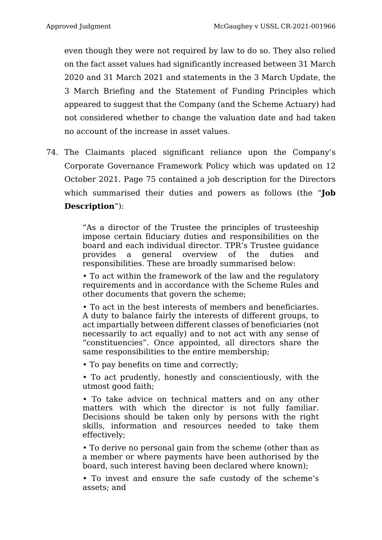even though they were not required by law to do so. They also relied on the fact asset values had significantly increased between 31 March 2020 and 31 March 2021 and statements in the 3 March Update, the 3 March Briefing and the Statement of Funding Principles which appeared to suggest that the Company (and the Scheme Actuary) had not considered whether to change the valuation date and had taken no account of the increase in asset values.

74. The Claimants placed significant reliance upon the Company's Corporate Governance Framework Policy which was updated on 12 October 2021. Page 75 contained a job description for the Directors which summarised their duties and powers as follows (the "**Job Description**"):

> "As a director of the Trustee the principles of trusteeship impose certain fiduciary duties and responsibilities on the board and each individual director. TPR's Trustee guidance provides a general overview of the duties and responsibilities. These are broadly summarised below:

> • To act within the framework of the law and the regulatory requirements and in accordance with the Scheme Rules and other documents that govern the scheme;

> • To act in the best interests of members and beneficiaries. A duty to balance fairly the interests of different groups, to act impartially between different classes of beneficiaries (not necessarily to act equally) and to not act with any sense of "constituencies". Once appointed, all directors share the same responsibilities to the entire membership;

• To pay benefits on time and correctly;

• To act prudently, honestly and conscientiously, with the utmost good faith;

• To take advice on technical matters and on any other matters with which the director is not fully familiar. Decisions should be taken only by persons with the right skills, information and resources needed to take them effectively;

• To derive no personal gain from the scheme (other than as a member or where payments have been authorised by the board, such interest having been declared where known);

• To invest and ensure the safe custody of the scheme's assets; and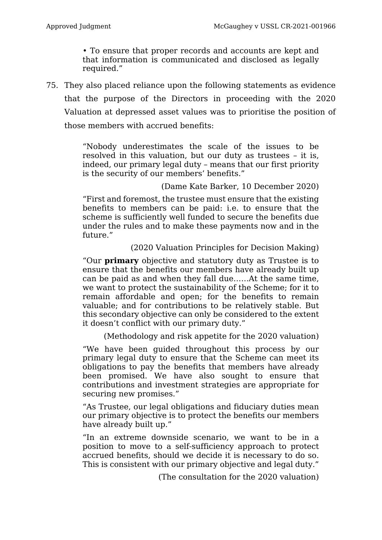• To ensure that proper records and accounts are kept and that information is communicated and disclosed as legally required."

75. They also placed reliance upon the following statements as evidence that the purpose of the Directors in proceeding with the 2020 Valuation at depressed asset values was to prioritise the position of those members with accrued benefits:

> "Nobody underestimates the scale of the issues to be resolved in this valuation, but our duty as trustees – it is, indeed, our primary legal duty – means that our first priority is the security of our members' benefits."

> > (Dame Kate Barker, 10 December 2020)

"First and foremost, the trustee must ensure that the existing benefits to members can be paid: i.e. to ensure that the scheme is sufficiently well funded to secure the benefits due under the rules and to make these payments now and in the future."

### (2020 Valuation Principles for Decision Making)

"Our **primary** objective and statutory duty as Trustee is to ensure that the benefits our members have already built up can be paid as and when they fall due……At the same time, we want to protect the sustainability of the Scheme; for it to remain affordable and open; for the benefits to remain valuable; and for contributions to be relatively stable. But this secondary objective can only be considered to the extent it doesn't conflict with our primary duty."

(Methodology and risk appetite for the 2020 valuation)

"We have been guided throughout this process by our primary legal duty to ensure that the Scheme can meet its obligations to pay the benefits that members have already been promised. We have also sought to ensure that contributions and investment strategies are appropriate for securing new promises."

"As Trustee, our legal obligations and fiduciary duties mean our primary objective is to protect the benefits our members have already built up."

"In an extreme downside scenario, we want to be in a position to move to a self-sufficiency approach to protect accrued benefits, should we decide it is necessary to do so. This is consistent with our primary objective and legal duty."

(The consultation for the 2020 valuation)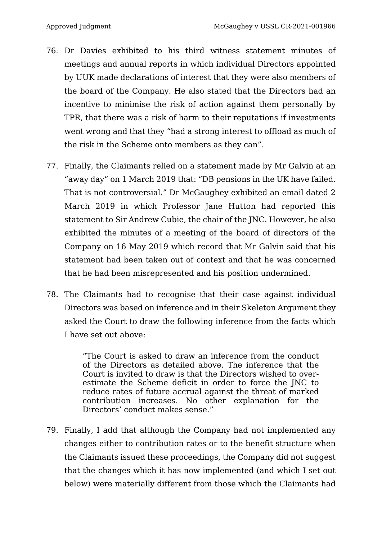- 76. Dr Davies exhibited to his third witness statement minutes of meetings and annual reports in which individual Directors appointed by UUK made declarations of interest that they were also members of the board of the Company. He also stated that the Directors had an incentive to minimise the risk of action against them personally by TPR, that there was a risk of harm to their reputations if investments went wrong and that they "had a strong interest to offload as much of the risk in the Scheme onto members as they can".
- 77. Finally, the Claimants relied on a statement made by Mr Galvin at an "away day" on 1 March 2019 that: "DB pensions in the UK have failed. That is not controversial." Dr McGaughey exhibited an email dated 2 March 2019 in which Professor Jane Hutton had reported this statement to Sir Andrew Cubie, the chair of the JNC. However, he also exhibited the minutes of a meeting of the board of directors of the Company on 16 May 2019 which record that Mr Galvin said that his statement had been taken out of context and that he was concerned that he had been misrepresented and his position undermined.
- 78. The Claimants had to recognise that their case against individual Directors was based on inference and in their Skeleton Argument they asked the Court to draw the following inference from the facts which I have set out above:

"The Court is asked to draw an inference from the conduct of the Directors as detailed above. The inference that the Court is invited to draw is that the Directors wished to overestimate the Scheme deficit in order to force the JNC to reduce rates of future accrual against the threat of marked contribution increases. No other explanation for the Directors' conduct makes sense."

79. Finally, I add that although the Company had not implemented any changes either to contribution rates or to the benefit structure when the Claimants issued these proceedings, the Company did not suggest that the changes which it has now implemented (and which I set out below) were materially different from those which the Claimants had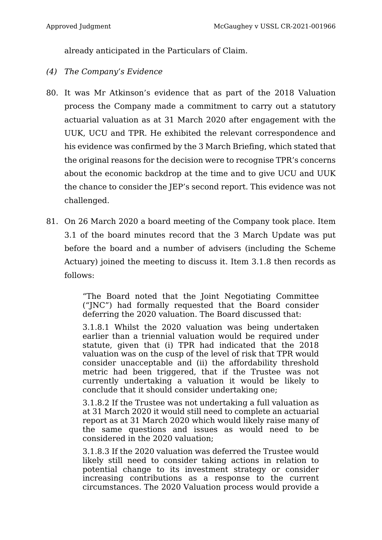already anticipated in the Particulars of Claim.

- *(4) The Company's Evidence*
- 80. It was Mr Atkinson's evidence that as part of the 2018 Valuation process the Company made a commitment to carry out a statutory actuarial valuation as at 31 March 2020 after engagement with the UUK, UCU and TPR. He exhibited the relevant correspondence and his evidence was confirmed by the 3 March Briefing, which stated that the original reasons for the decision were to recognise TPR's concerns about the economic backdrop at the time and to give UCU and UUK the chance to consider the JEP's second report. This evidence was not challenged.
- 81. On 26 March 2020 a board meeting of the Company took place. Item 3.1 of the board minutes record that the 3 March Update was put before the board and a number of advisers (including the Scheme Actuary) joined the meeting to discuss it. Item 3.1.8 then records as follows:

"The Board noted that the Joint Negotiating Committee ("JNC") had formally requested that the Board consider deferring the 2020 valuation. The Board discussed that:

3.1.8.1 Whilst the 2020 valuation was being undertaken earlier than a triennial valuation would be required under statute, given that (i) TPR had indicated that the 2018 valuation was on the cusp of the level of risk that TPR would consider unacceptable and (ii) the affordability threshold metric had been triggered, that if the Trustee was not currently undertaking a valuation it would be likely to conclude that it should consider undertaking one;

3.1.8.2 If the Trustee was not undertaking a full valuation as at 31 March 2020 it would still need to complete an actuarial report as at 31 March 2020 which would likely raise many of the same questions and issues as would need to be considered in the 2020 valuation;

3.1.8.3 If the 2020 valuation was deferred the Trustee would likely still need to consider taking actions in relation to potential change to its investment strategy or consider increasing contributions as a response to the current circumstances. The 2020 Valuation process would provide a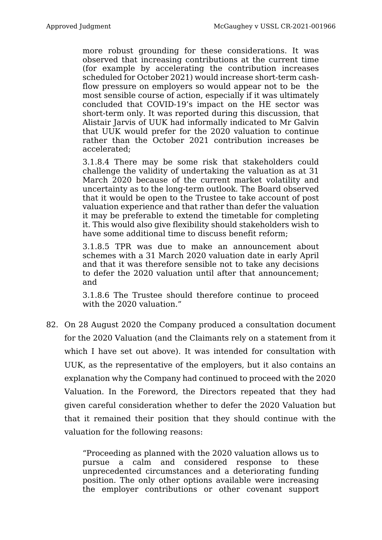more robust grounding for these considerations. It was observed that increasing contributions at the current time (for example by accelerating the contribution increases scheduled for October 2021) would increase short-term cashflow pressure on employers so would appear not to be the most sensible course of action, especially if it was ultimately concluded that COVID-19's impact on the HE sector was short-term only. It was reported during this discussion, that Alistair Jarvis of UUK had informally indicated to Mr Galvin that UUK would prefer for the 2020 valuation to continue rather than the October 2021 contribution increases be accelerated;

3.1.8.4 There may be some risk that stakeholders could challenge the validity of undertaking the valuation as at 31 March 2020 because of the current market volatility and uncertainty as to the long-term outlook. The Board observed that it would be open to the Trustee to take account of post valuation experience and that rather than defer the valuation it may be preferable to extend the timetable for completing it. This would also give flexibility should stakeholders wish to have some additional time to discuss benefit reform;

3.1.8.5 TPR was due to make an announcement about schemes with a 31 March 2020 valuation date in early April and that it was therefore sensible not to take any decisions to defer the 2020 valuation until after that announcement; and

3.1.8.6 The Trustee should therefore continue to proceed with the 2020 valuation."

82. On 28 August 2020 the Company produced a consultation document for the 2020 Valuation (and the Claimants rely on a statement from it which I have set out above). It was intended for consultation with UUK, as the representative of the employers, but it also contains an explanation why the Company had continued to proceed with the 2020 Valuation. In the Foreword, the Directors repeated that they had given careful consideration whether to defer the 2020 Valuation but that it remained their position that they should continue with the valuation for the following reasons:

> "Proceeding as planned with the 2020 valuation allows us to pursue a calm and considered response to these unprecedented circumstances and a deteriorating funding position. The only other options available were increasing the employer contributions or other covenant support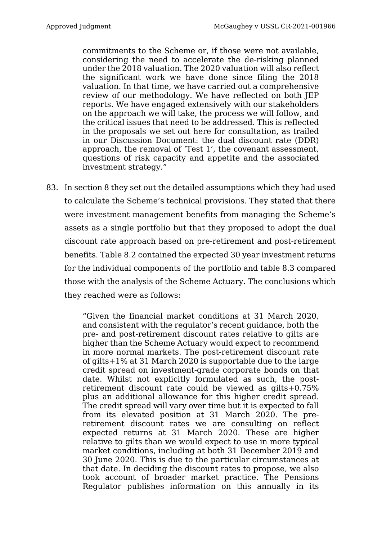commitments to the Scheme or, if those were not available, considering the need to accelerate the de-risking planned under the 2018 valuation. The 2020 valuation will also reflect the significant work we have done since filing the 2018 valuation. In that time, we have carried out a comprehensive review of our methodology. We have reflected on both JEP reports. We have engaged extensively with our stakeholders on the approach we will take, the process we will follow, and the critical issues that need to be addressed. This is reflected in the proposals we set out here for consultation, as trailed in our Discussion Document: the dual discount rate (DDR) approach, the removal of 'Test 1', the covenant assessment, questions of risk capacity and appetite and the associated investment strategy."

83. In section 8 they set out the detailed assumptions which they had used to calculate the Scheme's technical provisions. They stated that there were investment management benefits from managing the Scheme's assets as a single portfolio but that they proposed to adopt the dual discount rate approach based on pre-retirement and post-retirement benefits. Table 8.2 contained the expected 30 year investment returns for the individual components of the portfolio and table 8.3 compared those with the analysis of the Scheme Actuary. The conclusions which they reached were as follows:

> "Given the financial market conditions at 31 March 2020, and consistent with the regulator's recent guidance, both the pre- and post-retirement discount rates relative to gilts are higher than the Scheme Actuary would expect to recommend in more normal markets. The post-retirement discount rate of gilts+1% at 31 March 2020 is supportable due to the large credit spread on investment-grade corporate bonds on that date. Whilst not explicitly formulated as such, the postretirement discount rate could be viewed as gilts+0.75% plus an additional allowance for this higher credit spread. The credit spread will vary over time but it is expected to fall from its elevated position at 31 March 2020. The preretirement discount rates we are consulting on reflect expected returns at 31 March 2020. These are higher relative to gilts than we would expect to use in more typical market conditions, including at both 31 December 2019 and 30 June 2020. This is due to the particular circumstances at that date. In deciding the discount rates to propose, we also took account of broader market practice. The Pensions Regulator publishes information on this annually in its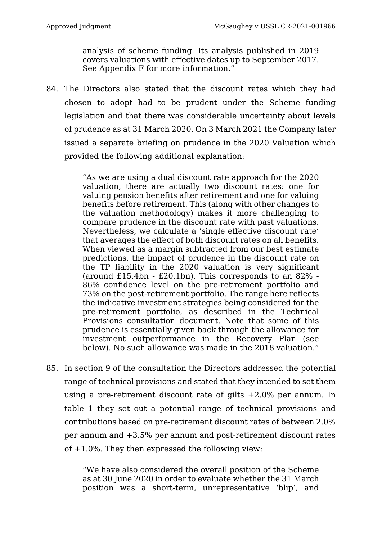analysis of scheme funding. Its analysis published in 2019 covers valuations with effective dates up to September 2017. See Appendix F for more information."

84. The Directors also stated that the discount rates which they had chosen to adopt had to be prudent under the Scheme funding legislation and that there was considerable uncertainty about levels of prudence as at 31 March 2020. On 3 March 2021 the Company later issued a separate briefing on prudence in the 2020 Valuation which provided the following additional explanation:

> "As we are using a dual discount rate approach for the 2020 valuation, there are actually two discount rates: one for valuing pension benefits after retirement and one for valuing benefits before retirement. This (along with other changes to the valuation methodology) makes it more challenging to compare prudence in the discount rate with past valuations. Nevertheless, we calculate a 'single effective discount rate' that averages the effect of both discount rates on all benefits. When viewed as a margin subtracted from our best estimate predictions, the impact of prudence in the discount rate on the TP liability in the 2020 valuation is very significant (around £15.4bn - £20.1bn). This corresponds to an 82% - 86% confidence level on the pre-retirement portfolio and 73% on the post-retirement portfolio. The range here reflects the indicative investment strategies being considered for the pre-retirement portfolio, as described in the Technical Provisions consultation document. Note that some of this prudence is essentially given back through the allowance for investment outperformance in the Recovery Plan (see below). No such allowance was made in the 2018 valuation."

85. In section 9 of the consultation the Directors addressed the potential range of technical provisions and stated that they intended to set them using a pre-retirement discount rate of gilts +2.0% per annum. In table 1 they set out a potential range of technical provisions and contributions based on pre-retirement discount rates of between 2.0% per annum and +3.5% per annum and post-retirement discount rates of +1.0%. They then expressed the following view:

> "We have also considered the overall position of the Scheme as at 30 June 2020 in order to evaluate whether the 31 March position was a short-term, unrepresentative 'blip', and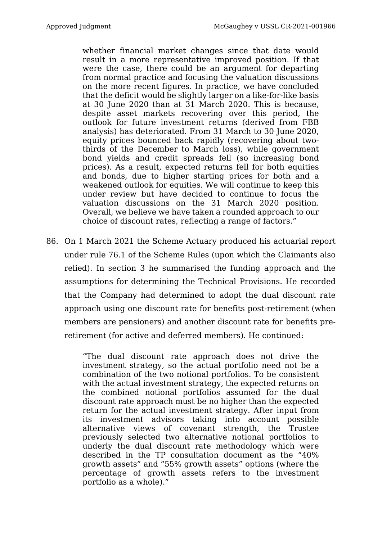whether financial market changes since that date would result in a more representative improved position. If that were the case, there could be an argument for departing from normal practice and focusing the valuation discussions on the more recent figures. In practice, we have concluded that the deficit would be slightly larger on a like-for-like basis at 30 June 2020 than at 31 March 2020. This is because, despite asset markets recovering over this period, the outlook for future investment returns (derived from FBB analysis) has deteriorated. From 31 March to 30 June 2020, equity prices bounced back rapidly (recovering about twothirds of the December to March loss), while government bond yields and credit spreads fell (so increasing bond prices). As a result, expected returns fell for both equities and bonds, due to higher starting prices for both and a weakened outlook for equities. We will continue to keep this under review but have decided to continue to focus the valuation discussions on the 31 March 2020 position. Overall, we believe we have taken a rounded approach to our choice of discount rates, reflecting a range of factors."

86. On 1 March 2021 the Scheme Actuary produced his actuarial report under rule 76.1 of the Scheme Rules (upon which the Claimants also relied). In section 3 he summarised the funding approach and the assumptions for determining the Technical Provisions. He recorded that the Company had determined to adopt the dual discount rate approach using one discount rate for benefits post-retirement (when members are pensioners) and another discount rate for benefits preretirement (for active and deferred members). He continued:

> "The dual discount rate approach does not drive the investment strategy, so the actual portfolio need not be a combination of the two notional portfolios. To be consistent with the actual investment strategy, the expected returns on the combined notional portfolios assumed for the dual discount rate approach must be no higher than the expected return for the actual investment strategy. After input from its investment advisors taking into account possible alternative views of covenant strength, the Trustee previously selected two alternative notional portfolios to underly the dual discount rate methodology which were described in the TP consultation document as the "40% growth assets" and "55% growth assets" options (where the percentage of growth assets refers to the investment portfolio as a whole)."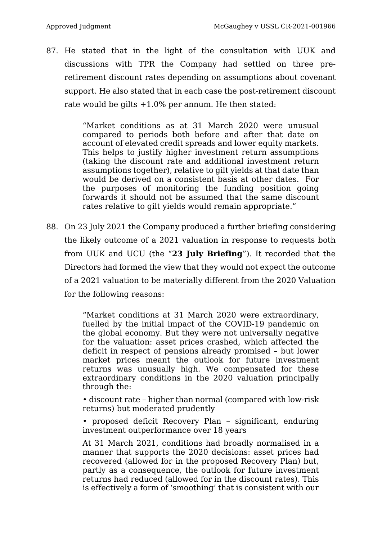87. He stated that in the light of the consultation with UUK and discussions with TPR the Company had settled on three preretirement discount rates depending on assumptions about covenant support. He also stated that in each case the post-retirement discount rate would be gilts +1.0% per annum. He then stated:

> "Market conditions as at 31 March 2020 were unusual compared to periods both before and after that date on account of elevated credit spreads and lower equity markets. This helps to justify higher investment return assumptions (taking the discount rate and additional investment return assumptions together), relative to gilt yields at that date than would be derived on a consistent basis at other dates. For the purposes of monitoring the funding position going forwards it should not be assumed that the same discount rates relative to gilt yields would remain appropriate."

88. On 23 July 2021 the Company produced a further briefing considering the likely outcome of a 2021 valuation in response to requests both from UUK and UCU (the "**23 July Briefing**"). It recorded that the Directors had formed the view that they would not expect the outcome of a 2021 valuation to be materially different from the 2020 Valuation for the following reasons:

> "Market conditions at 31 March 2020 were extraordinary, fuelled by the initial impact of the COVID-19 pandemic on the global economy. But they were not universally negative for the valuation: asset prices crashed, which affected the deficit in respect of pensions already promised – but lower market prices meant the outlook for future investment returns was unusually high. We compensated for these extraordinary conditions in the 2020 valuation principally through the:

> • discount rate – higher than normal (compared with low-risk returns) but moderated prudently

> • proposed deficit Recovery Plan – significant, enduring investment outperformance over 18 years

> At 31 March 2021, conditions had broadly normalised in a manner that supports the 2020 decisions: asset prices had recovered (allowed for in the proposed Recovery Plan) but, partly as a consequence, the outlook for future investment returns had reduced (allowed for in the discount rates). This is effectively a form of 'smoothing' that is consistent with our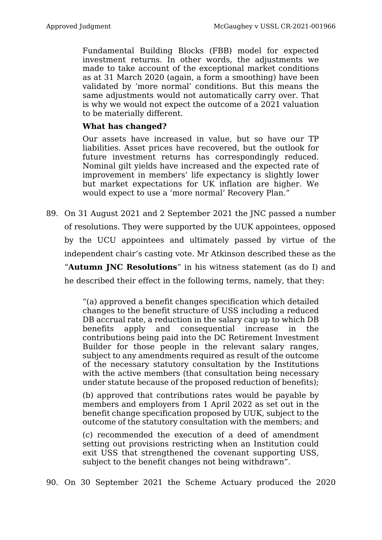Fundamental Building Blocks (FBB) model for expected investment returns. In other words, the adjustments we made to take account of the exceptional market conditions as at 31 March 2020 (again, a form a smoothing) have been validated by 'more normal' conditions. But this means the same adjustments would not automatically carry over. That is why we would not expect the outcome of a 2021 valuation to be materially different.

## **What has changed?**

Our assets have increased in value, but so have our TP liabilities. Asset prices have recovered, but the outlook for future investment returns has correspondingly reduced. Nominal gilt yields have increased and the expected rate of improvement in members' life expectancy is slightly lower but market expectations for UK inflation are higher. We would expect to use a 'more normal' Recovery Plan."

89. On 31 August 2021 and 2 September 2021 the JNC passed a number of resolutions. They were supported by the UUK appointees, opposed by the UCU appointees and ultimately passed by virtue of the independent chair's casting vote. Mr Atkinson described these as the "**Autumn JNC Resolutions**" in his witness statement (as do I) and he described their effect in the following terms, namely, that they:

> "(a) approved a benefit changes specification which detailed changes to the benefit structure of USS including a reduced DB accrual rate, a reduction in the salary cap up to which DB benefits apply and consequential increase in the contributions being paid into the DC Retirement Investment Builder for those people in the relevant salary ranges, subject to any amendments required as result of the outcome of the necessary statutory consultation by the Institutions with the active members (that consultation being necessary under statute because of the proposed reduction of benefits);

> (b) approved that contributions rates would be payable by members and employers from 1 April 2022 as set out in the benefit change specification proposed by UUK, subject to the outcome of the statutory consultation with the members; and

> (c) recommended the execution of a deed of amendment setting out provisions restricting when an Institution could exit USS that strengthened the covenant supporting USS, subject to the benefit changes not being withdrawn".

90. On 30 September 2021 the Scheme Actuary produced the 2020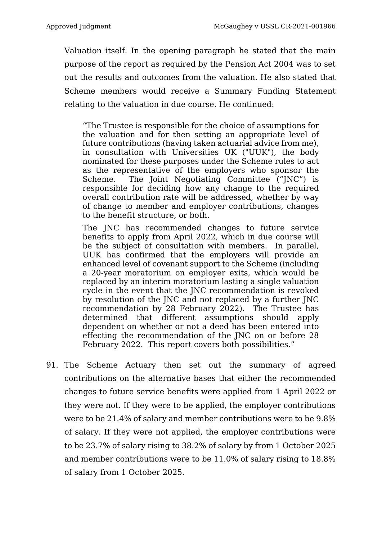Valuation itself. In the opening paragraph he stated that the main purpose of the report as required by the Pension Act 2004 was to set out the results and outcomes from the valuation. He also stated that Scheme members would receive a Summary Funding Statement relating to the valuation in due course. He continued:

"The Trustee is responsible for the choice of assumptions for the valuation and for then setting an appropriate level of future contributions (having taken actuarial advice from me), in consultation with Universities UK ("UUK"), the body nominated for these purposes under the Scheme rules to act as the representative of the employers who sponsor the Scheme. The Joint Negotiating Committee ("JNC") is responsible for deciding how any change to the required overall contribution rate will be addressed, whether by way of change to member and employer contributions, changes to the benefit structure, or both.

The JNC has recommended changes to future service benefits to apply from April 2022, which in due course will be the subject of consultation with members. In parallel, UUK has confirmed that the employers will provide an enhanced level of covenant support to the Scheme (including a 20-year moratorium on employer exits, which would be replaced by an interim moratorium lasting a single valuation cycle in the event that the JNC recommendation is revoked by resolution of the JNC and not replaced by a further JNC recommendation by 28 February 2022). The Trustee has determined that different assumptions should apply dependent on whether or not a deed has been entered into effecting the recommendation of the JNC on or before 28 February 2022. This report covers both possibilities."

91. The Scheme Actuary then set out the summary of agreed contributions on the alternative bases that either the recommended changes to future service benefits were applied from 1 April 2022 or they were not. If they were to be applied, the employer contributions were to be 21.4% of salary and member contributions were to be 9.8% of salary. If they were not applied, the employer contributions were to be 23.7% of salary rising to 38.2% of salary by from 1 October 2025 and member contributions were to be 11.0% of salary rising to 18.8% of salary from 1 October 2025.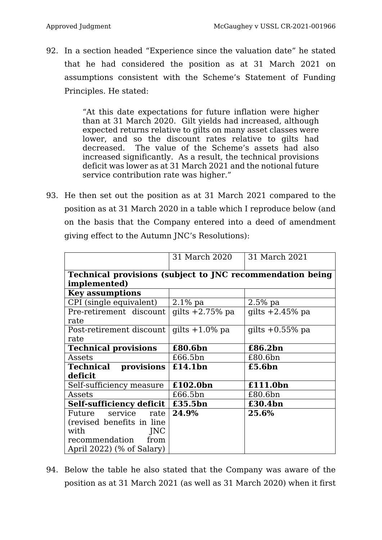92. In a section headed "Experience since the valuation date" he stated that he had considered the position as at 31 March 2021 on assumptions consistent with the Scheme's Statement of Funding Principles. He stated:

> "At this date expectations for future inflation were higher than at 31 March 2020. Gilt yields had increased, although expected returns relative to gilts on many asset classes were lower, and so the discount rates relative to gilts had decreased. The value of the Scheme's assets had also increased significantly. As a result, the technical provisions deficit was lower as at 31 March 2021 and the notional future service contribution rate was higher."

93. He then set out the position as at 31 March 2021 compared to the position as at 31 March 2020 in a table which I reproduce below (and on the basis that the Company entered into a deed of amendment giving effect to the Autumn JNC's Resolutions):

|                                                                           | 31 March 2020      | 31 March 2021      |
|---------------------------------------------------------------------------|--------------------|--------------------|
| Technical provisions (subject to JNC recommendation being<br>implemented) |                    |                    |
| <b>Key assumptions</b>                                                    |                    |                    |
| CPI (single equivalent)                                                   | $2.1\%$ pa         | $2.5%$ pa          |
| Pre-retirement discount<br>rate                                           | gilts $+2.75\%$ pa | gilts $+2.45\%$ pa |
| Post-retirement discount<br>rate                                          | gilts $+1.0\%$ pa  | gilts $+0.55\%$ pa |
| <b>Technical provisions</b>                                               | £80.6bn            | £86.2bn            |
| Assets                                                                    | £66.5bn            | £80.6bn            |
| <b>Technical provisions</b>                                               | £14.1bn            | £5.6bn             |
| deficit                                                                   |                    |                    |
| Self-sufficiency measure                                                  | £102.0bn           | £111.0bn           |
| Assets                                                                    | £66.5bn            | £80.6bn            |
| Self-sufficiency deficit                                                  | £35.5bn            | £30.4bn            |
| service<br>Future<br>rate                                                 | 24.9%              | 25.6%              |
| (revised benefits in line)                                                |                    |                    |
| with<br>JNC                                                               |                    |                    |
| recommendation<br>from                                                    |                    |                    |
| April 2022) (% of Salary)                                                 |                    |                    |

94. Below the table he also stated that the Company was aware of the position as at 31 March 2021 (as well as 31 March 2020) when it first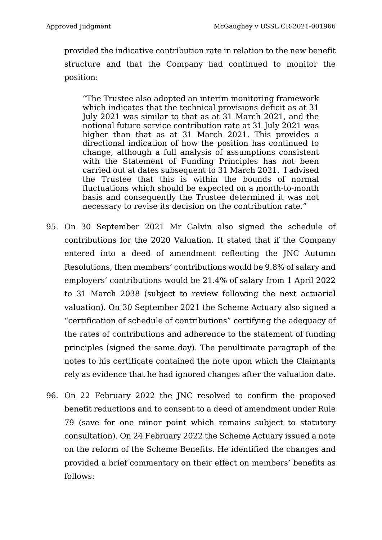provided the indicative contribution rate in relation to the new benefit structure and that the Company had continued to monitor the position:

"The Trustee also adopted an interim monitoring framework which indicates that the technical provisions deficit as at 31 July 2021 was similar to that as at 31 March 2021, and the notional future service contribution rate at 31 July 2021 was higher than that as at 31 March 2021. This provides a directional indication of how the position has continued to change, although a full analysis of assumptions consistent with the Statement of Funding Principles has not been carried out at dates subsequent to 31 March 2021. I advised the Trustee that this is within the bounds of normal fluctuations which should be expected on a month-to-month basis and consequently the Trustee determined it was not necessary to revise its decision on the contribution rate."

- 95. On 30 September 2021 Mr Galvin also signed the schedule of contributions for the 2020 Valuation. It stated that if the Company entered into a deed of amendment reflecting the JNC Autumn Resolutions, then members' contributions would be 9.8% of salary and employers' contributions would be 21.4% of salary from 1 April 2022 to 31 March 2038 (subject to review following the next actuarial valuation). On 30 September 2021 the Scheme Actuary also signed a "certification of schedule of contributions" certifying the adequacy of the rates of contributions and adherence to the statement of funding principles (signed the same day). The penultimate paragraph of the notes to his certificate contained the note upon which the Claimants rely as evidence that he had ignored changes after the valuation date.
- 96. On 22 February 2022 the JNC resolved to confirm the proposed benefit reductions and to consent to a deed of amendment under Rule 79 (save for one minor point which remains subject to statutory consultation). On 24 February 2022 the Scheme Actuary issued a note on the reform of the Scheme Benefits. He identified the changes and provided a brief commentary on their effect on members' benefits as follows: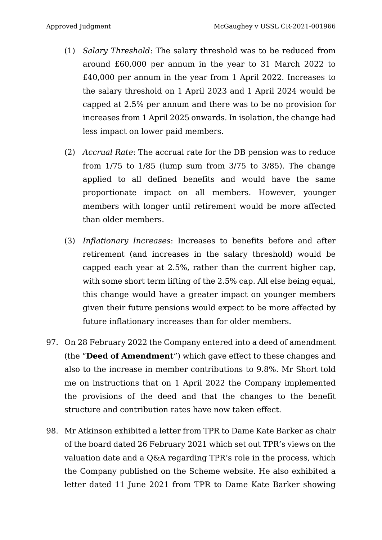- (1) *Salary Threshold*: The salary threshold was to be reduced from around £60,000 per annum in the year to 31 March 2022 to £40,000 per annum in the year from 1 April 2022. Increases to the salary threshold on 1 April 2023 and 1 April 2024 would be capped at 2.5% per annum and there was to be no provision for increases from 1 April 2025 onwards. In isolation, the change had less impact on lower paid members.
- (2) *Accrual Rate*: The accrual rate for the DB pension was to reduce from 1/75 to 1/85 (lump sum from 3/75 to 3/85). The change applied to all defined benefits and would have the same proportionate impact on all members. However, younger members with longer until retirement would be more affected than older members.
- (3) *Inflationary Increases*: Increases to benefits before and after retirement (and increases in the salary threshold) would be capped each year at 2.5%, rather than the current higher cap, with some short term lifting of the 2.5% cap. All else being equal, this change would have a greater impact on younger members given their future pensions would expect to be more affected by future inflationary increases than for older members.
- 97. On 28 February 2022 the Company entered into a deed of amendment (the "**Deed of Amendment**") which gave effect to these changes and also to the increase in member contributions to 9.8%. Mr Short told me on instructions that on 1 April 2022 the Company implemented the provisions of the deed and that the changes to the benefit structure and contribution rates have now taken effect.
- 98. Mr Atkinson exhibited a letter from TPR to Dame Kate Barker as chair of the board dated 26 February 2021 which set out TPR's views on the valuation date and a Q&A regarding TPR's role in the process, which the Company published on the Scheme website. He also exhibited a letter dated 11 June 2021 from TPR to Dame Kate Barker showing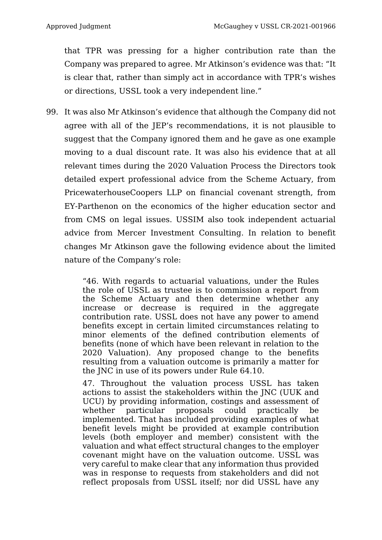that TPR was pressing for a higher contribution rate than the Company was prepared to agree. Mr Atkinson's evidence was that: "It is clear that, rather than simply act in accordance with TPR's wishes or directions, USSL took a very independent line."

99. It was also Mr Atkinson's evidence that although the Company did not agree with all of the JEP's recommendations, it is not plausible to suggest that the Company ignored them and he gave as one example moving to a dual discount rate. It was also his evidence that at all relevant times during the 2020 Valuation Process the Directors took detailed expert professional advice from the Scheme Actuary, from PricewaterhouseCoopers LLP on financial covenant strength, from EY-Parthenon on the economics of the higher education sector and from CMS on legal issues. USSIM also took independent actuarial advice from Mercer Investment Consulting. In relation to benefit changes Mr Atkinson gave the following evidence about the limited nature of the Company's role:

> "46. With regards to actuarial valuations, under the Rules the role of USSL as trustee is to commission a report from the Scheme Actuary and then determine whether any increase or decrease is required in the aggregate contribution rate. USSL does not have any power to amend benefits except in certain limited circumstances relating to minor elements of the defined contribution elements of benefits (none of which have been relevant in relation to the 2020 Valuation). Any proposed change to the benefits resulting from a valuation outcome is primarily a matter for the JNC in use of its powers under Rule 64.10.

> 47. Throughout the valuation process USSL has taken actions to assist the stakeholders within the JNC (UUK and UCU) by providing information, costings and assessment of whether particular proposals could practically be implemented. That has included providing examples of what benefit levels might be provided at example contribution levels (both employer and member) consistent with the valuation and what effect structural changes to the employer covenant might have on the valuation outcome. USSL was very careful to make clear that any information thus provided was in response to requests from stakeholders and did not reflect proposals from USSL itself; nor did USSL have any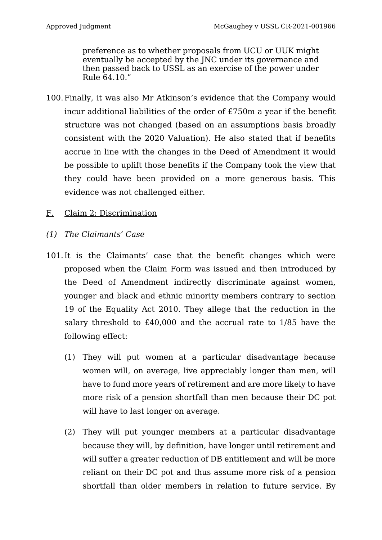preference as to whether proposals from UCU or UUK might eventually be accepted by the JNC under its governance and then passed back to USSL as an exercise of the power under Rule 64.10."

- 100.Finally, it was also Mr Atkinson's evidence that the Company would incur additional liabilities of the order of £750m a year if the benefit structure was not changed (based on an assumptions basis broadly consistent with the 2020 Valuation). He also stated that if benefits accrue in line with the changes in the Deed of Amendment it would be possible to uplift those benefits if the Company took the view that they could have been provided on a more generous basis. This evidence was not challenged either.
- F. Claim 2: Discrimination
- *(1) The Claimants' Case*
- 101.It is the Claimants' case that the benefit changes which were proposed when the Claim Form was issued and then introduced by the Deed of Amendment indirectly discriminate against women, younger and black and ethnic minority members contrary to section 19 of the Equality Act 2010. They allege that the reduction in the salary threshold to £40,000 and the accrual rate to 1/85 have the following effect:
	- (1) They will put women at a particular disadvantage because women will, on average, live appreciably longer than men, will have to fund more years of retirement and are more likely to have more risk of a pension shortfall than men because their DC pot will have to last longer on average.
	- (2) They will put younger members at a particular disadvantage because they will, by definition, have longer until retirement and will suffer a greater reduction of DB entitlement and will be more reliant on their DC pot and thus assume more risk of a pension shortfall than older members in relation to future service. By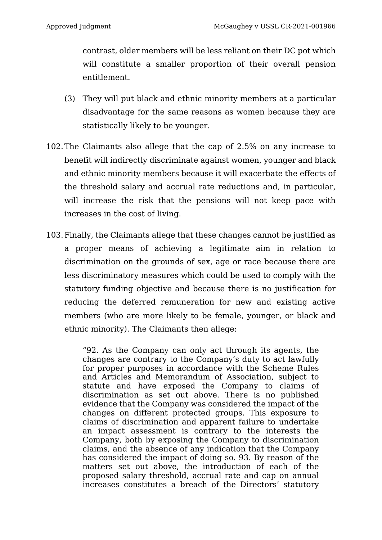contrast, older members will be less reliant on their DC pot which will constitute a smaller proportion of their overall pension entitlement.

- (3) They will put black and ethnic minority members at a particular disadvantage for the same reasons as women because they are statistically likely to be younger.
- 102.The Claimants also allege that the cap of 2.5% on any increase to benefit will indirectly discriminate against women, younger and black and ethnic minority members because it will exacerbate the effects of the threshold salary and accrual rate reductions and, in particular, will increase the risk that the pensions will not keep pace with increases in the cost of living.
- 103.Finally, the Claimants allege that these changes cannot be justified as a proper means of achieving a legitimate aim in relation to discrimination on the grounds of sex, age or race because there are less discriminatory measures which could be used to comply with the statutory funding objective and because there is no justification for reducing the deferred remuneration for new and existing active members (who are more likely to be female, younger, or black and ethnic minority). The Claimants then allege:

"92. As the Company can only act through its agents, the changes are contrary to the Company's duty to act lawfully for proper purposes in accordance with the Scheme Rules and Articles and Memorandum of Association, subject to statute and have exposed the Company to claims of discrimination as set out above. There is no published evidence that the Company was considered the impact of the changes on different protected groups. This exposure to claims of discrimination and apparent failure to undertake an impact assessment is contrary to the interests the Company, both by exposing the Company to discrimination claims, and the absence of any indication that the Company has considered the impact of doing so. 93. By reason of the matters set out above, the introduction of each of the proposed salary threshold, accrual rate and cap on annual increases constitutes a breach of the Directors' statutory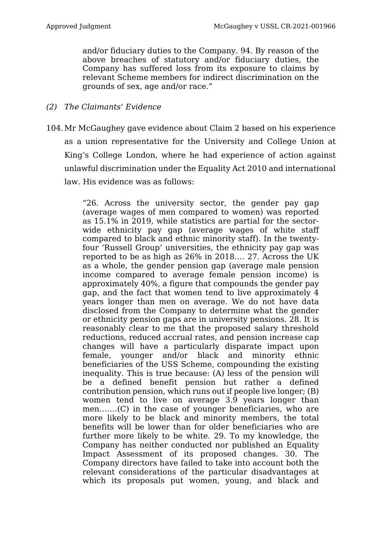and/or fiduciary duties to the Company. 94. By reason of the above breaches of statutory and/or fiduciary duties, the Company has suffered loss from its exposure to claims by relevant Scheme members for indirect discrimination on the grounds of sex, age and/or race."

- *(2) The Claimants' Evidence*
- 104.Mr McGaughey gave evidence about Claim 2 based on his experience as a union representative for the University and College Union at King's College London, where he had experience of action against unlawful discrimination under the Equality Act 2010 and international law. His evidence was as follows:

"26. Across the university sector, the gender pay gap (average wages of men compared to women) was reported as 15.1% in 2019, while statistics are partial for the sectorwide ethnicity pay gap (average wages of white staff compared to black and ethnic minority staff). In the twentyfour 'Russell Group' universities, the ethnicity pay gap was reported to be as high as 26% in 2018…. 27. Across the UK as a whole, the gender pension gap (average male pension income compared to average female pension income) is approximately 40%, a figure that compounds the gender pay gap, and the fact that women tend to live approximately 4 years longer than men on average. We do not have data disclosed from the Company to determine what the gender or ethnicity pension gaps are in university pensions. 28. It is reasonably clear to me that the proposed salary threshold reductions, reduced accrual rates, and pension increase cap changes will have a particularly disparate impact upon<br>female. vounger and/or black and minority ethnic younger and/or black and minority ethnic beneficiaries of the USS Scheme, compounding the existing inequality. This is true because: (A) less of the pension will be a defined benefit pension but rather a defined contribution pension, which runs out if people live longer; (B) women tend to live on average 3.9 years longer than men…….(C) in the case of younger beneficiaries, who are more likely to be black and minority members, the total benefits will be lower than for older beneficiaries who are further more likely to be white. 29. To my knowledge, the Company has neither conducted nor published an Equality Impact Assessment of its proposed changes. 30. The Company directors have failed to take into account both the relevant considerations of the particular disadvantages at which its proposals put women, young, and black and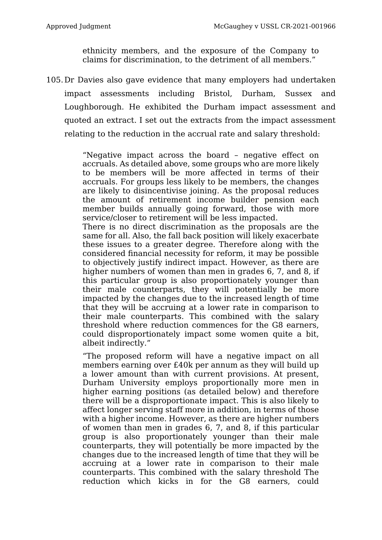ethnicity members, and the exposure of the Company to claims for discrimination, to the detriment of all members."

105.Dr Davies also gave evidence that many employers had undertaken impact assessments including Bristol, Durham, Sussex and Loughborough. He exhibited the Durham impact assessment and quoted an extract. I set out the extracts from the impact assessment relating to the reduction in the accrual rate and salary threshold:

> "Negative impact across the board – negative effect on accruals. As detailed above, some groups who are more likely to be members will be more affected in terms of their accruals. For groups less likely to be members, the changes are likely to disincentivise joining. As the proposal reduces the amount of retirement income builder pension each member builds annually going forward, those with more service/closer to retirement will be less impacted.

> There is no direct discrimination as the proposals are the same for all. Also, the fall back position will likely exacerbate these issues to a greater degree. Therefore along with the considered financial necessity for reform, it may be possible to objectively justify indirect impact. However, as there are higher numbers of women than men in grades 6, 7, and 8, if this particular group is also proportionately younger than their male counterparts, they will potentially be more impacted by the changes due to the increased length of time that they will be accruing at a lower rate in comparison to their male counterparts. This combined with the salary threshold where reduction commences for the G8 earners, could disproportionately impact some women quite a bit, albeit indirectly."

> "The proposed reform will have a negative impact on all members earning over £40k per annum as they will build up a lower amount than with current provisions. At present, Durham University employs proportionally more men in higher earning positions (as detailed below) and therefore there will be a disproportionate impact. This is also likely to affect longer serving staff more in addition, in terms of those with a higher income. However, as there are higher numbers of women than men in grades 6, 7, and 8, if this particular group is also proportionately younger than their male counterparts, they will potentially be more impacted by the changes due to the increased length of time that they will be accruing at a lower rate in comparison to their male counterparts. This combined with the salary threshold The reduction which kicks in for the G8 earners, could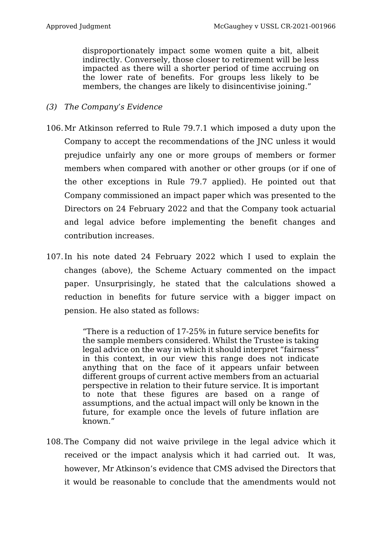disproportionately impact some women quite a bit, albeit indirectly. Conversely, those closer to retirement will be less impacted as there will a shorter period of time accruing on the lower rate of benefits. For groups less likely to be members, the changes are likely to disincentivise joining."

## *(3) The Company's Evidence*

- 106.Mr Atkinson referred to Rule 79.7.1 which imposed a duty upon the Company to accept the recommendations of the JNC unless it would prejudice unfairly any one or more groups of members or former members when compared with another or other groups (or if one of the other exceptions in Rule 79.7 applied). He pointed out that Company commissioned an impact paper which was presented to the Directors on 24 February 2022 and that the Company took actuarial and legal advice before implementing the benefit changes and contribution increases.
- 107.In his note dated 24 February 2022 which I used to explain the changes (above), the Scheme Actuary commented on the impact paper. Unsurprisingly, he stated that the calculations showed a reduction in benefits for future service with a bigger impact on pension. He also stated as follows:

"There is a reduction of 17-25% in future service benefits for the sample members considered. Whilst the Trustee is taking legal advice on the way in which it should interpret "fairness" in this context, in our view this range does not indicate anything that on the face of it appears unfair between different groups of current active members from an actuarial perspective in relation to their future service. It is important to note that these figures are based on a range of assumptions, and the actual impact will only be known in the future, for example once the levels of future inflation are known."

108.The Company did not waive privilege in the legal advice which it received or the impact analysis which it had carried out. It was, however, Mr Atkinson's evidence that CMS advised the Directors that it would be reasonable to conclude that the amendments would not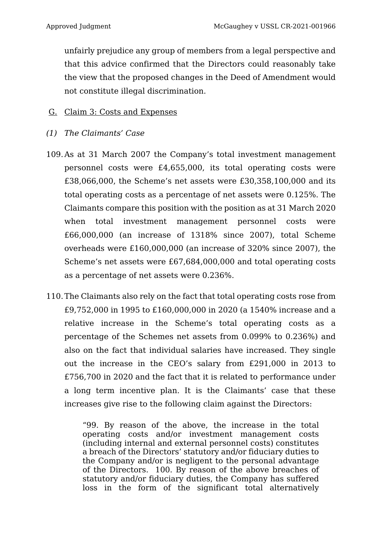unfairly prejudice any group of members from a legal perspective and that this advice confirmed that the Directors could reasonably take the view that the proposed changes in the Deed of Amendment would not constitute illegal discrimination.

- G. Claim 3: Costs and Expenses
- *(1) The Claimants' Case*
- 109.As at 31 March 2007 the Company's total investment management personnel costs were £4,655,000, its total operating costs were £38,066,000, the Scheme's net assets were £30,358,100,000 and its total operating costs as a percentage of net assets were 0.125%. The Claimants compare this position with the position as at 31 March 2020 when total investment management personnel costs were £66,000,000 (an increase of 1318% since 2007), total Scheme overheads were £160,000,000 (an increase of 320% since 2007), the Scheme's net assets were £67,684,000,000 and total operating costs as a percentage of net assets were 0.236%.
- 110.The Claimants also rely on the fact that total operating costs rose from £9,752,000 in 1995 to £160,000,000 in 2020 (a 1540% increase and a relative increase in the Scheme's total operating costs as a percentage of the Schemes net assets from 0.099% to 0.236%) and also on the fact that individual salaries have increased. They single out the increase in the CEO's salary from £291,000 in 2013 to £756,700 in 2020 and the fact that it is related to performance under a long term incentive plan. It is the Claimants' case that these increases give rise to the following claim against the Directors:

"99. By reason of the above, the increase in the total operating costs and/or investment management costs (including internal and external personnel costs) constitutes a breach of the Directors' statutory and/or fiduciary duties to the Company and/or is negligent to the personal advantage of the Directors. 100. By reason of the above breaches of statutory and/or fiduciary duties, the Company has suffered loss in the form of the significant total alternatively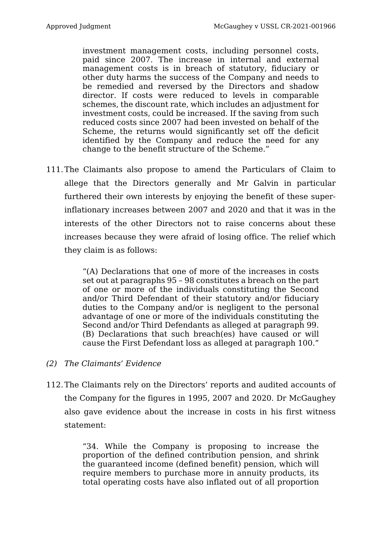investment management costs, including personnel costs, paid since 2007. The increase in internal and external management costs is in breach of statutory, fiduciary or other duty harms the success of the Company and needs to be remedied and reversed by the Directors and shadow director. If costs were reduced to levels in comparable schemes, the discount rate, which includes an adjustment for investment costs, could be increased. If the saving from such reduced costs since 2007 had been invested on behalf of the Scheme, the returns would significantly set off the deficit identified by the Company and reduce the need for any change to the benefit structure of the Scheme."

111.The Claimants also propose to amend the Particulars of Claim to allege that the Directors generally and Mr Galvin in particular furthered their own interests by enjoying the benefit of these superinflationary increases between 2007 and 2020 and that it was in the interests of the other Directors not to raise concerns about these increases because they were afraid of losing office. The relief which they claim is as follows:

> "(A) Declarations that one of more of the increases in costs set out at paragraphs 95 – 98 constitutes a breach on the part of one or more of the individuals constituting the Second and/or Third Defendant of their statutory and/or fiduciary duties to the Company and/or is negligent to the personal advantage of one or more of the individuals constituting the Second and/or Third Defendants as alleged at paragraph 99. (B) Declarations that such breach(es) have caused or will cause the First Defendant loss as alleged at paragraph 100."

- *(2) The Claimants' Evidence*
- 112.The Claimants rely on the Directors' reports and audited accounts of the Company for the figures in 1995, 2007 and 2020. Dr McGaughey also gave evidence about the increase in costs in his first witness statement:

"34. While the Company is proposing to increase the proportion of the defined contribution pension, and shrink the guaranteed income (defined benefit) pension, which will require members to purchase more in annuity products, its total operating costs have also inflated out of all proportion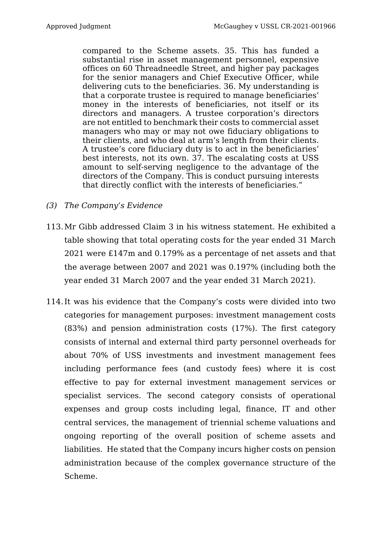compared to the Scheme assets. 35. This has funded a substantial rise in asset management personnel, expensive offices on 60 Threadneedle Street, and higher pay packages for the senior managers and Chief Executive Officer, while delivering cuts to the beneficiaries. 36. My understanding is that a corporate trustee is required to manage beneficiaries' money in the interests of beneficiaries, not itself or its directors and managers. A trustee corporation's directors are not entitled to benchmark their costs to commercial asset managers who may or may not owe fiduciary obligations to their clients, and who deal at arm's length from their clients. A trustee's core fiduciary duty is to act in the beneficiaries' best interests, not its own. 37. The escalating costs at USS amount to self-serving negligence to the advantage of the directors of the Company. This is conduct pursuing interests that directly conflict with the interests of beneficiaries."

- *(3) The Company's Evidence*
- 113.Mr Gibb addressed Claim 3 in his witness statement. He exhibited a table showing that total operating costs for the year ended 31 March 2021 were £147m and 0.179% as a percentage of net assets and that the average between 2007 and 2021 was 0.197% (including both the year ended 31 March 2007 and the year ended 31 March 2021).
- 114.It was his evidence that the Company's costs were divided into two categories for management purposes: investment management costs (83%) and pension administration costs (17%). The first category consists of internal and external third party personnel overheads for about 70% of USS investments and investment management fees including performance fees (and custody fees) where it is cost effective to pay for external investment management services or specialist services. The second category consists of operational expenses and group costs including legal, finance, IT and other central services, the management of triennial scheme valuations and ongoing reporting of the overall position of scheme assets and liabilities. He stated that the Company incurs higher costs on pension administration because of the complex governance structure of the Scheme.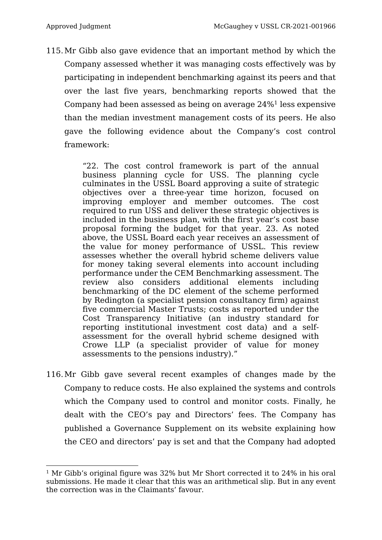115.Mr Gibb also gave evidence that an important method by which the Company assessed whether it was managing costs effectively was by participating in independent benchmarking against its peers and that over the last five years, benchmarking reports showed that the Company had been assessed as being on average 24%<sup>1</sup> less expensive than the median investment management costs of its peers. He also gave the following evidence about the Company's cost control framework:

> "22. The cost control framework is part of the annual business planning cycle for USS. The planning cycle culminates in the USSL Board approving a suite of strategic objectives over a three-year time horizon, focused on improving employer and member outcomes. The cost required to run USS and deliver these strategic objectives is included in the business plan, with the first year's cost base proposal forming the budget for that year. 23. As noted above, the USSL Board each year receives an assessment of the value for money performance of USSL. This review assesses whether the overall hybrid scheme delivers value for money taking several elements into account including performance under the CEM Benchmarking assessment. The review also considers additional elements including benchmarking of the DC element of the scheme performed by Redington (a specialist pension consultancy firm) against five commercial Master Trusts; costs as reported under the Cost Transparency Initiative (an industry standard for reporting institutional investment cost data) and a selfassessment for the overall hybrid scheme designed with Crowe LLP (a specialist provider of value for money assessments to the pensions industry)."

116.Mr Gibb gave several recent examples of changes made by the Company to reduce costs. He also explained the systems and controls which the Company used to control and monitor costs. Finally, he dealt with the CEO's pay and Directors' fees. The Company has published a Governance Supplement on its website explaining how the CEO and directors' pay is set and that the Company had adopted

<sup>1</sup> Mr Gibb's original figure was 32% but Mr Short corrected it to 24% in his oral submissions. He made it clear that this was an arithmetical slip. But in any event the correction was in the Claimants' favour.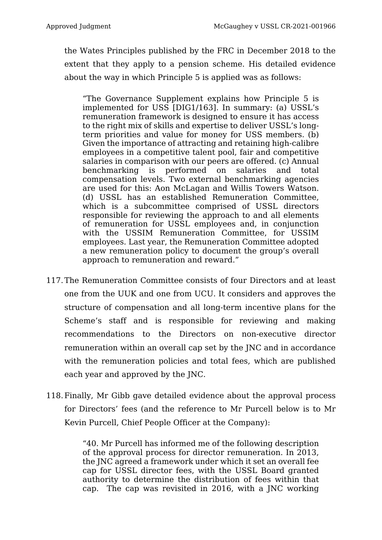the Wates Principles published by the FRC in December 2018 to the extent that they apply to a pension scheme. His detailed evidence about the way in which Principle 5 is applied was as follows:

"The Governance Supplement explains how Principle 5 is implemented for USS [DIG1/163]. In summary: (a) USSL's remuneration framework is designed to ensure it has access to the right mix of skills and expertise to deliver USSL's longterm priorities and value for money for USS members. (b) Given the importance of attracting and retaining high-calibre employees in a competitive talent pool, fair and competitive salaries in comparison with our peers are offered. (c) Annual benchmarking is performed on salaries and total compensation levels. Two external benchmarking agencies are used for this: Aon McLagan and Willis Towers Watson. (d) USSL has an established Remuneration Committee, which is a subcommittee comprised of USSL directors responsible for reviewing the approach to and all elements of remuneration for USSL employees and, in conjunction with the USSIM Remuneration Committee, for USSIM employees. Last year, the Remuneration Committee adopted a new remuneration policy to document the group's overall approach to remuneration and reward."

- 117.The Remuneration Committee consists of four Directors and at least one from the UUK and one from UCU. It considers and approves the structure of compensation and all long-term incentive plans for the Scheme's staff and is responsible for reviewing and making recommendations to the Directors on non-executive director remuneration within an overall cap set by the JNC and in accordance with the remuneration policies and total fees, which are published each year and approved by the JNC.
- 118.Finally, Mr Gibb gave detailed evidence about the approval process for Directors' fees (and the reference to Mr Purcell below is to Mr Kevin Purcell, Chief People Officer at the Company):

"40. Mr Purcell has informed me of the following description of the approval process for director remuneration. In 2013, the JNC agreed a framework under which it set an overall fee cap for USSL director fees, with the USSL Board granted authority to determine the distribution of fees within that cap. The cap was revisited in 2016, with a JNC working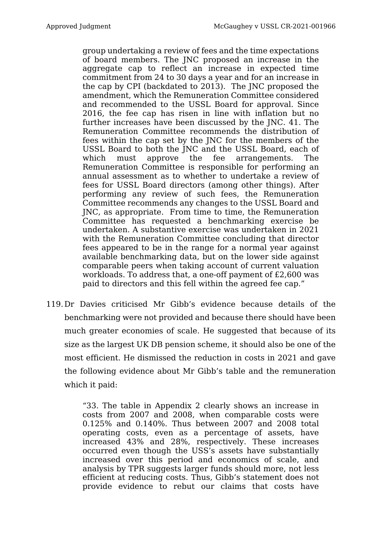group undertaking a review of fees and the time expectations of board members. The JNC proposed an increase in the aggregate cap to reflect an increase in expected time commitment from 24 to 30 days a year and for an increase in the cap by CPI (backdated to 2013). The JNC proposed the amendment, which the Remuneration Committee considered and recommended to the USSL Board for approval. Since 2016, the fee cap has risen in line with inflation but no further increases have been discussed by the JNC. 41. The Remuneration Committee recommends the distribution of fees within the cap set by the JNC for the members of the USSL Board to both the JNC and the USSL Board, each of which must approve the fee arrangements. The Remuneration Committee is responsible for performing an annual assessment as to whether to undertake a review of fees for USSL Board directors (among other things). After performing any review of such fees, the Remuneration Committee recommends any changes to the USSL Board and JNC, as appropriate. From time to time, the Remuneration Committee has requested a benchmarking exercise be undertaken. A substantive exercise was undertaken in 2021 with the Remuneration Committee concluding that director fees appeared to be in the range for a normal year against available benchmarking data, but on the lower side against comparable peers when taking account of current valuation workloads. To address that, a one-off payment of £2,600 was paid to directors and this fell within the agreed fee cap."

119.Dr Davies criticised Mr Gibb's evidence because details of the benchmarking were not provided and because there should have been much greater economies of scale. He suggested that because of its size as the largest UK DB pension scheme, it should also be one of the most efficient. He dismissed the reduction in costs in 2021 and gave the following evidence about Mr Gibb's table and the remuneration which it paid:

> "33. The table in Appendix 2 clearly shows an increase in costs from 2007 and 2008, when comparable costs were 0.125% and 0.140%. Thus between 2007 and 2008 total operating costs, even as a percentage of assets, have increased 43% and 28%, respectively. These increases occurred even though the USS's assets have substantially increased over this period and economics of scale, and analysis by TPR suggests larger funds should more, not less efficient at reducing costs. Thus, Gibb's statement does not provide evidence to rebut our claims that costs have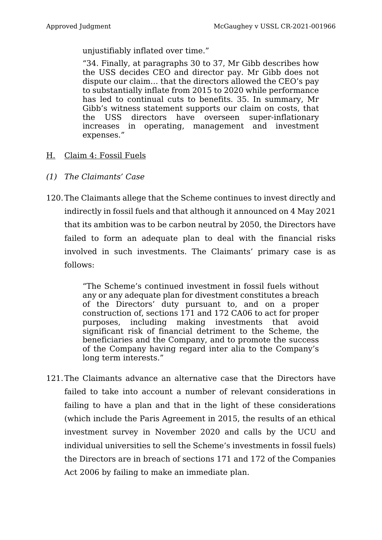unjustifiably inflated over time."

"34. Finally, at paragraphs 30 to 37, Mr Gibb describes how the USS decides CEO and director pay. Mr Gibb does not dispute our claim… that the directors allowed the CEO's pay to substantially inflate from 2015 to 2020 while performance has led to continual cuts to benefits. 35. In summary, Mr Gibb's witness statement supports our claim on costs, that the USS directors have overseen super-inflationary increases in operating, management and investment expenses."

- H. Claim 4: Fossil Fuels
- *(1) The Claimants' Case*
- 120.The Claimants allege that the Scheme continues to invest directly and indirectly in fossil fuels and that although it announced on 4 May 2021 that its ambition was to be carbon neutral by 2050, the Directors have failed to form an adequate plan to deal with the financial risks involved in such investments. The Claimants' primary case is as follows:

"The Scheme's continued investment in fossil fuels without any or any adequate plan for divestment constitutes a breach of the Directors' duty pursuant to, and on a proper construction of, sections 171 and 172 CA06 to act for proper purposes, including making investments that avoid significant risk of financial detriment to the Scheme, the beneficiaries and the Company, and to promote the success of the Company having regard inter alia to the Company's long term interests."

121.The Claimants advance an alternative case that the Directors have failed to take into account a number of relevant considerations in failing to have a plan and that in the light of these considerations (which include the Paris Agreement in 2015, the results of an ethical investment survey in November 2020 and calls by the UCU and individual universities to sell the Scheme's investments in fossil fuels) the Directors are in breach of sections 171 and 172 of the Companies Act 2006 by failing to make an immediate plan.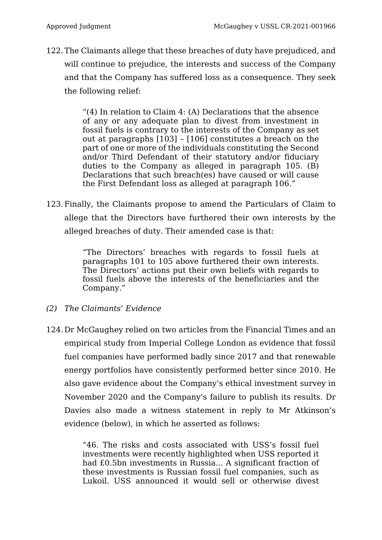122.The Claimants allege that these breaches of duty have prejudiced, and will continue to prejudice, the interests and success of the Company and that the Company has suffered loss as a consequence. They seek the following relief:

> "(4) In relation to Claim 4: (A) Declarations that the absence of any or any adequate plan to divest from investment in fossil fuels is contrary to the interests of the Company as set out at paragraphs [103] – [106] constitutes a breach on the part of one or more of the individuals constituting the Second and/or Third Defendant of their statutory and/or fiduciary duties to the Company as alleged in paragraph 105. (B) Declarations that such breach(es) have caused or will cause the First Defendant loss as alleged at paragraph 106."

123.Finally, the Claimants propose to amend the Particulars of Claim to allege that the Directors have furthered their own interests by the alleged breaches of duty. Their amended case is that:

> "The Directors' breaches with regards to fossil fuels at paragraphs 101 to 105 above furthered their own interests. The Directors' actions put their own beliefs with regards to fossil fuels above the interests of the beneficiaries and the Company."

- *(2) The Claimants' Evidence*
- 124.Dr McGaughey relied on two articles from the Financial Times and an empirical study from Imperial College London as evidence that fossil fuel companies have performed badly since 2017 and that renewable energy portfolios have consistently performed better since 2010. He also gave evidence about the Company's ethical investment survey in November 2020 and the Company's failure to publish its results. Dr Davies also made a witness statement in reply to Mr Atkinson's evidence (below), in which he asserted as follows:

"46. The risks and costs associated with USS's fossil fuel investments were recently highlighted when USS reported it had £0.5bn investments in Russia... A significant fraction of these investments is Russian fossil fuel companies, such as Lukoil. USS announced it would sell or otherwise divest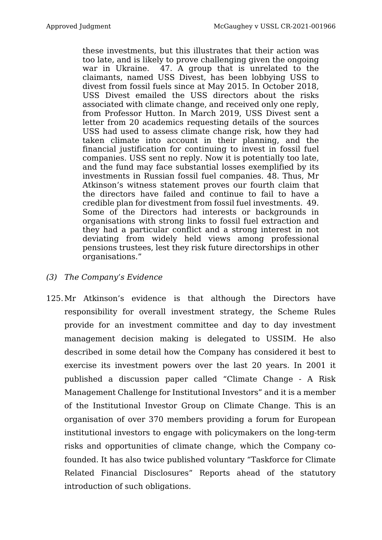these investments, but this illustrates that their action was too late, and is likely to prove challenging given the ongoing war in Ukraine. 47. A group that is unrelated to the claimants, named USS Divest, has been lobbying USS to divest from fossil fuels since at May 2015. In October 2018, USS Divest emailed the USS directors about the risks associated with climate change, and received only one reply, from Professor Hutton. In March 2019, USS Divest sent a letter from 20 academics requesting details of the sources USS had used to assess climate change risk, how they had taken climate into account in their planning, and the financial justification for continuing to invest in fossil fuel companies. USS sent no reply. Now it is potentially too late, and the fund may face substantial losses exemplified by its investments in Russian fossil fuel companies. 48. Thus, Mr Atkinson's witness statement proves our fourth claim that the directors have failed and continue to fail to have a credible plan for divestment from fossil fuel investments. 49. Some of the Directors had interests or backgrounds in organisations with strong links to fossil fuel extraction and they had a particular conflict and a strong interest in not deviating from widely held views among professional pensions trustees, lest they risk future directorships in other organisations."

- *(3) The Company's Evidence*
- 125.Mr Atkinson's evidence is that although the Directors have responsibility for overall investment strategy, the Scheme Rules provide for an investment committee and day to day investment management decision making is delegated to USSIM. He also described in some detail how the Company has considered it best to exercise its investment powers over the last 20 years. In 2001 it published a discussion paper called "Climate Change - A Risk Management Challenge for Institutional Investors" and it is a member of the Institutional Investor Group on Climate Change. This is an organisation of over 370 members providing a forum for European institutional investors to engage with policymakers on the long-term risks and opportunities of climate change, which the Company cofounded. It has also twice published voluntary "Taskforce for Climate Related Financial Disclosures" Reports ahead of the statutory introduction of such obligations.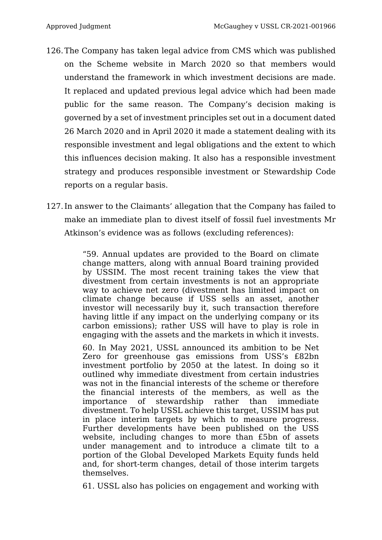- 126.The Company has taken legal advice from CMS which was published on the Scheme website in March 2020 so that members would understand the framework in which investment decisions are made. It replaced and updated previous legal advice which had been made public for the same reason. The Company's decision making is governed by a set of investment principles set out in a document dated 26 March 2020 and in April 2020 it made a statement dealing with its responsible investment and legal obligations and the extent to which this influences decision making. It also has a responsible investment strategy and produces responsible investment or Stewardship Code reports on a regular basis.
- 127.In answer to the Claimants' allegation that the Company has failed to make an immediate plan to divest itself of fossil fuel investments Mr Atkinson's evidence was as follows (excluding references):

"59. Annual updates are provided to the Board on climate change matters, along with annual Board training provided by USSIM. The most recent training takes the view that divestment from certain investments is not an appropriate way to achieve net zero (divestment has limited impact on climate change because if USS sells an asset, another investor will necessarily buy it, such transaction therefore having little if any impact on the underlying company or its carbon emissions); rather USS will have to play is role in engaging with the assets and the markets in which it invests.

60. In May 2021, USSL announced its ambition to be Net Zero for greenhouse gas emissions from USS's £82bn investment portfolio by 2050 at the latest. In doing so it outlined why immediate divestment from certain industries was not in the financial interests of the scheme or therefore the financial interests of the members, as well as the importance of stewardship rather than immediate divestment. To help USSL achieve this target, USSIM has put in place interim targets by which to measure progress. Further developments have been published on the USS website, including changes to more than £5bn of assets under management and to introduce a climate tilt to a portion of the Global Developed Markets Equity funds held and, for short-term changes, detail of those interim targets themselves.

61. USSL also has policies on engagement and working with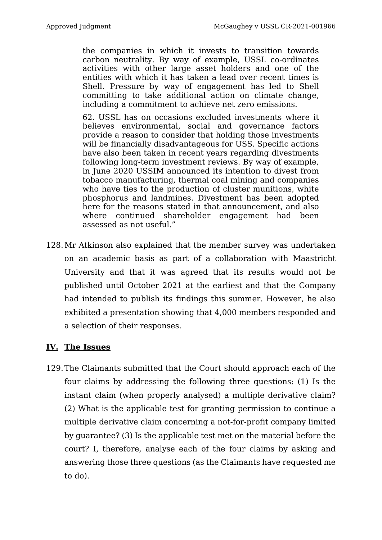the companies in which it invests to transition towards carbon neutrality. By way of example, USSL co-ordinates activities with other large asset holders and one of the entities with which it has taken a lead over recent times is Shell. Pressure by way of engagement has led to Shell committing to take additional action on climate change, including a commitment to achieve net zero emissions.

62. USSL has on occasions excluded investments where it believes environmental, social and governance factors provide a reason to consider that holding those investments will be financially disadvantageous for USS. Specific actions have also been taken in recent years regarding divestments following long-term investment reviews. By way of example, in June 2020 USSIM announced its intention to divest from tobacco manufacturing, thermal coal mining and companies who have ties to the production of cluster munitions, white phosphorus and landmines. Divestment has been adopted here for the reasons stated in that announcement, and also where continued shareholder engagement had been assessed as not useful."

128.Mr Atkinson also explained that the member survey was undertaken on an academic basis as part of a collaboration with Maastricht University and that it was agreed that its results would not be published until October 2021 at the earliest and that the Company had intended to publish its findings this summer. However, he also exhibited a presentation showing that 4,000 members responded and a selection of their responses.

# **IV. The Issues**

129.The Claimants submitted that the Court should approach each of the four claims by addressing the following three questions: (1) Is the instant claim (when properly analysed) a multiple derivative claim? (2) What is the applicable test for granting permission to continue a multiple derivative claim concerning a not-for-profit company limited by guarantee? (3) Is the applicable test met on the material before the court? I, therefore, analyse each of the four claims by asking and answering those three questions (as the Claimants have requested me to do).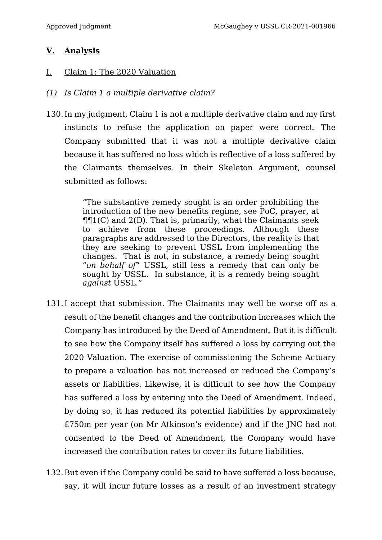## **V. Analysis**

- I. Claim 1: The 2020 Valuation
- *(1) Is Claim 1 a multiple derivative claim?*
- 130.In my judgment, Claim 1 is not a multiple derivative claim and my first instincts to refuse the application on paper were correct. The Company submitted that it was not a multiple derivative claim because it has suffered no loss which is reflective of a loss suffered by the Claimants themselves. In their Skeleton Argument, counsel submitted as follows:

"The substantive remedy sought is an order prohibiting the introduction of the new benefits regime, see PoC, prayer, at  $\P$ [ $($ C) and  $2(D)$ . That is, primarily, what the Claimants seek to achieve from these proceedings. Although these paragraphs are addressed to the Directors, the reality is that they are seeking to prevent USSL from implementing the changes. That is not, in substance, a remedy being sought "*on behalf of*" USSL, still less a remedy that can only be sought by USSL. In substance, it is a remedy being sought *against* USSL."

- 131.I accept that submission. The Claimants may well be worse off as a result of the benefit changes and the contribution increases which the Company has introduced by the Deed of Amendment. But it is difficult to see how the Company itself has suffered a loss by carrying out the 2020 Valuation. The exercise of commissioning the Scheme Actuary to prepare a valuation has not increased or reduced the Company's assets or liabilities. Likewise, it is difficult to see how the Company has suffered a loss by entering into the Deed of Amendment. Indeed, by doing so, it has reduced its potential liabilities by approximately £750m per year (on Mr Atkinson's evidence) and if the JNC had not consented to the Deed of Amendment, the Company would have increased the contribution rates to cover its future liabilities.
- 132.But even if the Company could be said to have suffered a loss because, say, it will incur future losses as a result of an investment strategy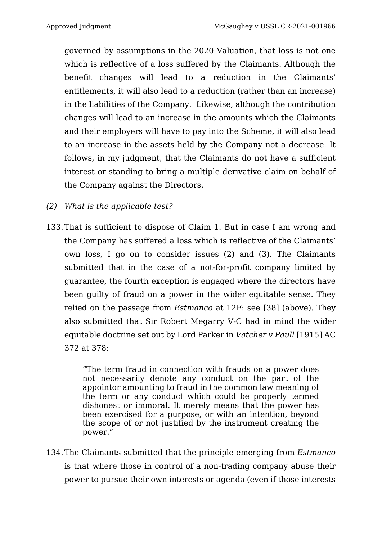governed by assumptions in the 2020 Valuation, that loss is not one which is reflective of a loss suffered by the Claimants. Although the benefit changes will lead to a reduction in the Claimants' entitlements, it will also lead to a reduction (rather than an increase) in the liabilities of the Company. Likewise, although the contribution changes will lead to an increase in the amounts which the Claimants and their employers will have to pay into the Scheme, it will also lead to an increase in the assets held by the Company not a decrease. It follows, in my judgment, that the Claimants do not have a sufficient interest or standing to bring a multiple derivative claim on behalf of the Company against the Directors.

- *(2) What is the applicable test?*
- 133.That is sufficient to dispose of Claim 1. But in case I am wrong and the Company has suffered a loss which is reflective of the Claimants' own loss, I go on to consider issues (2) and (3). The Claimants submitted that in the case of a not-for-profit company limited by guarantee, the fourth exception is engaged where the directors have been guilty of fraud on a power in the wider equitable sense. They relied on the passage from *Estmanco* at 12F: see [38] (above). They also submitted that Sir Robert Megarry V-C had in mind the wider equitable doctrine set out by Lord Parker in *Vatcher v Paull* [1915] AC 372 at 378:

"The term fraud in connection with frauds on a power does not necessarily denote any conduct on the part of the appointor amounting to fraud in the common law meaning of the term or any conduct which could be properly termed dishonest or immoral. It merely means that the power has been exercised for a purpose, or with an intention, beyond the scope of or not justified by the instrument creating the power."

134.The Claimants submitted that the principle emerging from *Estmanco* is that where those in control of a non-trading company abuse their power to pursue their own interests or agenda (even if those interests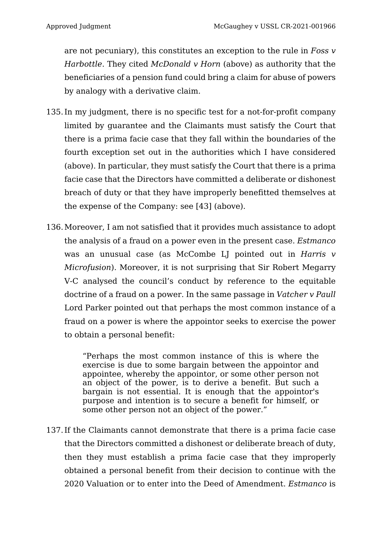are not pecuniary), this constitutes an exception to the rule in *Foss v Harbottle*. They cited *McDonald v Horn* (above) as authority that the beneficiaries of a pension fund could bring a claim for abuse of powers by analogy with a derivative claim.

- 135.In my judgment, there is no specific test for a not-for-profit company limited by guarantee and the Claimants must satisfy the Court that there is a prima facie case that they fall within the boundaries of the fourth exception set out in the authorities which I have considered (above). In particular, they must satisfy the Court that there is a prima facie case that the Directors have committed a deliberate or dishonest breach of duty or that they have improperly benefitted themselves at the expense of the Company: see [43] (above).
- 136.Moreover, I am not satisfied that it provides much assistance to adopt the analysis of a fraud on a power even in the present case. *Estmanco* was an unusual case (as McCombe LJ pointed out in *Harris v Microfusion*). Moreover, it is not surprising that Sir Robert Megarry V-C analysed the council's conduct by reference to the equitable doctrine of a fraud on a power. In the same passage in *Vatcher v Paull* Lord Parker pointed out that perhaps the most common instance of a fraud on a power is where the appointor seeks to exercise the power to obtain a personal benefit:

"Perhaps the most common instance of this is where the exercise is due to some bargain between the appointor and appointee, whereby the appointor, or some other person not an object of the power, is to derive a benefit. But such a bargain is not essential. It is enough that the appointor's purpose and intention is to secure a benefit for himself, or some other person not an object of the power."

137.If the Claimants cannot demonstrate that there is a prima facie case that the Directors committed a dishonest or deliberate breach of duty, then they must establish a prima facie case that they improperly obtained a personal benefit from their decision to continue with the 2020 Valuation or to enter into the Deed of Amendment. *Estmanco* is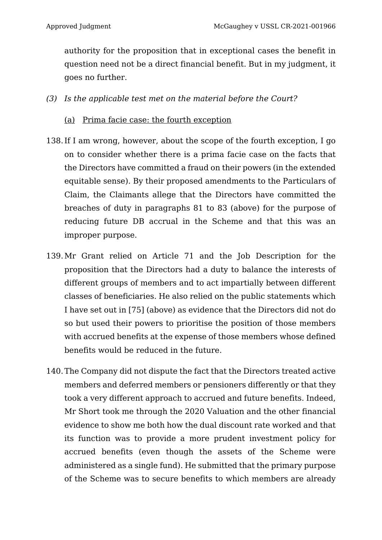authority for the proposition that in exceptional cases the benefit in question need not be a direct financial benefit. But in my judgment, it goes no further.

*(3) Is the applicable test met on the material before the Court?*

(a) Prima facie case: the fourth exception

- 138.If I am wrong, however, about the scope of the fourth exception, I go on to consider whether there is a prima facie case on the facts that the Directors have committed a fraud on their powers (in the extended equitable sense). By their proposed amendments to the Particulars of Claim, the Claimants allege that the Directors have committed the breaches of duty in paragraphs 81 to 83 (above) for the purpose of reducing future DB accrual in the Scheme and that this was an improper purpose.
- 139.Mr Grant relied on Article 71 and the Job Description for the proposition that the Directors had a duty to balance the interests of different groups of members and to act impartially between different classes of beneficiaries. He also relied on the public statements which I have set out in [75] (above) as evidence that the Directors did not do so but used their powers to prioritise the position of those members with accrued benefits at the expense of those members whose defined benefits would be reduced in the future.
- 140.The Company did not dispute the fact that the Directors treated active members and deferred members or pensioners differently or that they took a very different approach to accrued and future benefits. Indeed, Mr Short took me through the 2020 Valuation and the other financial evidence to show me both how the dual discount rate worked and that its function was to provide a more prudent investment policy for accrued benefits (even though the assets of the Scheme were administered as a single fund). He submitted that the primary purpose of the Scheme was to secure benefits to which members are already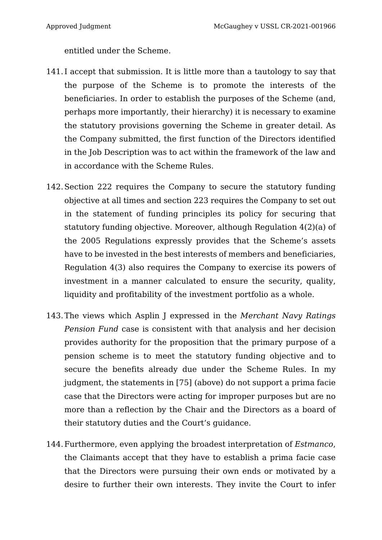entitled under the Scheme.

- 141.I accept that submission. It is little more than a tautology to say that the purpose of the Scheme is to promote the interests of the beneficiaries. In order to establish the purposes of the Scheme (and, perhaps more importantly, their hierarchy) it is necessary to examine the statutory provisions governing the Scheme in greater detail. As the Company submitted, the first function of the Directors identified in the Job Description was to act within the framework of the law and in accordance with the Scheme Rules.
- 142.Section 222 requires the Company to secure the statutory funding objective at all times and section 223 requires the Company to set out in the statement of funding principles its policy for securing that statutory funding objective. Moreover, although Regulation 4(2)(a) of the 2005 Regulations expressly provides that the Scheme's assets have to be invested in the best interests of members and beneficiaries, Regulation 4(3) also requires the Company to exercise its powers of investment in a manner calculated to ensure the security, quality, liquidity and profitability of the investment portfolio as a whole.
- 143.The views which Asplin J expressed in the *Merchant Navy Ratings Pension Fund* case is consistent with that analysis and her decision provides authority for the proposition that the primary purpose of a pension scheme is to meet the statutory funding objective and to secure the benefits already due under the Scheme Rules. In my judgment, the statements in [75] (above) do not support a prima facie case that the Directors were acting for improper purposes but are no more than a reflection by the Chair and the Directors as a board of their statutory duties and the Court's guidance.
- 144.Furthermore, even applying the broadest interpretation of *Estmanco*, the Claimants accept that they have to establish a prima facie case that the Directors were pursuing their own ends or motivated by a desire to further their own interests. They invite the Court to infer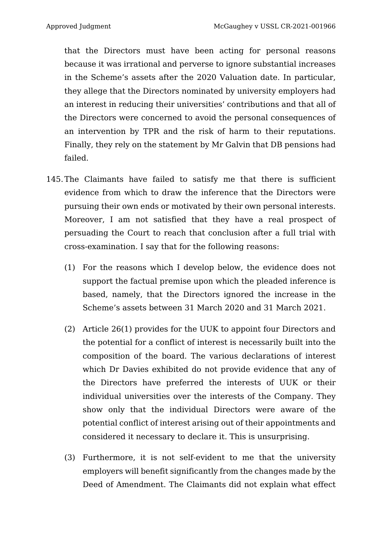that the Directors must have been acting for personal reasons because it was irrational and perverse to ignore substantial increases in the Scheme's assets after the 2020 Valuation date. In particular, they allege that the Directors nominated by university employers had an interest in reducing their universities' contributions and that all of the Directors were concerned to avoid the personal consequences of an intervention by TPR and the risk of harm to their reputations. Finally, they rely on the statement by Mr Galvin that DB pensions had failed.

- 145.The Claimants have failed to satisfy me that there is sufficient evidence from which to draw the inference that the Directors were pursuing their own ends or motivated by their own personal interests. Moreover, I am not satisfied that they have a real prospect of persuading the Court to reach that conclusion after a full trial with cross-examination. I say that for the following reasons:
	- (1) For the reasons which I develop below, the evidence does not support the factual premise upon which the pleaded inference is based, namely, that the Directors ignored the increase in the Scheme's assets between 31 March 2020 and 31 March 2021.
	- (2) Article 26(1) provides for the UUK to appoint four Directors and the potential for a conflict of interest is necessarily built into the composition of the board. The various declarations of interest which Dr Davies exhibited do not provide evidence that any of the Directors have preferred the interests of UUK or their individual universities over the interests of the Company. They show only that the individual Directors were aware of the potential conflict of interest arising out of their appointments and considered it necessary to declare it. This is unsurprising.
	- (3) Furthermore, it is not self-evident to me that the university employers will benefit significantly from the changes made by the Deed of Amendment. The Claimants did not explain what effect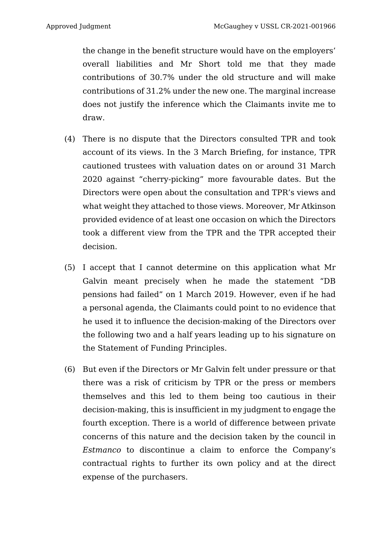the change in the benefit structure would have on the employers' overall liabilities and Mr Short told me that they made contributions of 30.7% under the old structure and will make contributions of 31.2% under the new one. The marginal increase does not justify the inference which the Claimants invite me to draw.

- (4) There is no dispute that the Directors consulted TPR and took account of its views. In the 3 March Briefing, for instance, TPR cautioned trustees with valuation dates on or around 31 March 2020 against "cherry-picking" more favourable dates. But the Directors were open about the consultation and TPR's views and what weight they attached to those views. Moreover, Mr Atkinson provided evidence of at least one occasion on which the Directors took a different view from the TPR and the TPR accepted their decision.
- (5) I accept that I cannot determine on this application what Mr Galvin meant precisely when he made the statement "DB pensions had failed" on 1 March 2019. However, even if he had a personal agenda, the Claimants could point to no evidence that he used it to influence the decision-making of the Directors over the following two and a half years leading up to his signature on the Statement of Funding Principles.
- (6) But even if the Directors or Mr Galvin felt under pressure or that there was a risk of criticism by TPR or the press or members themselves and this led to them being too cautious in their decision-making, this is insufficient in my judgment to engage the fourth exception. There is a world of difference between private concerns of this nature and the decision taken by the council in *Estmanco* to discontinue a claim to enforce the Company's contractual rights to further its own policy and at the direct expense of the purchasers.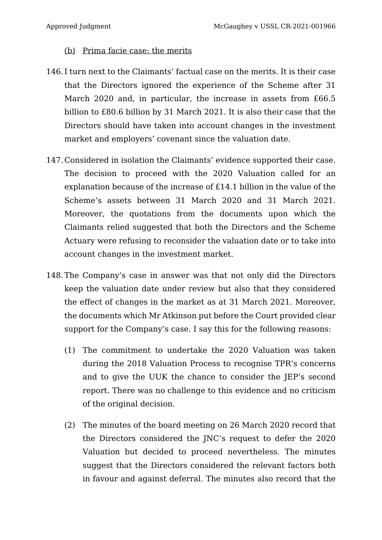- (b) Prima facie case: the merits
- 146.I turn next to the Claimants' factual case on the merits. It is their case that the Directors ignored the experience of the Scheme after 31 March 2020 and, in particular, the increase in assets from £66.5 billion to £80.6 billion by 31 March 2021. It is also their case that the Directors should have taken into account changes in the investment market and employers' covenant since the valuation date.
- 147.Considered in isolation the Claimants' evidence supported their case. The decision to proceed with the 2020 Valuation called for an explanation because of the increase of £14.1 billion in the value of the Scheme's assets between 31 March 2020 and 31 March 2021. Moreover, the quotations from the documents upon which the Claimants relied suggested that both the Directors and the Scheme Actuary were refusing to reconsider the valuation date or to take into account changes in the investment market.
- 148.The Company's case in answer was that not only did the Directors keep the valuation date under review but also that they considered the effect of changes in the market as at 31 March 2021. Moreover, the documents which Mr Atkinson put before the Court provided clear support for the Company's case. I say this for the following reasons:
	- (1) The commitment to undertake the 2020 Valuation was taken during the 2018 Valuation Process to recognise TPR's concerns and to give the UUK the chance to consider the JEP's second report. There was no challenge to this evidence and no criticism of the original decision.
	- (2) The minutes of the board meeting on 26 March 2020 record that the Directors considered the JNC's request to defer the 2020 Valuation but decided to proceed nevertheless. The minutes suggest that the Directors considered the relevant factors both in favour and against deferral. The minutes also record that the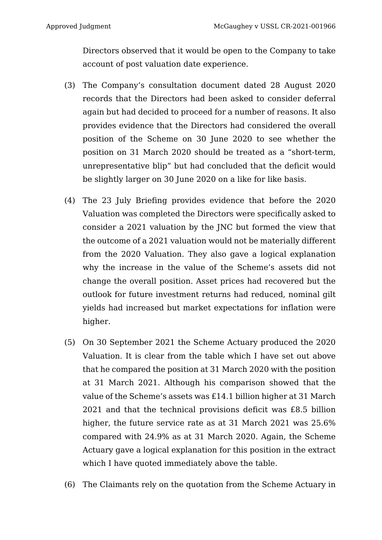Directors observed that it would be open to the Company to take account of post valuation date experience.

- (3) The Company's consultation document dated 28 August 2020 records that the Directors had been asked to consider deferral again but had decided to proceed for a number of reasons. It also provides evidence that the Directors had considered the overall position of the Scheme on 30 June 2020 to see whether the position on 31 March 2020 should be treated as a "short-term, unrepresentative blip" but had concluded that the deficit would be slightly larger on 30 June 2020 on a like for like basis.
- (4) The 23 July Briefing provides evidence that before the 2020 Valuation was completed the Directors were specifically asked to consider a 2021 valuation by the JNC but formed the view that the outcome of a 2021 valuation would not be materially different from the 2020 Valuation. They also gave a logical explanation why the increase in the value of the Scheme's assets did not change the overall position. Asset prices had recovered but the outlook for future investment returns had reduced, nominal gilt yields had increased but market expectations for inflation were higher.
- (5) On 30 September 2021 the Scheme Actuary produced the 2020 Valuation. It is clear from the table which I have set out above that he compared the position at 31 March 2020 with the position at 31 March 2021. Although his comparison showed that the value of the Scheme's assets was £14.1 billion higher at 31 March 2021 and that the technical provisions deficit was £8.5 billion higher, the future service rate as at 31 March 2021 was 25.6% compared with 24.9% as at 31 March 2020. Again, the Scheme Actuary gave a logical explanation for this position in the extract which I have quoted immediately above the table.
- (6) The Claimants rely on the quotation from the Scheme Actuary in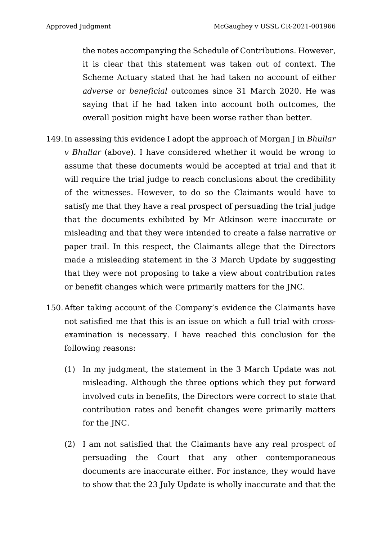the notes accompanying the Schedule of Contributions. However, it is clear that this statement was taken out of context. The Scheme Actuary stated that he had taken no account of either *adverse* or *beneficial* outcomes since 31 March 2020. He was saying that if he had taken into account both outcomes, the overall position might have been worse rather than better.

- 149.In assessing this evidence I adopt the approach of Morgan J in *Bhullar v Bhullar* (above). I have considered whether it would be wrong to assume that these documents would be accepted at trial and that it will require the trial judge to reach conclusions about the credibility of the witnesses. However, to do so the Claimants would have to satisfy me that they have a real prospect of persuading the trial judge that the documents exhibited by Mr Atkinson were inaccurate or misleading and that they were intended to create a false narrative or paper trail. In this respect, the Claimants allege that the Directors made a misleading statement in the 3 March Update by suggesting that they were not proposing to take a view about contribution rates or benefit changes which were primarily matters for the JNC.
- 150.After taking account of the Company's evidence the Claimants have not satisfied me that this is an issue on which a full trial with crossexamination is necessary. I have reached this conclusion for the following reasons:
	- (1) In my judgment, the statement in the 3 March Update was not misleading. Although the three options which they put forward involved cuts in benefits, the Directors were correct to state that contribution rates and benefit changes were primarily matters for the JNC.
	- (2) I am not satisfied that the Claimants have any real prospect of persuading the Court that any other contemporaneous documents are inaccurate either. For instance, they would have to show that the 23 July Update is wholly inaccurate and that the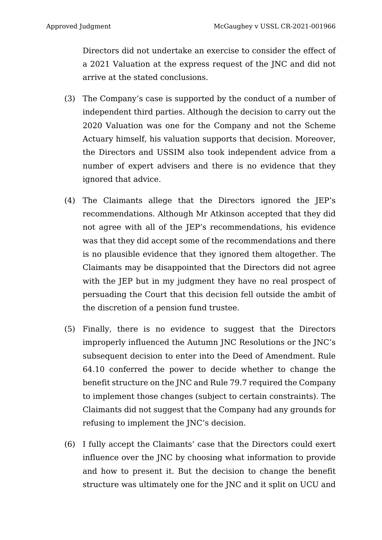Directors did not undertake an exercise to consider the effect of a 2021 Valuation at the express request of the JNC and did not arrive at the stated conclusions.

- (3) The Company's case is supported by the conduct of a number of independent third parties. Although the decision to carry out the 2020 Valuation was one for the Company and not the Scheme Actuary himself, his valuation supports that decision. Moreover, the Directors and USSIM also took independent advice from a number of expert advisers and there is no evidence that they ignored that advice.
- (4) The Claimants allege that the Directors ignored the JEP's recommendations. Although Mr Atkinson accepted that they did not agree with all of the JEP's recommendations, his evidence was that they did accept some of the recommendations and there is no plausible evidence that they ignored them altogether. The Claimants may be disappointed that the Directors did not agree with the JEP but in my judgment they have no real prospect of persuading the Court that this decision fell outside the ambit of the discretion of a pension fund trustee.
- (5) Finally, there is no evidence to suggest that the Directors improperly influenced the Autumn JNC Resolutions or the JNC's subsequent decision to enter into the Deed of Amendment. Rule 64.10 conferred the power to decide whether to change the benefit structure on the JNC and Rule 79.7 required the Company to implement those changes (subject to certain constraints). The Claimants did not suggest that the Company had any grounds for refusing to implement the JNC's decision.
- (6) I fully accept the Claimants' case that the Directors could exert influence over the JNC by choosing what information to provide and how to present it. But the decision to change the benefit structure was ultimately one for the JNC and it split on UCU and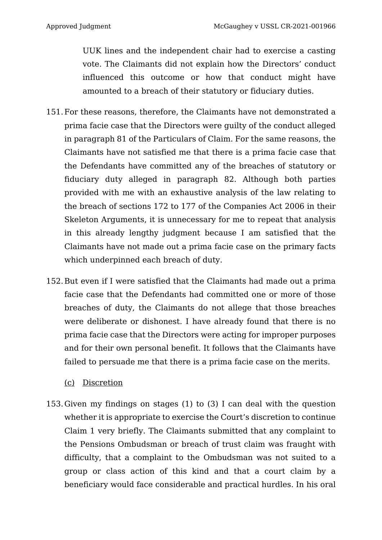UUK lines and the independent chair had to exercise a casting vote. The Claimants did not explain how the Directors' conduct influenced this outcome or how that conduct might have amounted to a breach of their statutory or fiduciary duties.

- 151.For these reasons, therefore, the Claimants have not demonstrated a prima facie case that the Directors were guilty of the conduct alleged in paragraph 81 of the Particulars of Claim. For the same reasons, the Claimants have not satisfied me that there is a prima facie case that the Defendants have committed any of the breaches of statutory or fiduciary duty alleged in paragraph 82. Although both parties provided with me with an exhaustive analysis of the law relating to the breach of sections 172 to 177 of the Companies Act 2006 in their Skeleton Arguments, it is unnecessary for me to repeat that analysis in this already lengthy judgment because I am satisfied that the Claimants have not made out a prima facie case on the primary facts which underpinned each breach of duty.
- 152.But even if I were satisfied that the Claimants had made out a prima facie case that the Defendants had committed one or more of those breaches of duty, the Claimants do not allege that those breaches were deliberate or dishonest. I have already found that there is no prima facie case that the Directors were acting for improper purposes and for their own personal benefit. It follows that the Claimants have failed to persuade me that there is a prima facie case on the merits.

(c) Discretion

153.Given my findings on stages (1) to (3) I can deal with the question whether it is appropriate to exercise the Court's discretion to continue Claim 1 very briefly. The Claimants submitted that any complaint to the Pensions Ombudsman or breach of trust claim was fraught with difficulty, that a complaint to the Ombudsman was not suited to a group or class action of this kind and that a court claim by a beneficiary would face considerable and practical hurdles. In his oral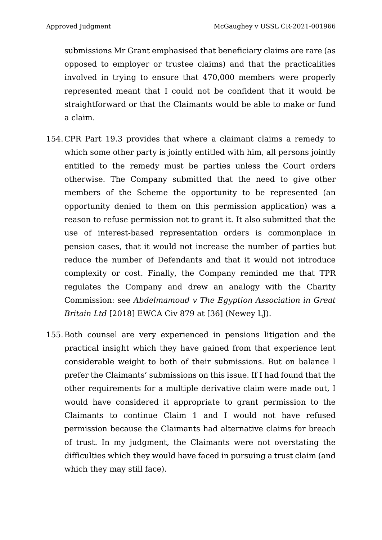submissions Mr Grant emphasised that beneficiary claims are rare (as opposed to employer or trustee claims) and that the practicalities involved in trying to ensure that 470,000 members were properly represented meant that I could not be confident that it would be straightforward or that the Claimants would be able to make or fund a claim.

- 154.CPR Part 19.3 provides that where a claimant claims a remedy to which some other party is jointly entitled with him, all persons jointly entitled to the remedy must be parties unless the Court orders otherwise. The Company submitted that the need to give other members of the Scheme the opportunity to be represented (an opportunity denied to them on this permission application) was a reason to refuse permission not to grant it. It also submitted that the use of interest-based representation orders is commonplace in pension cases, that it would not increase the number of parties but reduce the number of Defendants and that it would not introduce complexity or cost. Finally, the Company reminded me that TPR regulates the Company and drew an analogy with the Charity Commission: see *Abdelmamoud v The Egyption Association in Great Britain Ltd* [2018] EWCA Civ 879 at [36] (Newey LJ).
- 155.Both counsel are very experienced in pensions litigation and the practical insight which they have gained from that experience lent considerable weight to both of their submissions. But on balance I prefer the Claimants' submissions on this issue. If I had found that the other requirements for a multiple derivative claim were made out, I would have considered it appropriate to grant permission to the Claimants to continue Claim 1 and I would not have refused permission because the Claimants had alternative claims for breach of trust. In my judgment, the Claimants were not overstating the difficulties which they would have faced in pursuing a trust claim (and which they may still face).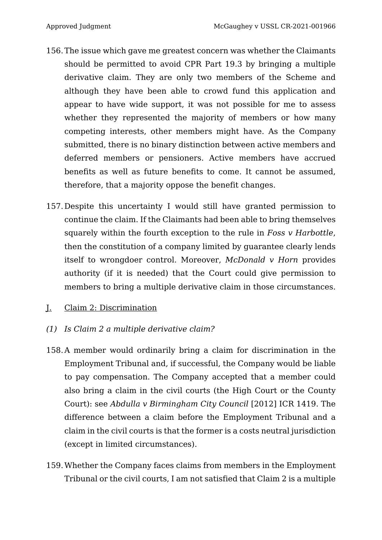- 156.The issue which gave me greatest concern was whether the Claimants should be permitted to avoid CPR Part 19.3 by bringing a multiple derivative claim. They are only two members of the Scheme and although they have been able to crowd fund this application and appear to have wide support, it was not possible for me to assess whether they represented the majority of members or how many competing interests, other members might have. As the Company submitted, there is no binary distinction between active members and deferred members or pensioners. Active members have accrued benefits as well as future benefits to come. It cannot be assumed, therefore, that a majority oppose the benefit changes.
- 157.Despite this uncertainty I would still have granted permission to continue the claim. If the Claimants had been able to bring themselves squarely within the fourth exception to the rule in *Foss v Harbottle*, then the constitution of a company limited by guarantee clearly lends itself to wrongdoer control. Moreover, *McDonald v Horn* provides authority (if it is needed) that the Court could give permission to members to bring a multiple derivative claim in those circumstances.
- J. Claim 2: Discrimination
- *(1) Is Claim 2 a multiple derivative claim?*
- 158.A member would ordinarily bring a claim for discrimination in the Employment Tribunal and, if successful, the Company would be liable to pay compensation. The Company accepted that a member could also bring a claim in the civil courts (the High Court or the County Court): see *Abdulla v Birmingham City Council* [2012] ICR 1419. The difference between a claim before the Employment Tribunal and a claim in the civil courts is that the former is a costs neutral jurisdiction (except in limited circumstances).
- 159.Whether the Company faces claims from members in the Employment Tribunal or the civil courts, I am not satisfied that Claim 2 is a multiple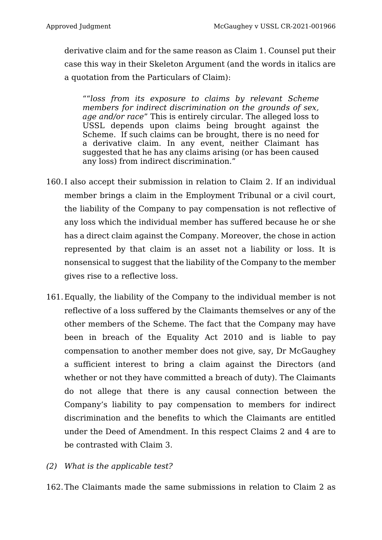derivative claim and for the same reason as Claim 1. Counsel put their case this way in their Skeleton Argument (and the words in italics are a quotation from the Particulars of Claim):

""*loss from its exposure to claims by relevant Scheme members for indirect discrimination on the grounds of sex, age and/or race*" This is entirely circular. The alleged loss to USSL depends upon claims being brought against the Scheme. If such claims can be brought, there is no need for a derivative claim. In any event, neither Claimant has suggested that he has any claims arising (or has been caused any loss) from indirect discrimination."

- 160.I also accept their submission in relation to Claim 2. If an individual member brings a claim in the Employment Tribunal or a civil court, the liability of the Company to pay compensation is not reflective of any loss which the individual member has suffered because he or she has a direct claim against the Company. Moreover, the chose in action represented by that claim is an asset not a liability or loss. It is nonsensical to suggest that the liability of the Company to the member gives rise to a reflective loss.
- 161.Equally, the liability of the Company to the individual member is not reflective of a loss suffered by the Claimants themselves or any of the other members of the Scheme. The fact that the Company may have been in breach of the Equality Act 2010 and is liable to pay compensation to another member does not give, say, Dr McGaughey a sufficient interest to bring a claim against the Directors (and whether or not they have committed a breach of duty). The Claimants do not allege that there is any causal connection between the Company's liability to pay compensation to members for indirect discrimination and the benefits to which the Claimants are entitled under the Deed of Amendment. In this respect Claims 2 and 4 are to be contrasted with Claim 3.

*(2) What is the applicable test?*

162.The Claimants made the same submissions in relation to Claim 2 as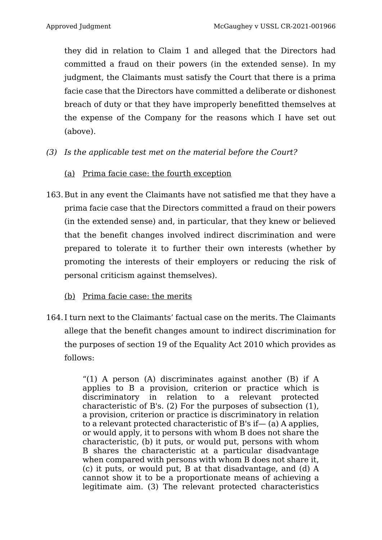they did in relation to Claim 1 and alleged that the Directors had committed a fraud on their powers (in the extended sense). In my judgment, the Claimants must satisfy the Court that there is a prima facie case that the Directors have committed a deliberate or dishonest breach of duty or that they have improperly benefitted themselves at the expense of the Company for the reasons which I have set out (above).

- *(3) Is the applicable test met on the material before the Court?*
	- (a) Prima facie case: the fourth exception
- 163.But in any event the Claimants have not satisfied me that they have a prima facie case that the Directors committed a fraud on their powers (in the extended sense) and, in particular, that they knew or believed that the benefit changes involved indirect discrimination and were prepared to tolerate it to further their own interests (whether by promoting the interests of their employers or reducing the risk of personal criticism against themselves).
	- (b) Prima facie case: the merits
- 164.I turn next to the Claimants' factual case on the merits. The Claimants allege that the benefit changes amount to indirect discrimination for the purposes of section 19 of the Equality Act 2010 which provides as follows:

"(1) A person (A) discriminates against another (B) if A applies to B a provision, criterion or practice which is discriminatory in relation to a relevant protected characteristic of B's. (2) For the purposes of subsection (1), a provision, criterion or practice is discriminatory in relation to a relevant protected characteristic of B's if— (a) A applies, or would apply, it to persons with whom B does not share the characteristic, (b) it puts, or would put, persons with whom B shares the characteristic at a particular disadvantage when compared with persons with whom B does not share it, (c) it puts, or would put, B at that disadvantage, and (d) A cannot show it to be a proportionate means of achieving a legitimate aim. (3) The relevant protected characteristics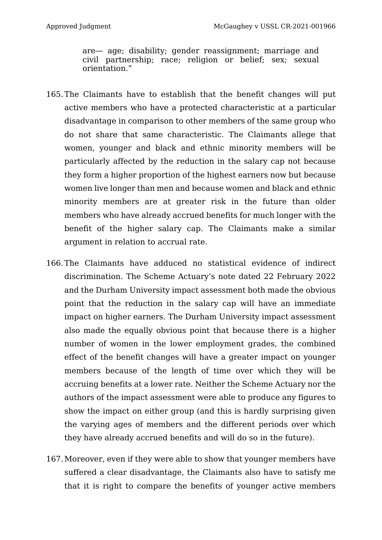are— age; disability; gender reassignment; marriage and civil partnership; race; religion or belief; sex; sexual orientation."

- 165.The Claimants have to establish that the benefit changes will put active members who have a protected characteristic at a particular disadvantage in comparison to other members of the same group who do not share that same characteristic. The Claimants allege that women, younger and black and ethnic minority members will be particularly affected by the reduction in the salary cap not because they form a higher proportion of the highest earners now but because women live longer than men and because women and black and ethnic minority members are at greater risk in the future than older members who have already accrued benefits for much longer with the benefit of the higher salary cap. The Claimants make a similar argument in relation to accrual rate.
- 166.The Claimants have adduced no statistical evidence of indirect discrimination. The Scheme Actuary's note dated 22 February 2022 and the Durham University impact assessment both made the obvious point that the reduction in the salary cap will have an immediate impact on higher earners. The Durham University impact assessment also made the equally obvious point that because there is a higher number of women in the lower employment grades, the combined effect of the benefit changes will have a greater impact on younger members because of the length of time over which they will be accruing benefits at a lower rate. Neither the Scheme Actuary nor the authors of the impact assessment were able to produce any figures to show the impact on either group (and this is hardly surprising given the varying ages of members and the different periods over which they have already accrued benefits and will do so in the future).
- 167.Moreover, even if they were able to show that younger members have suffered a clear disadvantage, the Claimants also have to satisfy me that it is right to compare the benefits of younger active members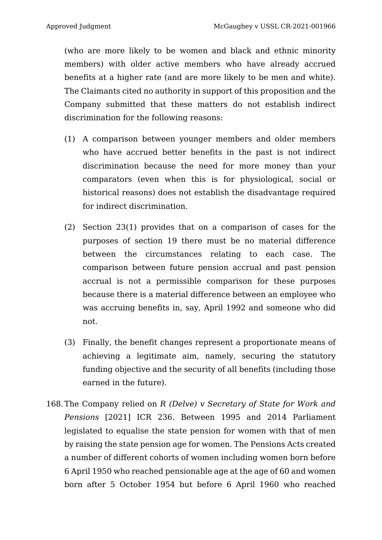(who are more likely to be women and black and ethnic minority members) with older active members who have already accrued benefits at a higher rate (and are more likely to be men and white). The Claimants cited no authority in support of this proposition and the Company submitted that these matters do not establish indirect discrimination for the following reasons:

- (1) A comparison between younger members and older members who have accrued better benefits in the past is not indirect discrimination because the need for more money than your comparators (even when this is for physiological, social or historical reasons) does not establish the disadvantage required for indirect discrimination.
- (2) Section 23(1) provides that on a comparison of cases for the purposes of section 19 there must be no material difference between the circumstances relating to each case. The comparison between future pension accrual and past pension accrual is not a permissible comparison for these purposes because there is a material difference between an employee who was accruing benefits in, say, April 1992 and someone who did not.
- (3) Finally, the benefit changes represent a proportionate means of achieving a legitimate aim, namely, securing the statutory funding objective and the security of all benefits (including those earned in the future).
- 168.The Company relied on *R (Delve) v Secretary of State for Work and Pensions* [2021] ICR 236. Between 1995 and 2014 Parliament legislated to equalise the state pension for women with that of men by raising the state pension age for women. The Pensions Acts created a number of different cohorts of women including women born before 6 April 1950 who reached pensionable age at the age of 60 and women born after 5 October 1954 but before 6 April 1960 who reached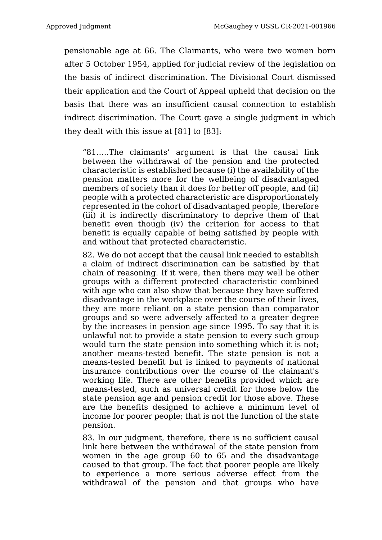pensionable age at 66. The Claimants, who were two women born after 5 October 1954, applied for judicial review of the legislation on the basis of indirect discrimination. The Divisional Court dismissed their application and the Court of Appeal upheld that decision on the basis that there was an insufficient causal connection to establish indirect discrimination. The Court gave a single judgment in which they dealt with this issue at [81] to [83]:

"81…..The claimants' argument is that the causal link between the withdrawal of the pension and the protected characteristic is established because (i) the availability of the pension matters more for the wellbeing of disadvantaged members of society than it does for better off people, and (ii) people with a protected characteristic are disproportionately represented in the cohort of disadvantaged people, therefore (iii) it is indirectly discriminatory to deprive them of that benefit even though (iv) the criterion for access to that benefit is equally capable of being satisfied by people with and without that protected characteristic.

82. We do not accept that the causal link needed to establish a claim of indirect discrimination can be satisfied by that chain of reasoning. If it were, then there may well be other groups with a different protected characteristic combined with age who can also show that because they have suffered disadvantage in the workplace over the course of their lives, they are more reliant on a state pension than comparator groups and so were adversely affected to a greater degree by the increases in pension age since 1995. To say that it is unlawful not to provide a state pension to every such group would turn the state pension into something which it is not; another means-tested benefit. The state pension is not a means-tested benefit but is linked to payments of national insurance contributions over the course of the claimant's working life. There are other benefits provided which are means-tested, such as universal credit for those below the state pension age and pension credit for those above. These are the benefits designed to achieve a minimum level of income for poorer people; that is not the function of the state pension.

83. In our judgment, therefore, there is no sufficient causal link here between the withdrawal of the state pension from women in the age group 60 to 65 and the disadvantage caused to that group. The fact that poorer people are likely to experience a more serious adverse effect from the withdrawal of the pension and that groups who have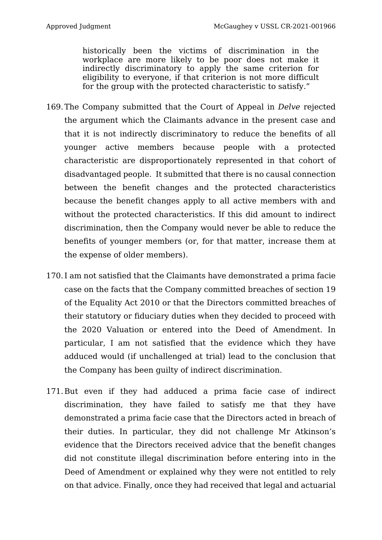historically been the victims of discrimination in the workplace are more likely to be poor does not make it indirectly discriminatory to apply the same criterion for eligibility to everyone, if that criterion is not more difficult for the group with the protected characteristic to satisfy."

- 169.The Company submitted that the Court of Appeal in *Delve* rejected the argument which the Claimants advance in the present case and that it is not indirectly discriminatory to reduce the benefits of all younger active members because people with a protected characteristic are disproportionately represented in that cohort of disadvantaged people. It submitted that there is no causal connection between the benefit changes and the protected characteristics because the benefit changes apply to all active members with and without the protected characteristics. If this did amount to indirect discrimination, then the Company would never be able to reduce the benefits of younger members (or, for that matter, increase them at the expense of older members).
- 170.I am not satisfied that the Claimants have demonstrated a prima facie case on the facts that the Company committed breaches of section 19 of the Equality Act 2010 or that the Directors committed breaches of their statutory or fiduciary duties when they decided to proceed with the 2020 Valuation or entered into the Deed of Amendment. In particular, I am not satisfied that the evidence which they have adduced would (if unchallenged at trial) lead to the conclusion that the Company has been guilty of indirect discrimination.
- 171.But even if they had adduced a prima facie case of indirect discrimination, they have failed to satisfy me that they have demonstrated a prima facie case that the Directors acted in breach of their duties. In particular, they did not challenge Mr Atkinson's evidence that the Directors received advice that the benefit changes did not constitute illegal discrimination before entering into in the Deed of Amendment or explained why they were not entitled to rely on that advice. Finally, once they had received that legal and actuarial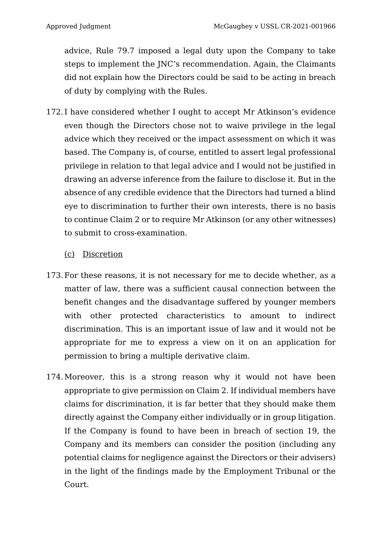advice, Rule 79.7 imposed a legal duty upon the Company to take steps to implement the JNC's recommendation. Again, the Claimants did not explain how the Directors could be said to be acting in breach of duty by complying with the Rules.

172.I have considered whether I ought to accept Mr Atkinson's evidence even though the Directors chose not to waive privilege in the legal advice which they received or the impact assessment on which it was based. The Company is, of course, entitled to assert legal professional privilege in relation to that legal advice and I would not be justified in drawing an adverse inference from the failure to disclose it. But in the absence of any credible evidence that the Directors had turned a blind eye to discrimination to further their own interests, there is no basis to continue Claim 2 or to require Mr Atkinson (or any other witnesses) to submit to cross-examination.

### (c) Discretion

- 173.For these reasons, it is not necessary for me to decide whether, as a matter of law, there was a sufficient causal connection between the benefit changes and the disadvantage suffered by younger members with other protected characteristics to amount to indirect discrimination. This is an important issue of law and it would not be appropriate for me to express a view on it on an application for permission to bring a multiple derivative claim.
- 174.Moreover, this is a strong reason why it would not have been appropriate to give permission on Claim 2. If individual members have claims for discrimination, it is far better that they should make them directly against the Company either individually or in group litigation. If the Company is found to have been in breach of section 19, the Company and its members can consider the position (including any potential claims for negligence against the Directors or their advisers) in the light of the findings made by the Employment Tribunal or the Court.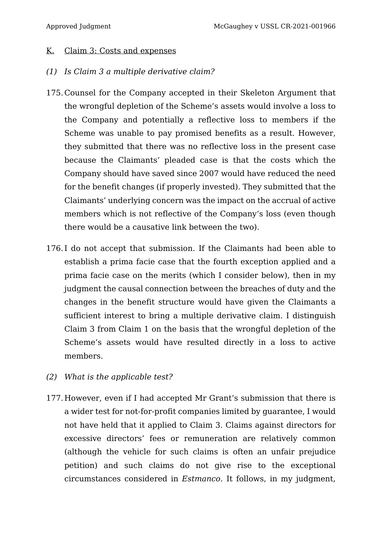#### K. Claim 3: Costs and expenses

#### *(1) Is Claim 3 a multiple derivative claim?*

- 175.Counsel for the Company accepted in their Skeleton Argument that the wrongful depletion of the Scheme's assets would involve a loss to the Company and potentially a reflective loss to members if the Scheme was unable to pay promised benefits as a result. However, they submitted that there was no reflective loss in the present case because the Claimants' pleaded case is that the costs which the Company should have saved since 2007 would have reduced the need for the benefit changes (if properly invested). They submitted that the Claimants' underlying concern was the impact on the accrual of active members which is not reflective of the Company's loss (even though there would be a causative link between the two).
- 176.I do not accept that submission. If the Claimants had been able to establish a prima facie case that the fourth exception applied and a prima facie case on the merits (which I consider below), then in my judgment the causal connection between the breaches of duty and the changes in the benefit structure would have given the Claimants a sufficient interest to bring a multiple derivative claim. I distinguish Claim 3 from Claim 1 on the basis that the wrongful depletion of the Scheme's assets would have resulted directly in a loss to active members.
- *(2) What is the applicable test?*
- 177.However, even if I had accepted Mr Grant's submission that there is a wider test for not-for-profit companies limited by guarantee, I would not have held that it applied to Claim 3. Claims against directors for excessive directors' fees or remuneration are relatively common (although the vehicle for such claims is often an unfair prejudice petition) and such claims do not give rise to the exceptional circumstances considered in *Estmanco*. It follows, in my judgment,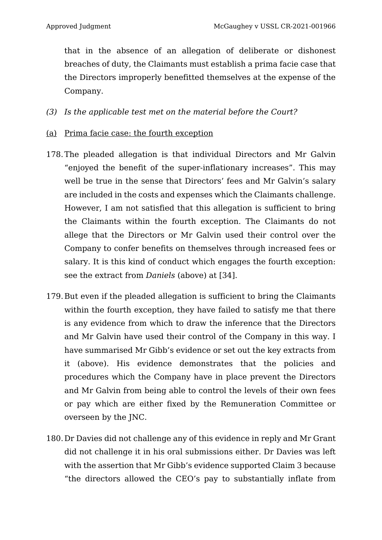that in the absence of an allegation of deliberate or dishonest breaches of duty, the Claimants must establish a prima facie case that the Directors improperly benefitted themselves at the expense of the Company.

- *(3) Is the applicable test met on the material before the Court?*
- (a) Prima facie case: the fourth exception
- 178.The pleaded allegation is that individual Directors and Mr Galvin "enjoyed the benefit of the super-inflationary increases". This may well be true in the sense that Directors' fees and Mr Galvin's salary are included in the costs and expenses which the Claimants challenge. However, I am not satisfied that this allegation is sufficient to bring the Claimants within the fourth exception. The Claimants do not allege that the Directors or Mr Galvin used their control over the Company to confer benefits on themselves through increased fees or salary. It is this kind of conduct which engages the fourth exception: see the extract from *Daniels* (above) at [34].
- 179.But even if the pleaded allegation is sufficient to bring the Claimants within the fourth exception, they have failed to satisfy me that there is any evidence from which to draw the inference that the Directors and Mr Galvin have used their control of the Company in this way. I have summarised Mr Gibb's evidence or set out the key extracts from it (above). His evidence demonstrates that the policies and procedures which the Company have in place prevent the Directors and Mr Galvin from being able to control the levels of their own fees or pay which are either fixed by the Remuneration Committee or overseen by the JNC.
- 180.Dr Davies did not challenge any of this evidence in reply and Mr Grant did not challenge it in his oral submissions either. Dr Davies was left with the assertion that Mr Gibb's evidence supported Claim 3 because "the directors allowed the CEO's pay to substantially inflate from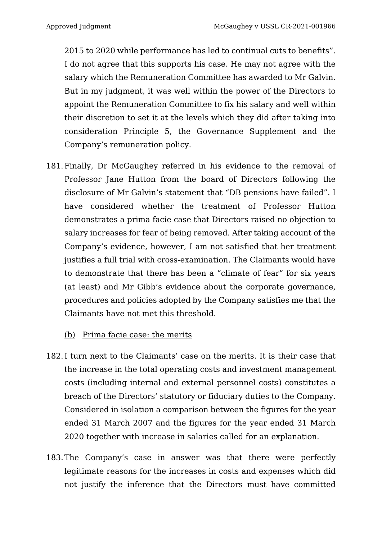2015 to 2020 while performance has led to continual cuts to benefits". I do not agree that this supports his case. He may not agree with the salary which the Remuneration Committee has awarded to Mr Galvin. But in my judgment, it was well within the power of the Directors to appoint the Remuneration Committee to fix his salary and well within their discretion to set it at the levels which they did after taking into consideration Principle 5, the Governance Supplement and the Company's remuneration policy.

- 181.Finally, Dr McGaughey referred in his evidence to the removal of Professor Jane Hutton from the board of Directors following the disclosure of Mr Galvin's statement that "DB pensions have failed". I have considered whether the treatment of Professor Hutton demonstrates a prima facie case that Directors raised no objection to salary increases for fear of being removed. After taking account of the Company's evidence, however, I am not satisfied that her treatment justifies a full trial with cross-examination. The Claimants would have to demonstrate that there has been a "climate of fear" for six years (at least) and Mr Gibb's evidence about the corporate governance, procedures and policies adopted by the Company satisfies me that the Claimants have not met this threshold.
	- (b) Prima facie case: the merits
- 182.I turn next to the Claimants' case on the merits. It is their case that the increase in the total operating costs and investment management costs (including internal and external personnel costs) constitutes a breach of the Directors' statutory or fiduciary duties to the Company. Considered in isolation a comparison between the figures for the year ended 31 March 2007 and the figures for the year ended 31 March 2020 together with increase in salaries called for an explanation.
- 183.The Company's case in answer was that there were perfectly legitimate reasons for the increases in costs and expenses which did not justify the inference that the Directors must have committed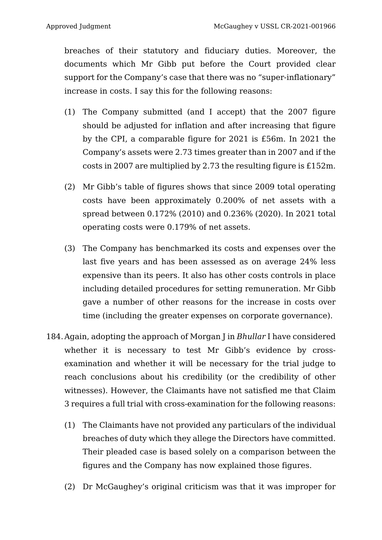breaches of their statutory and fiduciary duties. Moreover, the documents which Mr Gibb put before the Court provided clear support for the Company's case that there was no "super-inflationary" increase in costs. I say this for the following reasons:

- (1) The Company submitted (and I accept) that the 2007 figure should be adjusted for inflation and after increasing that figure by the CPI, a comparable figure for 2021 is £56m. In 2021 the Company's assets were 2.73 times greater than in 2007 and if the costs in 2007 are multiplied by 2.73 the resulting figure is £152m.
- (2) Mr Gibb's table of figures shows that since 2009 total operating costs have been approximately 0.200% of net assets with a spread between 0.172% (2010) and 0.236% (2020). In 2021 total operating costs were 0.179% of net assets.
- (3) The Company has benchmarked its costs and expenses over the last five years and has been assessed as on average 24% less expensive than its peers. It also has other costs controls in place including detailed procedures for setting remuneration. Mr Gibb gave a number of other reasons for the increase in costs over time (including the greater expenses on corporate governance).
- 184.Again, adopting the approach of Morgan J in *Bhullar* I have considered whether it is necessary to test Mr Gibb's evidence by crossexamination and whether it will be necessary for the trial judge to reach conclusions about his credibility (or the credibility of other witnesses). However, the Claimants have not satisfied me that Claim 3 requires a full trial with cross-examination for the following reasons:
	- (1) The Claimants have not provided any particulars of the individual breaches of duty which they allege the Directors have committed. Their pleaded case is based solely on a comparison between the figures and the Company has now explained those figures.
	- (2) Dr McGaughey's original criticism was that it was improper for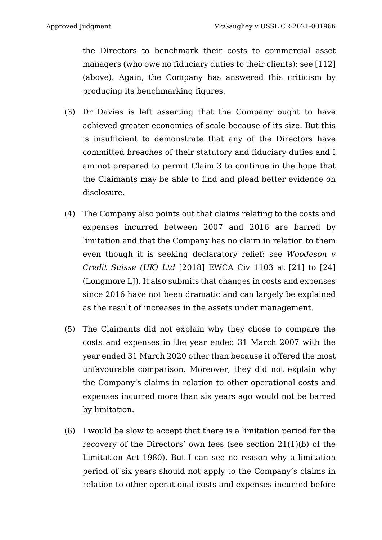the Directors to benchmark their costs to commercial asset managers (who owe no fiduciary duties to their clients): see [112] (above). Again, the Company has answered this criticism by producing its benchmarking figures.

- (3) Dr Davies is left asserting that the Company ought to have achieved greater economies of scale because of its size. But this is insufficient to demonstrate that any of the Directors have committed breaches of their statutory and fiduciary duties and I am not prepared to permit Claim 3 to continue in the hope that the Claimants may be able to find and plead better evidence on disclosure.
- (4) The Company also points out that claims relating to the costs and expenses incurred between 2007 and 2016 are barred by limitation and that the Company has no claim in relation to them even though it is seeking declaratory relief: see *Woodeson v Credit Suisse (UK) Ltd* [2018] EWCA Civ 1103 at [21] to [24] (Longmore LJ). It also submits that changes in costs and expenses since 2016 have not been dramatic and can largely be explained as the result of increases in the assets under management.
- (5) The Claimants did not explain why they chose to compare the costs and expenses in the year ended 31 March 2007 with the year ended 31 March 2020 other than because it offered the most unfavourable comparison. Moreover, they did not explain why the Company's claims in relation to other operational costs and expenses incurred more than six years ago would not be barred by limitation.
- (6) I would be slow to accept that there is a limitation period for the recovery of the Directors' own fees (see section 21(1)(b) of the Limitation Act 1980). But I can see no reason why a limitation period of six years should not apply to the Company's claims in relation to other operational costs and expenses incurred before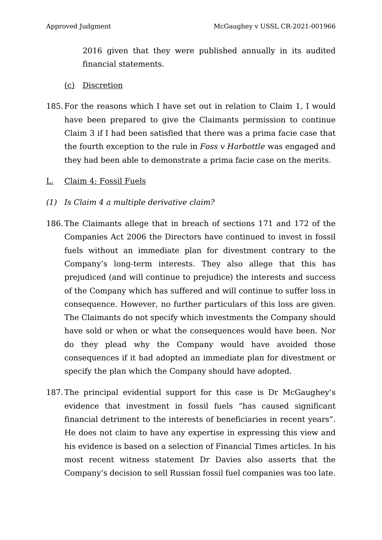2016 given that they were published annually in its audited financial statements.

#### (c) Discretion

- 185.For the reasons which I have set out in relation to Claim 1, I would have been prepared to give the Claimants permission to continue Claim 3 if I had been satisfied that there was a prima facie case that the fourth exception to the rule in *Foss v Harbottle* was engaged and they had been able to demonstrate a prima facie case on the merits.
- L. Claim 4: Fossil Fuels
- *(1) Is Claim 4 a multiple derivative claim?*
- 186.The Claimants allege that in breach of sections 171 and 172 of the Companies Act 2006 the Directors have continued to invest in fossil fuels without an immediate plan for divestment contrary to the Company's long-term interests. They also allege that this has prejudiced (and will continue to prejudice) the interests and success of the Company which has suffered and will continue to suffer loss in consequence. However, no further particulars of this loss are given. The Claimants do not specify which investments the Company should have sold or when or what the consequences would have been. Nor do they plead why the Company would have avoided those consequences if it had adopted an immediate plan for divestment or specify the plan which the Company should have adopted.
- 187.The principal evidential support for this case is Dr McGaughey's evidence that investment in fossil fuels "has caused significant financial detriment to the interests of beneficiaries in recent years". He does not claim to have any expertise in expressing this view and his evidence is based on a selection of Financial Times articles. In his most recent witness statement Dr Davies also asserts that the Company's decision to sell Russian fossil fuel companies was too late.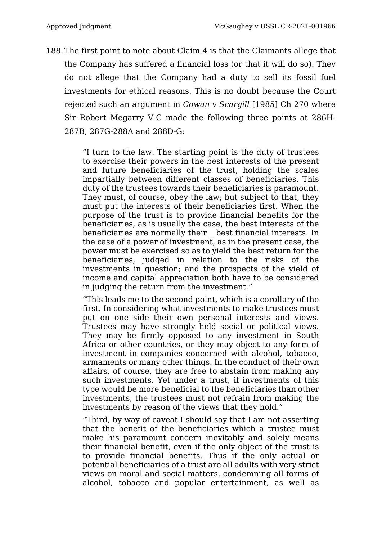188.The first point to note about Claim 4 is that the Claimants allege that the Company has suffered a financial loss (or that it will do so). They do not allege that the Company had a duty to sell its fossil fuel investments for ethical reasons. This is no doubt because the Court rejected such an argument in *Cowan v Scargill* [1985] Ch 270 where Sir Robert Megarry V-C made the following three points at 286H-287B, 287G-288A and 288D-G:

> "I turn to the law. The starting point is the duty of trustees to exercise their powers in the best interests of the present and future beneficiaries of the trust, holding the scales impartially between different classes of beneficiaries. This duty of the trustees towards their beneficiaries is paramount. They must, of course, obey the law; but subject to that, they must put the interests of their beneficiaries first. When the purpose of the trust is to provide financial benefits for the beneficiaries, as is usually the case, the best interests of the beneficiaries are normally their \_ best financial interests. In the case of a power of investment, as in the present case, the power must be exercised so as to yield the best return for the beneficiaries, judged in relation to the risks of the investments in question; and the prospects of the yield of income and capital appreciation both have to be considered in judging the return from the investment."

> "This leads me to the second point, which is a corollary of the first. In considering what investments to make trustees must put on one side their own personal interests and views. Trustees may have strongly held social or political views. They may be firmly opposed to any investment in South Africa or other countries, or they may object to any form of investment in companies concerned with alcohol, tobacco, armaments or many other things. In the conduct of their own affairs, of course, they are free to abstain from making any such investments. Yet under a trust, if investments of this type would be more beneficial to the beneficiaries than other investments, the trustees must not refrain from making the investments by reason of the views that they hold."

> "Third, by way of caveat I should say that I am not asserting that the benefit of the beneficiaries which a trustee must make his paramount concern inevitably and solely means their financial benefit, even if the only object of the trust is to provide financial benefits. Thus if the only actual or potential beneficiaries of a trust are all adults with very strict views on moral and social matters, condemning all forms of alcohol, tobacco and popular entertainment, as well as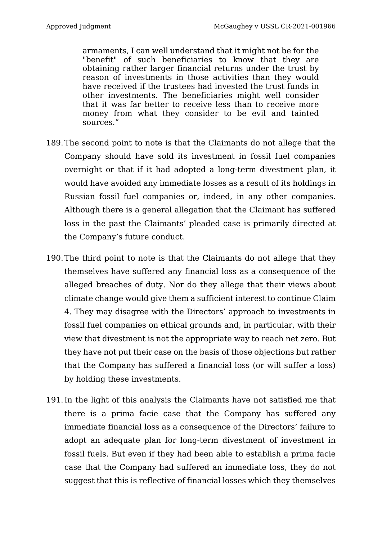armaments, I can well understand that it might not be for the "benefit" of such beneficiaries to know that they are obtaining rather larger financial returns under the trust by reason of investments in those activities than they would have received if the trustees had invested the trust funds in other investments. The beneficiaries might well consider that it was far better to receive less than to receive more money from what they consider to be evil and tainted sources."

- 189.The second point to note is that the Claimants do not allege that the Company should have sold its investment in fossil fuel companies overnight or that if it had adopted a long-term divestment plan, it would have avoided any immediate losses as a result of its holdings in Russian fossil fuel companies or, indeed, in any other companies. Although there is a general allegation that the Claimant has suffered loss in the past the Claimants' pleaded case is primarily directed at the Company's future conduct.
- 190.The third point to note is that the Claimants do not allege that they themselves have suffered any financial loss as a consequence of the alleged breaches of duty. Nor do they allege that their views about climate change would give them a sufficient interest to continue Claim 4. They may disagree with the Directors' approach to investments in fossil fuel companies on ethical grounds and, in particular, with their view that divestment is not the appropriate way to reach net zero. But they have not put their case on the basis of those objections but rather that the Company has suffered a financial loss (or will suffer a loss) by holding these investments.
- 191.In the light of this analysis the Claimants have not satisfied me that there is a prima facie case that the Company has suffered any immediate financial loss as a consequence of the Directors' failure to adopt an adequate plan for long-term divestment of investment in fossil fuels. But even if they had been able to establish a prima facie case that the Company had suffered an immediate loss, they do not suggest that this is reflective of financial losses which they themselves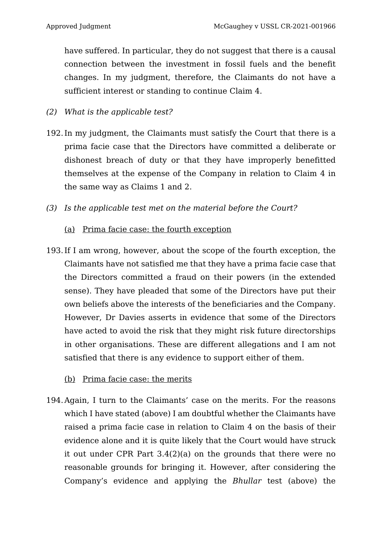have suffered. In particular, they do not suggest that there is a causal connection between the investment in fossil fuels and the benefit changes. In my judgment, therefore, the Claimants do not have a sufficient interest or standing to continue Claim 4.

- *(2) What is the applicable test?*
- 192.In my judgment, the Claimants must satisfy the Court that there is a prima facie case that the Directors have committed a deliberate or dishonest breach of duty or that they have improperly benefitted themselves at the expense of the Company in relation to Claim 4 in the same way as Claims 1 and 2.
- *(3) Is the applicable test met on the material before the Court?*
	- (a) Prima facie case: the fourth exception
- 193.If I am wrong, however, about the scope of the fourth exception, the Claimants have not satisfied me that they have a prima facie case that the Directors committed a fraud on their powers (in the extended sense). They have pleaded that some of the Directors have put their own beliefs above the interests of the beneficiaries and the Company. However, Dr Davies asserts in evidence that some of the Directors have acted to avoid the risk that they might risk future directorships in other organisations. These are different allegations and I am not satisfied that there is any evidence to support either of them.
	- (b) Prima facie case: the merits
- 194.Again, I turn to the Claimants' case on the merits. For the reasons which I have stated (above) I am doubtful whether the Claimants have raised a prima facie case in relation to Claim 4 on the basis of their evidence alone and it is quite likely that the Court would have struck it out under CPR Part 3.4(2)(a) on the grounds that there were no reasonable grounds for bringing it. However, after considering the Company's evidence and applying the *Bhullar* test (above) the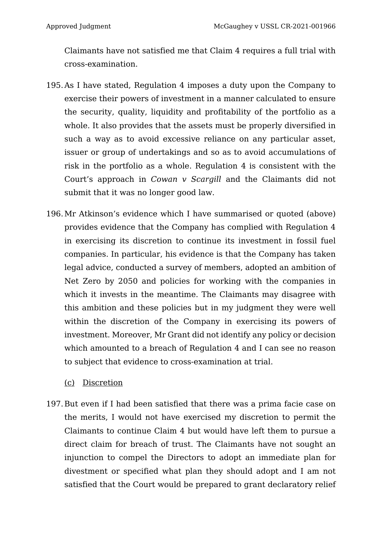Claimants have not satisfied me that Claim 4 requires a full trial with cross-examination.

- 195.As I have stated, Regulation 4 imposes a duty upon the Company to exercise their powers of investment in a manner calculated to ensure the security, quality, liquidity and profitability of the portfolio as a whole. It also provides that the assets must be properly diversified in such a way as to avoid excessive reliance on any particular asset, issuer or group of undertakings and so as to avoid accumulations of risk in the portfolio as a whole. Regulation 4 is consistent with the Court's approach in *Cowan v Scargill* and the Claimants did not submit that it was no longer good law.
- 196.Mr Atkinson's evidence which I have summarised or quoted (above) provides evidence that the Company has complied with Regulation 4 in exercising its discretion to continue its investment in fossil fuel companies. In particular, his evidence is that the Company has taken legal advice, conducted a survey of members, adopted an ambition of Net Zero by 2050 and policies for working with the companies in which it invests in the meantime. The Claimants may disagree with this ambition and these policies but in my judgment they were well within the discretion of the Company in exercising its powers of investment. Moreover, Mr Grant did not identify any policy or decision which amounted to a breach of Regulation 4 and I can see no reason to subject that evidence to cross-examination at trial.

(c) Discretion

197.But even if I had been satisfied that there was a prima facie case on the merits, I would not have exercised my discretion to permit the Claimants to continue Claim 4 but would have left them to pursue a direct claim for breach of trust. The Claimants have not sought an injunction to compel the Directors to adopt an immediate plan for divestment or specified what plan they should adopt and I am not satisfied that the Court would be prepared to grant declaratory relief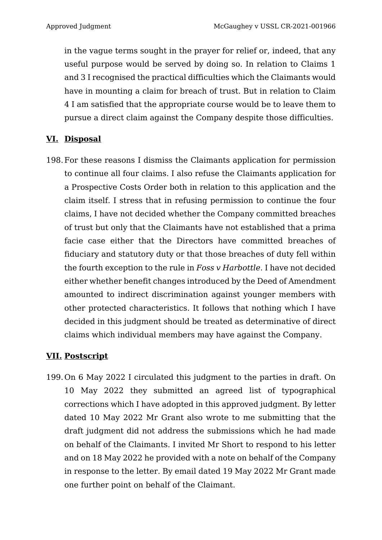in the vague terms sought in the prayer for relief or, indeed, that any useful purpose would be served by doing so. In relation to Claims 1 and 3 I recognised the practical difficulties which the Claimants would have in mounting a claim for breach of trust. But in relation to Claim 4 I am satisfied that the appropriate course would be to leave them to pursue a direct claim against the Company despite those difficulties.

## **VI. Disposal**

198.For these reasons I dismiss the Claimants application for permission to continue all four claims. I also refuse the Claimants application for a Prospective Costs Order both in relation to this application and the claim itself. I stress that in refusing permission to continue the four claims, I have not decided whether the Company committed breaches of trust but only that the Claimants have not established that a prima facie case either that the Directors have committed breaches of fiduciary and statutory duty or that those breaches of duty fell within the fourth exception to the rule in *Foss v Harbottle*. I have not decided either whether benefit changes introduced by the Deed of Amendment amounted to indirect discrimination against younger members with other protected characteristics. It follows that nothing which I have decided in this judgment should be treated as determinative of direct claims which individual members may have against the Company.

# **VII. Postscript**

199.On 6 May 2022 I circulated this judgment to the parties in draft. On 10 May 2022 they submitted an agreed list of typographical corrections which I have adopted in this approved judgment. By letter dated 10 May 2022 Mr Grant also wrote to me submitting that the draft judgment did not address the submissions which he had made on behalf of the Claimants. I invited Mr Short to respond to his letter and on 18 May 2022 he provided with a note on behalf of the Company in response to the letter. By email dated 19 May 2022 Mr Grant made one further point on behalf of the Claimant.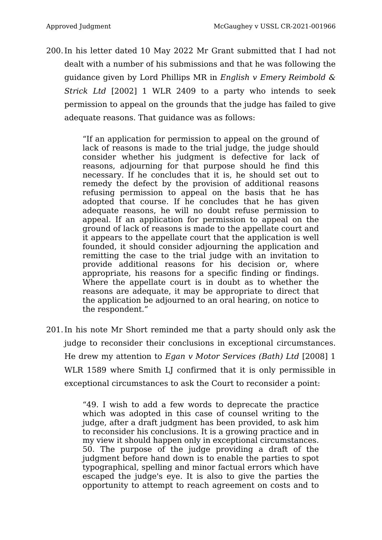200.In his letter dated 10 May 2022 Mr Grant submitted that I had not dealt with a number of his submissions and that he was following the guidance given by Lord Phillips MR in *English v Emery Reimbold & Strick Ltd* [2002] 1 WLR 2409 to a party who intends to seek permission to appeal on the grounds that the judge has failed to give adequate reasons. That guidance was as follows:

> "If an application for permission to appeal on the ground of lack of reasons is made to the trial judge, the judge should consider whether his judgment is defective for lack of reasons, adjourning for that purpose should he find this necessary. If he concludes that it is, he should set out to remedy the defect by the provision of additional reasons refusing permission to appeal on the basis that he has adopted that course. If he concludes that he has given adequate reasons, he will no doubt refuse permission to appeal. If an application for permission to appeal on the ground of lack of reasons is made to the appellate court and it appears to the appellate court that the application is well founded, it should consider adjourning the application and remitting the case to the trial judge with an invitation to provide additional reasons for his decision or, where appropriate, his reasons for a specific finding or findings. Where the appellate court is in doubt as to whether the reasons are adequate, it may be appropriate to direct that the application be adjourned to an oral hearing, on notice to the respondent."

201.In his note Mr Short reminded me that a party should only ask the judge to reconsider their conclusions in exceptional circumstances. He drew my attention to *Egan v Motor Services (Bath) Ltd* [2008] 1 WLR 1589 where Smith LJ confirmed that it is only permissible in exceptional circumstances to ask the Court to reconsider a point:

> "49. I wish to add a few words to deprecate the practice which was adopted in this case of counsel writing to the judge, after a draft judgment has been provided, to ask him to reconsider his conclusions. It is a growing practice and in my view it should happen only in exceptional circumstances. 50. The purpose of the judge providing a draft of the judgment before hand down is to enable the parties to spot typographical, spelling and minor factual errors which have escaped the judge's eye. It is also to give the parties the opportunity to attempt to reach agreement on costs and to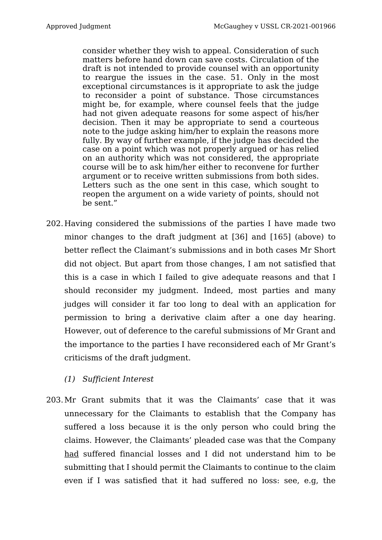consider whether they wish to appeal. Consideration of such matters before hand down can save costs. Circulation of the draft is not intended to provide counsel with an opportunity to reargue the issues in the case. 51. Only in the most exceptional circumstances is it appropriate to ask the judge to reconsider a point of substance. Those circumstances might be, for example, where counsel feels that the judge had not given adequate reasons for some aspect of his/her decision. Then it may be appropriate to send a courteous note to the judge asking him/her to explain the reasons more fully. By way of further example, if the judge has decided the case on a point which was not properly argued or has relied on an authority which was not considered, the appropriate course will be to ask him/her either to reconvene for further argument or to receive written submissions from both sides. Letters such as the one sent in this case, which sought to reopen the argument on a wide variety of points, should not be sent."

- 202.Having considered the submissions of the parties I have made two minor changes to the draft judgment at [36] and [165] (above) to better reflect the Claimant's submissions and in both cases Mr Short did not object. But apart from those changes, I am not satisfied that this is a case in which I failed to give adequate reasons and that I should reconsider my judgment. Indeed, most parties and many judges will consider it far too long to deal with an application for permission to bring a derivative claim after a one day hearing. However, out of deference to the careful submissions of Mr Grant and the importance to the parties I have reconsidered each of Mr Grant's criticisms of the draft judgment.
	- *(1) Sufficient Interest*
- 203.Mr Grant submits that it was the Claimants' case that it was unnecessary for the Claimants to establish that the Company has suffered a loss because it is the only person who could bring the claims. However, the Claimants' pleaded case was that the Company had suffered financial losses and I did not understand him to be submitting that I should permit the Claimants to continue to the claim even if I was satisfied that it had suffered no loss: see, e.g, the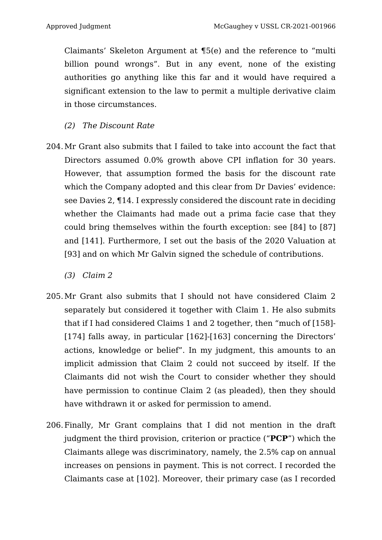Claimants' Skeleton Argument at ¶5(e) and the reference to "multi billion pound wrongs". But in any event, none of the existing authorities go anything like this far and it would have required a significant extension to the law to permit a multiple derivative claim in those circumstances.

- *(2) The Discount Rate*
- 204.Mr Grant also submits that I failed to take into account the fact that Directors assumed 0.0% growth above CPI inflation for 30 years. However, that assumption formed the basis for the discount rate which the Company adopted and this clear from Dr Davies' evidence: see Davies 2, ¶14. I expressly considered the discount rate in deciding whether the Claimants had made out a prima facie case that they could bring themselves within the fourth exception: see [84] to [87] and [141]. Furthermore, I set out the basis of the 2020 Valuation at [93] and on which Mr Galvin signed the schedule of contributions.
	- *(3) Claim 2*
- 205.Mr Grant also submits that I should not have considered Claim 2 separately but considered it together with Claim 1. He also submits that if I had considered Claims 1 and 2 together, then "much of [158]- [174] falls away, in particular [162]-[163] concerning the Directors' actions, knowledge or belief". In my judgment, this amounts to an implicit admission that Claim 2 could not succeed by itself. If the Claimants did not wish the Court to consider whether they should have permission to continue Claim 2 (as pleaded), then they should have withdrawn it or asked for permission to amend.
- 206.Finally, Mr Grant complains that I did not mention in the draft judgment the third provision, criterion or practice ("**PCP**") which the Claimants allege was discriminatory, namely, the 2.5% cap on annual increases on pensions in payment. This is not correct. I recorded the Claimants case at [102]. Moreover, their primary case (as I recorded